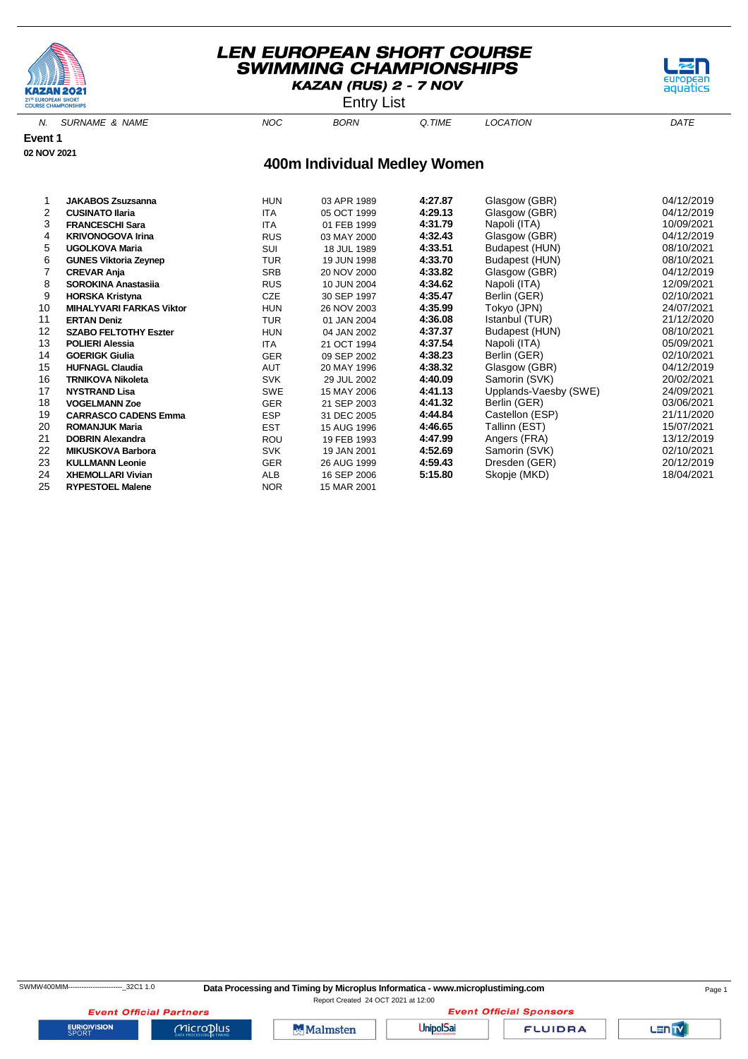

**Event 1 02 NOV 2021**

# **LEN EUROPEAN SHORT COURSE SWIMMING CHAMPIONSHIPS** KAZAN (RUS) 2 - 7 NOV



N. SURNAME & NAME  $NOC$  BORN Q.TIME LOCATION DATE



# **400m Individual Medley Women**

|    | <b>JAKABOS Zsuzsanna</b>        | <b>HUN</b> | 03 APR 1989 | 4:27.87 | Glasgow (GBR)         | 04/12/2019 |
|----|---------------------------------|------------|-------------|---------|-----------------------|------------|
| 2  | <b>CUSINATO Ilaria</b>          | <b>ITA</b> | 05 OCT 1999 | 4:29.13 | Glasgow (GBR)         | 04/12/2019 |
| 3  | <b>FRANCESCHI Sara</b>          | <b>ITA</b> | 01 FEB 1999 | 4:31.79 | Napoli (ITA)          | 10/09/2021 |
| 4  | <b>KRIVONOGOVA Irina</b>        | <b>RUS</b> | 03 MAY 2000 | 4:32.43 | Glasgow (GBR)         | 04/12/2019 |
| 5  | <b>UGOLKOVA Maria</b>           | SUI        | 18 JUL 1989 | 4:33.51 | Budapest (HUN)        | 08/10/2021 |
| 6  | <b>GUNES Viktoria Zeynep</b>    | <b>TUR</b> | 19 JUN 1998 | 4:33.70 | Budapest (HUN)        | 08/10/2021 |
|    | <b>CREVAR Anja</b>              | SRB        | 20 NOV 2000 | 4:33.82 | Glasgow (GBR)         | 04/12/2019 |
| 8  | <b>SOROKINA Anastasija</b>      | <b>RUS</b> | 10 JUN 2004 | 4:34.62 | Napoli (ITA)          | 12/09/2021 |
| 9  | <b>HORSKA Kristyna</b>          | <b>CZE</b> | 30 SEP 1997 | 4:35.47 | Berlin (GER)          | 02/10/2021 |
| 10 | <b>MIHALYVARI FARKAS Viktor</b> | <b>HUN</b> | 26 NOV 2003 | 4:35.99 | Tokyo (JPN)           | 24/07/2021 |
| 11 | <b>ERTAN Deniz</b>              | <b>TUR</b> | 01 JAN 2004 | 4:36.08 | Istanbul (TUR)        | 21/12/2020 |
| 12 | <b>SZABO FELTOTHY Eszter</b>    | <b>HUN</b> | 04 JAN 2002 | 4:37.37 | Budapest (HUN)        | 08/10/2021 |
| 13 | <b>POLIERI Alessia</b>          | <b>ITA</b> | 21 OCT 1994 | 4:37.54 | Napoli (ITA)          | 05/09/2021 |
| 14 | <b>GOERIGK Giulia</b>           | <b>GER</b> | 09 SEP 2002 | 4:38.23 | Berlin (GER)          | 02/10/2021 |
| 15 | <b>HUFNAGL Claudia</b>          | <b>AUT</b> | 20 MAY 1996 | 4:38.32 | Glasgow (GBR)         | 04/12/2019 |
| 16 | <b>TRNIKOVA Nikoleta</b>        | <b>SVK</b> | 29 JUL 2002 | 4:40.09 | Samorin (SVK)         | 20/02/2021 |
| 17 | <b>NYSTRAND Lisa</b>            | SWE        | 15 MAY 2006 | 4:41.13 | Upplands-Vaesby (SWE) | 24/09/2021 |
| 18 | <b>VOGELMANN Zoe</b>            | <b>GER</b> | 21 SEP 2003 | 4:41.32 | Berlin (GER)          | 03/06/2021 |
| 19 | <b>CARRASCO CADENS Emma</b>     | <b>ESP</b> | 31 DEC 2005 | 4:44.84 | Castellon (ESP)       | 21/11/2020 |
| 20 | <b>ROMANJUK Maria</b>           | EST        | 15 AUG 1996 | 4:46.65 | Tallinn (EST)         | 15/07/2021 |
| 21 | <b>DOBRIN Alexandra</b>         | ROU        | 19 FEB 1993 | 4:47.99 | Angers (FRA)          | 13/12/2019 |
| 22 | <b>MIKUSKOVA Barbora</b>        | <b>SVK</b> | 19 JAN 2001 | 4:52.69 | Samorin (SVK)         | 02/10/2021 |
| 23 | <b>KULLMANN Leonie</b>          | <b>GER</b> | 26 AUG 1999 | 4:59.43 | Dresden (GER)         | 20/12/2019 |
| 24 | <b>XHEMOLLARI Vivian</b>        | ALB        | 16 SEP 2006 | 5:15.80 | Skopje (MKD)          | 18/04/2021 |
| 25 | <b>RYPESTOEL Malene</b>         | <b>NOR</b> | 15 MAR 2001 |         |                       |            |

**EURIOVISION** 

**Event Official Partners** 

 $MicroD<sub>lus</sub>$ 



**Event Official Sponsors UnipolSai** 

**FLUIDRA**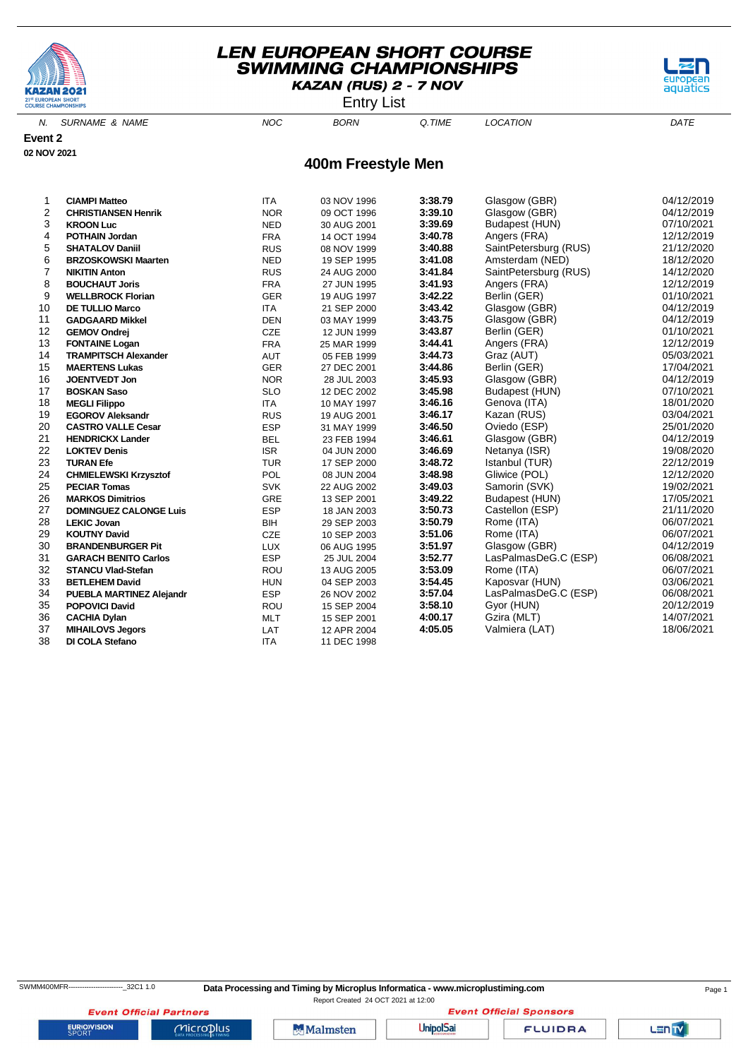

Entry List



N. SURNAME & NAME  $NOC$  BORN Q.TIME LOCATION DATE

**Event 2**

**02 NOV 2021**

#### **400m Freestyle Men**

| 1              | <b>CIAMPI Matteo</b>            | <b>ITA</b> | 03 NOV 1996 | 3:38.79 | Glasgow (GBR)         | 04/12/2019 |
|----------------|---------------------------------|------------|-------------|---------|-----------------------|------------|
| $\overline{2}$ | <b>CHRISTIANSEN Henrik</b>      | <b>NOR</b> | 09 OCT 1996 | 3:39.10 | Glasgow (GBR)         | 04/12/2019 |
| 3              | <b>KROON Luc</b>                | <b>NED</b> | 30 AUG 2001 | 3:39.69 | Budapest (HUN)        | 07/10/2021 |
| 4              | <b>POTHAIN Jordan</b>           | <b>FRA</b> | 14 OCT 1994 | 3:40.78 | Angers (FRA)          | 12/12/2019 |
| 5              | <b>SHATALOV Daniil</b>          | <b>RUS</b> | 08 NOV 1999 | 3:40.88 | SaintPetersburg (RUS) | 21/12/2020 |
| 6              | <b>BRZOSKOWSKI Maarten</b>      | <b>NED</b> | 19 SEP 1995 | 3:41.08 | Amsterdam (NED)       | 18/12/2020 |
| 7              | <b>NIKITIN Anton</b>            | <b>RUS</b> | 24 AUG 2000 | 3:41.84 | SaintPetersburg (RUS) | 14/12/2020 |
| 8              | <b>BOUCHAUT Joris</b>           | <b>FRA</b> | 27 JUN 1995 | 3:41.93 | Angers (FRA)          | 12/12/2019 |
| 9              | <b>WELLBROCK Florian</b>        | <b>GER</b> | 19 AUG 1997 | 3:42.22 | Berlin (GER)          | 01/10/2021 |
| 10             | <b>DE TULLIO Marco</b>          | <b>ITA</b> | 21 SEP 2000 | 3:43.42 | Glasgow (GBR)         | 04/12/2019 |
| 11             | <b>GADGAARD Mikkel</b>          | <b>DEN</b> | 03 MAY 1999 | 3:43.75 | Glasgow (GBR)         | 04/12/2019 |
| 12             | <b>GEMOV Ondrej</b>             | <b>CZE</b> | 12 JUN 1999 | 3:43.87 | Berlin (GER)          | 01/10/2021 |
| 13             | <b>FONTAINE Logan</b>           | <b>FRA</b> | 25 MAR 1999 | 3:44.41 | Angers (FRA)          | 12/12/2019 |
| 14             | <b>TRAMPITSCH Alexander</b>     | <b>AUT</b> | 05 FEB 1999 | 3:44.73 | Graz (AUT)            | 05/03/2021 |
| 15             | <b>MAERTENS Lukas</b>           | <b>GER</b> | 27 DEC 2001 | 3:44.86 | Berlin (GER)          | 17/04/2021 |
| 16             | <b>JOENTVEDT Jon</b>            | <b>NOR</b> | 28 JUL 2003 | 3:45.93 | Glasgow (GBR)         | 04/12/2019 |
| 17             | <b>BOSKAN Saso</b>              | <b>SLO</b> | 12 DEC 2002 | 3:45.98 | Budapest (HUN)        | 07/10/2021 |
| 18             | <b>MEGLI Filippo</b>            | <b>ITA</b> | 10 MAY 1997 | 3:46.16 | Genova (ITA)          | 18/01/2020 |
| 19             | <b>EGOROV Aleksandr</b>         | <b>RUS</b> | 19 AUG 2001 | 3:46.17 | Kazan (RUS)           | 03/04/2021 |
| 20             | <b>CASTRO VALLE Cesar</b>       | <b>ESP</b> | 31 MAY 1999 | 3:46.50 | Oviedo (ESP)          | 25/01/2020 |
| 21             | <b>HENDRICKX Lander</b>         | <b>BEL</b> | 23 FEB 1994 | 3:46.61 | Glasgow (GBR)         | 04/12/2019 |
| 22             | <b>LOKTEV Denis</b>             | <b>ISR</b> | 04 JUN 2000 | 3:46.69 | Netanya (ISR)         | 19/08/2020 |
| 23             | <b>TURAN Efe</b>                | <b>TUR</b> | 17 SEP 2000 | 3:48.72 | Istanbul (TUR)        | 22/12/2019 |
| 24             | <b>CHMIELEWSKI Krzysztof</b>    | POL        | 08 JUN 2004 | 3:48.98 | Gliwice (POL)         | 12/12/2020 |
| 25             | <b>PECIAR Tomas</b>             | <b>SVK</b> | 22 AUG 2002 | 3:49.03 | Samorin (SVK)         | 19/02/2021 |
| 26             | <b>MARKOS Dimitrios</b>         | GRE        | 13 SEP 2001 | 3:49.22 | Budapest (HUN)        | 17/05/2021 |
| 27             | <b>DOMINGUEZ CALONGE Luis</b>   | <b>ESP</b> | 18 JAN 2003 | 3:50.73 | Castellon (ESP)       | 21/11/2020 |
| 28             | <b>LEKIC Jovan</b>              | BIH        | 29 SEP 2003 | 3:50.79 | Rome (ITA)            | 06/07/2021 |
| 29             | <b>KOUTNY David</b>             | <b>CZE</b> | 10 SEP 2003 | 3:51.06 | Rome (ITA)            | 06/07/2021 |
| 30             | <b>BRANDENBURGER Pit</b>        | <b>LUX</b> | 06 AUG 1995 | 3:51.97 | Glasgow (GBR)         | 04/12/2019 |
| 31             | <b>GARACH BENITO Carlos</b>     | <b>ESP</b> | 25 JUL 2004 | 3:52.77 | LasPalmasDeG.C (ESP)  | 06/08/2021 |
| 32             | <b>STANCU Vlad-Stefan</b>       | <b>ROU</b> | 13 AUG 2005 | 3:53.09 | Rome (ITA)            | 06/07/2021 |
| 33             | <b>BETLEHEM David</b>           | <b>HUN</b> | 04 SEP 2003 | 3:54.45 | Kaposvar (HUN)        | 03/06/2021 |
| 34             | <b>PUEBLA MARTINEZ Alejandr</b> | <b>ESP</b> | 26 NOV 2002 | 3:57.04 | LasPalmasDeG.C (ESP)  | 06/08/2021 |
| 35             | <b>POPOVICI David</b>           | ROU        | 15 SEP 2004 | 3:58.10 | Gyor (HUN)            | 20/12/2019 |
| 36             | <b>CACHIA Dylan</b>             | <b>MLT</b> | 15 SEP 2001 | 4:00.17 | Gzira (MLT)           | 14/07/2021 |
| 37             | <b>MIHAILOVS Jegors</b>         | LAT        | 12 APR 2004 | 4:05.05 | Valmiera (LAT)        | 18/06/2021 |
| 38             | DI COLA Stefano                 | <b>ITA</b> | 11 DEC 1998 |         |                       |            |

Report Created 24 OCT 2021 at 12:00

LENTY

**EURIOVISION** 

**Event Official Partners** 

 $Microplus$ 

**Malmsten** 

**UnipolSai**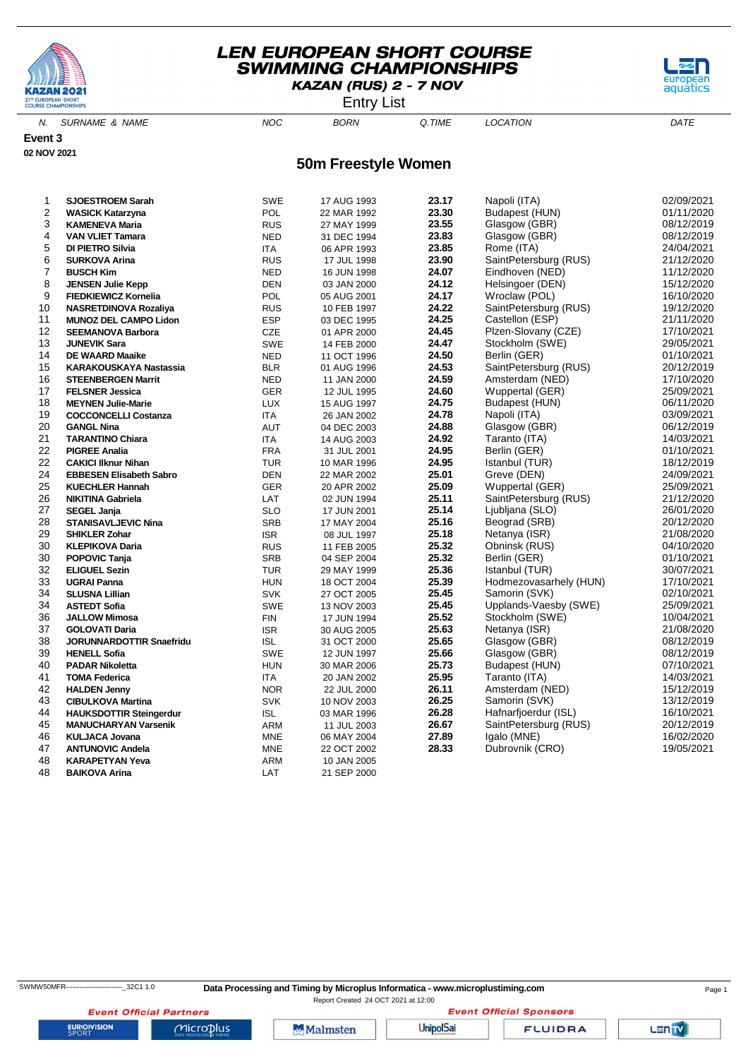

Entry List



N. SURNAME & NAME  $NOC$  BORN Q.TIME LOCATION DATE

#### **Event 3 02 NOV 2021**

#### **50m Freestyle Women**

| 1              | <b>SJOESTROEM Sarah</b>         | <b>SWE</b> | 17 AUG 1993 | 23.17 | Napoli (ITA)           | 02/09/2021 |
|----------------|---------------------------------|------------|-------------|-------|------------------------|------------|
| 2              | <b>WASICK Katarzyna</b>         | POL        | 22 MAR 1992 | 23.30 | Budapest (HUN)         | 01/11/2020 |
| 3              | <b>KAMENEVA Maria</b>           | <b>RUS</b> | 27 MAY 1999 | 23.55 | Glasgow (GBR)          | 08/12/2019 |
| $\overline{4}$ | <b>VAN VLIET Tamara</b>         | <b>NED</b> | 31 DEC 1994 | 23.83 | Glasgow (GBR)          | 08/12/2019 |
| 5              | DI PIETRO Silvia                | <b>ITA</b> | 06 APR 1993 | 23.85 | Rome (ITA)             | 24/04/2021 |
| 6              | <b>SURKOVA Arina</b>            | <b>RUS</b> | 17 JUL 1998 | 23.90 | SaintPetersburg (RUS)  | 21/12/2020 |
| 7              | <b>BUSCH Kim</b>                | <b>NED</b> | 16 JUN 1998 | 24.07 | Eindhoven (NED)        | 11/12/2020 |
| 8              | <b>JENSEN Julie Kepp</b>        | <b>DEN</b> | 03 JAN 2000 | 24.12 | Helsingoer (DEN)       | 15/12/2020 |
| 9              | <b>FIEDKIEWICZ Kornelia</b>     | POL        | 05 AUG 2001 | 24.17 | Wroclaw (POL)          | 16/10/2020 |
| 10             | <b>NASRETDINOVA Rozaliya</b>    | <b>RUS</b> | 10 FEB 1997 | 24.22 | SaintPetersburg (RUS)  | 19/12/2020 |
| 11             | <b>MUNOZ DEL CAMPO Lidon</b>    | <b>ESP</b> | 03 DEC 1995 | 24.25 | Castellon (ESP)        | 21/11/2020 |
| 12             | <b>SEEMANOVA Barbora</b>        | CZE        | 01 APR 2000 | 24.45 | Plzen-Slovany (CZE)    | 17/10/2021 |
| 13             | <b>JUNEVIK Sara</b>             | <b>SWE</b> | 14 FEB 2000 | 24.47 | Stockholm (SWE)        | 29/05/2021 |
| 14             | <b>DE WAARD Maaike</b>          | <b>NED</b> | 11 OCT 1996 | 24.50 | Berlin (GER)           | 01/10/2021 |
| 15             | <b>KARAKOUSKAYA Nastassia</b>   | <b>BLR</b> | 01 AUG 1996 | 24.53 | SaintPetersburg (RUS)  | 20/12/2019 |
| 16             | <b>STEENBERGEN Marrit</b>       | <b>NED</b> | 11 JAN 2000 | 24.59 | Amsterdam (NED)        | 17/10/2020 |
| 17             | <b>FELSNER Jessica</b>          | <b>GER</b> | 12 JUL 1995 | 24.60 | Wuppertal (GER)        | 25/09/2021 |
| 18             | <b>MEYNEN Julie-Marie</b>       | <b>LUX</b> | 15 AUG 1997 | 24.75 | Budapest (HUN)         | 06/11/2020 |
| 19             | <b>COCCONCELLI Costanza</b>     | <b>ITA</b> | 26 JAN 2002 | 24.78 | Napoli (ITA)           | 03/09/2021 |
| 20             | <b>GANGL Nina</b>               | <b>AUT</b> | 04 DEC 2003 | 24.88 | Glasgow (GBR)          | 06/12/2019 |
| 21             | <b>TARANTINO Chiara</b>         | <b>ITA</b> | 14 AUG 2003 | 24.92 | Taranto (ITA)          | 14/03/2021 |
| 22             | <b>PIGREE Analia</b>            | <b>FRA</b> | 31 JUL 2001 | 24.95 | Berlin (GER)           | 01/10/2021 |
| 22             | <b>CAKICI IIknur Nihan</b>      | <b>TUR</b> | 10 MAR 1996 | 24.95 | Istanbul (TUR)         | 18/12/2019 |
| 24             | <b>EBBESEN Elisabeth Sabro</b>  | <b>DEN</b> | 22 MAR 2002 | 25.01 | Greve (DEN)            | 24/09/2021 |
| 25             | <b>KUECHLER Hannah</b>          | <b>GER</b> | 20 APR 2002 | 25.09 | Wuppertal (GER)        | 25/09/2021 |
| 26             | <b>NIKITINA Gabriela</b>        | LAT        | 02 JUN 1994 | 25.11 | SaintPetersburg (RUS)  | 21/12/2020 |
| 27             | <b>SEGEL Janja</b>              | <b>SLO</b> | 17 JUN 2001 | 25.14 | Ljubljana (SLO)        | 26/01/2020 |
| 28             | <b>STANISAVLJEVIC Nina</b>      | <b>SRB</b> | 17 MAY 2004 | 25.16 | Beograd (SRB)          | 20/12/2020 |
| 29             | <b>SHIKLER Zohar</b>            | <b>ISR</b> | 08 JUL 1997 | 25.18 | Netanya (ISR)          | 21/08/2020 |
| 30             | <b>KLEPIKOVA Daria</b>          | <b>RUS</b> | 11 FEB 2005 | 25.32 | Obninsk (RUS)          | 04/10/2020 |
| 30             | <b>POPOVIC Tanja</b>            | <b>SRB</b> | 04 SEP 2004 | 25.32 | Berlin (GER)           | 01/10/2021 |
| 32             | <b>ELIGUEL Sezin</b>            | <b>TUR</b> | 29 MAY 1999 | 25.36 | Istanbul (TUR)         | 30/07/2021 |
| 33             | <b>UGRAI Panna</b>              | <b>HUN</b> | 18 OCT 2004 | 25.39 | Hodmezovasarhely (HUN) | 17/10/2021 |
| 34             | <b>SLUSNA Lillian</b>           | <b>SVK</b> | 27 OCT 2005 | 25.45 | Samorin (SVK)          | 02/10/2021 |
| 34             | <b>ASTEDT Sofia</b>             | <b>SWE</b> | 13 NOV 2003 | 25.45 | Upplands-Vaesby (SWE)  | 25/09/2021 |
| 36             | <b>JALLOW Mimosa</b>            | <b>FIN</b> | 17 JUN 1994 | 25.52 | Stockholm (SWE)        | 10/04/2021 |
| 37             | <b>GOLOVATI Daria</b>           | <b>ISR</b> | 30 AUG 2005 | 25.63 | Netanya (ISR)          | 21/08/2020 |
| 38             | <b>JORUNNARDOTTIR Snaefridu</b> | <b>ISL</b> | 31 OCT 2000 | 25.65 | Glasgow (GBR)          | 08/12/2019 |
| 39             | <b>HENELL Sofia</b>             | SWE        | 12 JUN 1997 | 25.66 | Glasgow (GBR)          | 08/12/2019 |
| 40             | <b>PADAR Nikoletta</b>          | <b>HUN</b> | 30 MAR 2006 | 25.73 | Budapest (HUN)         | 07/10/2021 |
| 41             | <b>TOMA Federica</b>            | <b>ITA</b> | 20 JAN 2002 | 25.95 | Taranto (ITA)          | 14/03/2021 |
| 42             | <b>HALDEN Jenny</b>             | <b>NOR</b> | 22 JUL 2000 | 26.11 | Amsterdam (NED)        | 15/12/2019 |
| 43             | <b>CIBULKOVA Martina</b>        | SVK        | 10 NOV 2003 | 26.25 | Samorin (SVK)          | 13/12/2019 |
| 44             | <b>HAUKSDOTTIR Steingerdur</b>  | <b>ISL</b> | 03 MAR 1996 | 26.28 | Hafnarfjoerdur (ISL)   | 16/10/2021 |
| 45             | <b>MANUCHARYAN Varsenik</b>     | ARM        | 11 JUL 2003 | 26.67 | SaintPetersburg (RUS)  | 20/12/2019 |
| 46             | <b>KULJACA Jovana</b>           | <b>MNE</b> | 06 MAY 2004 | 27.89 | Igalo (MNE)            | 16/02/2020 |
| 47             | <b>ANTUNOVIC Andela</b>         | <b>MNE</b> | 22 OCT 2002 | 28.33 | Dubrovnik (CRO)        | 19/05/2021 |
| 48             | <b>KARAPETYAN Yeva</b>          | ARM        | 10 JAN 2005 |       |                        |            |
| 48             | <b>BAIKOVA Arina</b>            | LAT        | 21 SEP 2000 |       |                        |            |
|                |                                 |            |             |       |                        |            |

LENTY

**Event Official Partners** 

 $Microplus$ 

**Malmsten** 

**UnipolSai**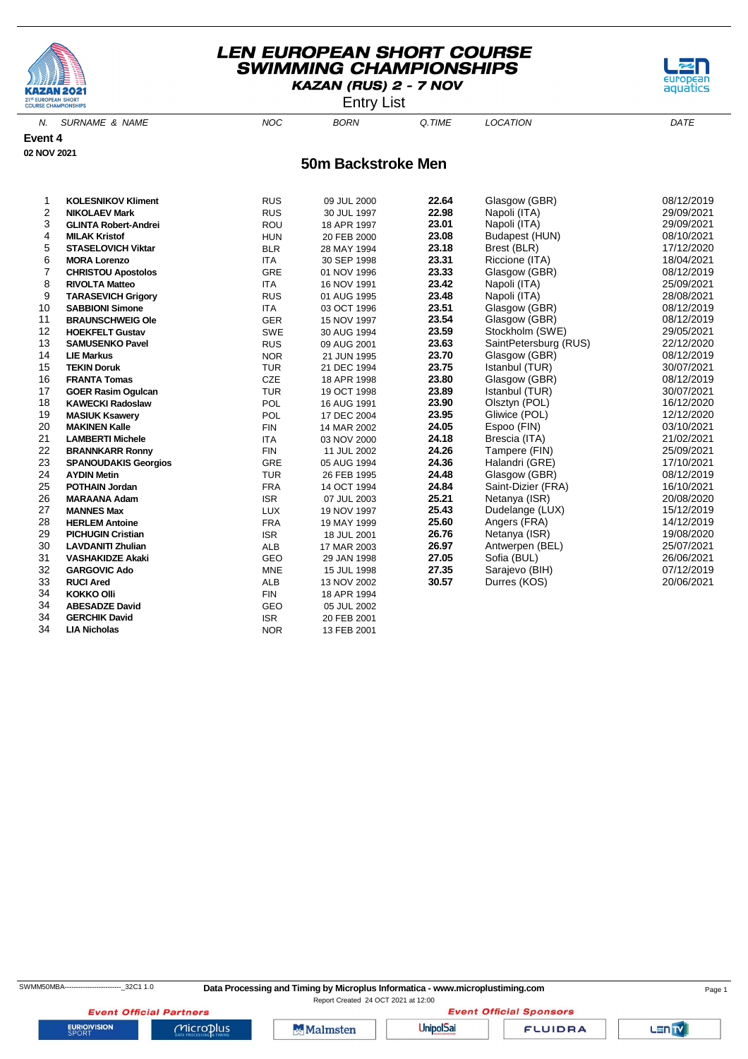



aquati

N. SURNAME & NAME  $NOC$  BORN Q.TIME LOCATION DATE

**Event 4 02 NOV 2021**

#### **50m Backstroke Men**

| 1              | <b>KOLESNIKOV Kliment</b>   | <b>RUS</b> | 09 JUL 2000 | 22.64 | Glasgow (GBR)         | 08/12/2019 |
|----------------|-----------------------------|------------|-------------|-------|-----------------------|------------|
| $\overline{2}$ | <b>NIKOLAEV Mark</b>        | <b>RUS</b> | 30 JUL 1997 | 22.98 | Napoli (ITA)          | 29/09/2021 |
| 3              | <b>GLINTA Robert-Andrei</b> | <b>ROU</b> | 18 APR 1997 | 23.01 | Napoli (ITA)          | 29/09/2021 |
| 4              | <b>MILAK Kristof</b>        | <b>HUN</b> | 20 FEB 2000 | 23.08 | Budapest (HUN)        | 08/10/2021 |
| 5              | <b>STASELOVICH Viktar</b>   | <b>BLR</b> | 28 MAY 1994 | 23.18 | Brest (BLR)           | 17/12/2020 |
| 6              | <b>MORA Lorenzo</b>         | <b>ITA</b> | 30 SEP 1998 | 23.31 | Riccione (ITA)        | 18/04/2021 |
| $\overline{7}$ | <b>CHRISTOU Apostolos</b>   | <b>GRE</b> | 01 NOV 1996 | 23.33 | Glasgow (GBR)         | 08/12/2019 |
| 8              | <b>RIVOLTA Matteo</b>       | <b>ITA</b> | 16 NOV 1991 | 23.42 | Napoli (ITA)          | 25/09/2021 |
| 9              | <b>TARASEVICH Grigory</b>   | <b>RUS</b> | 01 AUG 1995 | 23.48 | Napoli (ITA)          | 28/08/2021 |
| 10             | <b>SABBIONI Simone</b>      | <b>ITA</b> | 03 OCT 1996 | 23.51 | Glasgow (GBR)         | 08/12/2019 |
| 11             | <b>BRAUNSCHWEIG Ole</b>     | <b>GER</b> | 15 NOV 1997 | 23.54 | Glasgow (GBR)         | 08/12/2019 |
| 12             | <b>HOEKFELT Gustav</b>      | <b>SWE</b> | 30 AUG 1994 | 23.59 | Stockholm (SWE)       | 29/05/2021 |
| 13             | <b>SAMUSENKO Pavel</b>      | <b>RUS</b> | 09 AUG 2001 | 23.63 | SaintPetersburg (RUS) | 22/12/2020 |
| 14             | <b>LIE Markus</b>           | <b>NOR</b> | 21 JUN 1995 | 23.70 | Glasgow (GBR)         | 08/12/2019 |
| 15             | <b>TEKIN Doruk</b>          | <b>TUR</b> | 21 DEC 1994 | 23.75 | Istanbul (TUR)        | 30/07/2021 |
| 16             | <b>FRANTA Tomas</b>         | <b>CZE</b> | 18 APR 1998 | 23.80 | Glasgow (GBR)         | 08/12/2019 |
| 17             | <b>GOER Rasim Ogulcan</b>   | <b>TUR</b> | 19 OCT 1998 | 23.89 | Istanbul (TUR)        | 30/07/2021 |
| 18             | <b>KAWECKI Radoslaw</b>     | POL        | 16 AUG 1991 | 23.90 | Olsztyn (POL)         | 16/12/2020 |
| 19             | <b>MASIUK Ksawery</b>       | POL        | 17 DEC 2004 | 23.95 | Gliwice (POL)         | 12/12/2020 |
| 20             | <b>MAKINEN Kalle</b>        | <b>FIN</b> | 14 MAR 2002 | 24.05 | Espoo (FIN)           | 03/10/2021 |
| 21             | <b>LAMBERTI Michele</b>     | <b>ITA</b> | 03 NOV 2000 | 24.18 | Brescia (ITA)         | 21/02/2021 |
| 22             | <b>BRANNKARR Ronny</b>      | <b>FIN</b> | 11 JUL 2002 | 24.26 | Tampere (FIN)         | 25/09/2021 |
| 23             | <b>SPANOUDAKIS Georgios</b> | GRE        | 05 AUG 1994 | 24.36 | Halandri (GRE)        | 17/10/2021 |
| 24             | <b>AYDIN Metin</b>          | <b>TUR</b> | 26 FEB 1995 | 24.48 | Glasgow (GBR)         | 08/12/2019 |
| 25             | <b>POTHAIN Jordan</b>       | <b>FRA</b> | 14 OCT 1994 | 24.84 | Saint-Dizier (FRA)    | 16/10/2021 |
| 26             | <b>MARAANA Adam</b>         | <b>ISR</b> | 07 JUL 2003 | 25.21 | Netanya (ISR)         | 20/08/2020 |
| 27             | <b>MANNES Max</b>           | <b>LUX</b> | 19 NOV 1997 | 25.43 | Dudelange (LUX)       | 15/12/2019 |
| 28             | <b>HERLEM Antoine</b>       | <b>FRA</b> | 19 MAY 1999 | 25.60 | Angers (FRA)          | 14/12/2019 |
| 29             | <b>PICHUGIN Cristian</b>    | <b>ISR</b> | 18 JUL 2001 | 26.76 | Netanya (ISR)         | 19/08/2020 |
| 30             | <b>LAVDANITI Zhulian</b>    | <b>ALB</b> | 17 MAR 2003 | 26.97 | Antwerpen (BEL)       | 25/07/2021 |
| 31             | <b>VASHAKIDZE Akaki</b>     | GEO        | 29 JAN 1998 | 27.05 | Sofia (BUL)           | 26/06/2021 |
| 32             | <b>GARGOVIC Ado</b>         | <b>MNE</b> | 15 JUL 1998 | 27.35 | Sarajevo (BIH)        | 07/12/2019 |
| 33             | <b>RUCI Ared</b>            | <b>ALB</b> | 13 NOV 2002 | 30.57 | Durres (KOS)          | 20/06/2021 |
| 34             | <b>KOKKO Olli</b>           | <b>FIN</b> | 18 APR 1994 |       |                       |            |
| 34             | <b>ABESADZE David</b>       | GEO        | 05 JUL 2002 |       |                       |            |
| 34             | <b>GERCHIK David</b>        | <b>ISR</b> | 20 FEB 2001 |       |                       |            |
| 34             | <b>LIA Nicholas</b>         | <b>NOR</b> | 13 FEB 2001 |       |                       |            |

SWMM50MBA-------------------------\_32C1 1.0 **Data Processing and Timing by Microplus Informatica - www.microplustiming.com** Page 1

Report Created 24 OCT 2021 at 12:00**Event Official Sponsors** 

**Event Official Partners EURIOVISION** 

 $Microplus$ 

**Malmsten** 

**UnipolSai** 

**FLUIDRA**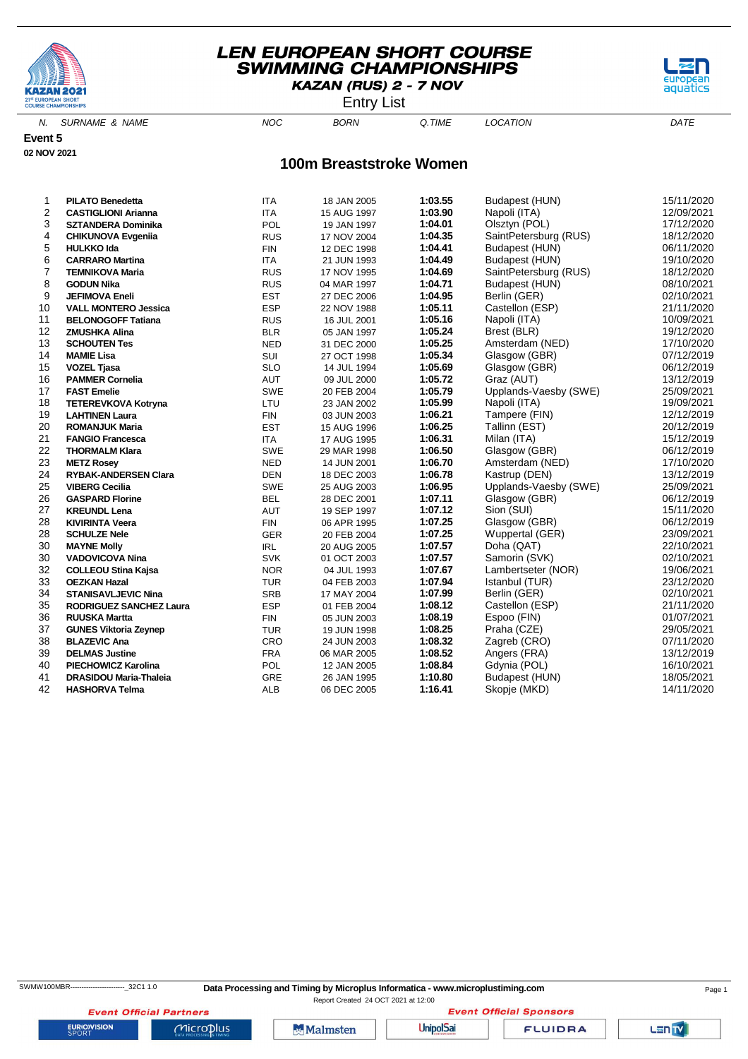

Entry List

aquati

N. SURNAME & NAME  $NOC$  BORN Q.TIME LOCATION DATE

**Event 5 02 NOV 2021**

#### **100m Breaststroke Women**

| 1              | <b>PILATO Benedetta</b>        | <b>ITA</b> | 18 JAN 2005 | 1:03.55 | Budapest (HUN)        | 15/11/2020 |
|----------------|--------------------------------|------------|-------------|---------|-----------------------|------------|
| 2              | <b>CASTIGLIONI Arianna</b>     | <b>ITA</b> | 15 AUG 1997 | 1:03.90 | Napoli (ITA)          | 12/09/2021 |
| 3              | <b>SZTANDERA Dominika</b>      | <b>POL</b> | 19 JAN 1997 | 1:04.01 | Olsztyn (POL)         | 17/12/2020 |
| 4              | <b>CHIKUNOVA Evgenija</b>      | <b>RUS</b> | 17 NOV 2004 | 1:04.35 | SaintPetersburg (RUS) | 18/12/2020 |
| 5              | <b>HULKKO Ida</b>              | <b>FIN</b> | 12 DEC 1998 | 1:04.41 | Budapest (HUN)        | 06/11/2020 |
| 6              | <b>CARRARO Martina</b>         | <b>ITA</b> | 21 JUN 1993 | 1:04.49 | Budapest (HUN)        | 19/10/2020 |
| $\overline{7}$ | <b>TEMNIKOVA Maria</b>         | <b>RUS</b> | 17 NOV 1995 | 1:04.69 | SaintPetersburg (RUS) | 18/12/2020 |
| 8              | <b>GODUN Nika</b>              | <b>RUS</b> | 04 MAR 1997 | 1:04.71 | Budapest (HUN)        | 08/10/2021 |
| 9              | <b>JEFIMOVA Eneli</b>          | <b>EST</b> | 27 DEC 2006 | 1:04.95 | Berlin (GER)          | 02/10/2021 |
| 10             | <b>VALL MONTERO Jessica</b>    | <b>ESP</b> | 22 NOV 1988 | 1:05.11 | Castellon (ESP)       | 21/11/2020 |
| 11             | <b>BELONOGOFF Tatiana</b>      | <b>RUS</b> | 16 JUL 2001 | 1:05.16 | Napoli (ITA)          | 10/09/2021 |
| 12             | <b>ZMUSHKA Alina</b>           | <b>BLR</b> | 05 JAN 1997 | 1:05.24 | Brest (BLR)           | 19/12/2020 |
| 13             | <b>SCHOUTEN Tes</b>            | <b>NED</b> | 31 DEC 2000 | 1:05.25 | Amsterdam (NED)       | 17/10/2020 |
| 14             | <b>MAMIE Lisa</b>              | SUI        | 27 OCT 1998 | 1:05.34 | Glasgow (GBR)         | 07/12/2019 |
| 15             | <b>VOZEL Tjasa</b>             | <b>SLO</b> | 14 JUL 1994 | 1:05.69 | Glasgow (GBR)         | 06/12/2019 |
| 16             | <b>PAMMER Cornelia</b>         | <b>AUT</b> | 09 JUL 2000 | 1:05.72 | Graz (AUT)            | 13/12/2019 |
| 17             | <b>FAST Emelie</b>             | SWE        | 20 FEB 2004 | 1:05.79 | Upplands-Vaesby (SWE) | 25/09/2021 |
| 18             | <b>TETEREVKOVA Kotryna</b>     | LTU        | 23 JAN 2002 | 1:05.99 | Napoli (ITA)          | 19/09/2021 |
| 19             | <b>LAHTINEN Laura</b>          | <b>FIN</b> | 03 JUN 2003 | 1:06.21 | Tampere (FIN)         | 12/12/2019 |
| 20             | <b>ROMANJUK Maria</b>          | <b>EST</b> | 15 AUG 1996 | 1:06.25 | Tallinn (EST)         | 20/12/2019 |
| 21             | <b>FANGIO Francesca</b>        | <b>ITA</b> | 17 AUG 1995 | 1:06.31 | Milan (ITA)           | 15/12/2019 |
| 22             | <b>THORMALM Klara</b>          | SWE        | 29 MAR 1998 | 1:06.50 | Glasgow (GBR)         | 06/12/2019 |
| 23             | <b>METZ Rosey</b>              | <b>NED</b> | 14 JUN 2001 | 1:06.70 | Amsterdam (NED)       | 17/10/2020 |
| 24             | <b>RYBAK-ANDERSEN Clara</b>    | <b>DEN</b> | 18 DEC 2003 | 1:06.78 | Kastrup (DEN)         | 13/12/2019 |
| 25             | <b>VIBERG Cecilia</b>          | SWE        | 25 AUG 2003 | 1:06.95 | Upplands-Vaesby (SWE) | 25/09/2021 |
| 26             | <b>GASPARD Florine</b>         | <b>BEL</b> | 28 DEC 2001 | 1:07.11 | Glasgow (GBR)         | 06/12/2019 |
| 27             | <b>KREUNDL Lena</b>            | <b>AUT</b> | 19 SEP 1997 | 1:07.12 | Sion (SUI)            | 15/11/2020 |
| 28             | <b>KIVIRINTA Veera</b>         | <b>FIN</b> | 06 APR 1995 | 1:07.25 | Glasgow (GBR)         | 06/12/2019 |
| 28             | <b>SCHULZE Nele</b>            | <b>GER</b> | 20 FEB 2004 | 1:07.25 | Wuppertal (GER)       | 23/09/2021 |
| 30             | <b>MAYNE Molly</b>             | <b>IRL</b> | 20 AUG 2005 | 1:07.57 | Doha (QAT)            | 22/10/2021 |
| 30             | <b>VADOVICOVA Nina</b>         | <b>SVK</b> | 01 OCT 2003 | 1:07.57 | Samorin (SVK)         | 02/10/2021 |
| 32             | <b>COLLEOU Stina Kajsa</b>     | <b>NOR</b> | 04 JUL 1993 | 1:07.67 | Lambertseter (NOR)    | 19/06/2021 |
| 33             | <b>OEZKAN Hazal</b>            | <b>TUR</b> | 04 FEB 2003 | 1:07.94 | Istanbul (TUR)        | 23/12/2020 |
| 34             | <b>STANISAVLJEVIC Nina</b>     | <b>SRB</b> | 17 MAY 2004 | 1:07.99 | Berlin (GER)          | 02/10/2021 |
| 35             | <b>RODRIGUEZ SANCHEZ Laura</b> | <b>ESP</b> | 01 FEB 2004 | 1:08.12 | Castellon (ESP)       | 21/11/2020 |
| 36             | <b>RUUSKA Martta</b>           | <b>FIN</b> | 05 JUN 2003 | 1:08.19 | Espoo (FIN)           | 01/07/2021 |
| 37             | <b>GUNES Viktoria Zeynep</b>   | <b>TUR</b> | 19 JUN 1998 | 1:08.25 | Praha (CZE)           | 29/05/2021 |
| 38             | <b>BLAZEVIC Ana</b>            | CRO        | 24 JUN 2003 | 1:08.32 | Zagreb (CRO)          | 07/11/2020 |
| 39             | <b>DELMAS Justine</b>          | <b>FRA</b> | 06 MAR 2005 | 1:08.52 | Angers (FRA)          | 13/12/2019 |
| 40             | <b>PIECHOWICZ Karolina</b>     | POL        | 12 JAN 2005 | 1:08.84 | Gdynia (POL)          | 16/10/2021 |
| 41             | <b>DRASIDOU Maria-Thaleia</b>  | GRE        | 26 JAN 1995 | 1:10.80 | Budapest (HUN)        | 18/05/2021 |
| 42             | <b>HASHORVA Telma</b>          | <b>ALB</b> | 06 DEC 2005 | 1:16.41 | Skopje (MKD)          | 14/11/2020 |

**EURIOVISION** 

**Event Official Partners** 

 $Microplus$ 

SWMW100MBR------------------------------32C1 1.0 Data Processing and Timing by Microplus Informatica - www.microplustiming.com Page 1

Report Created 24 OCT 2021 at 12:00

Malmsten

**UnipolSai**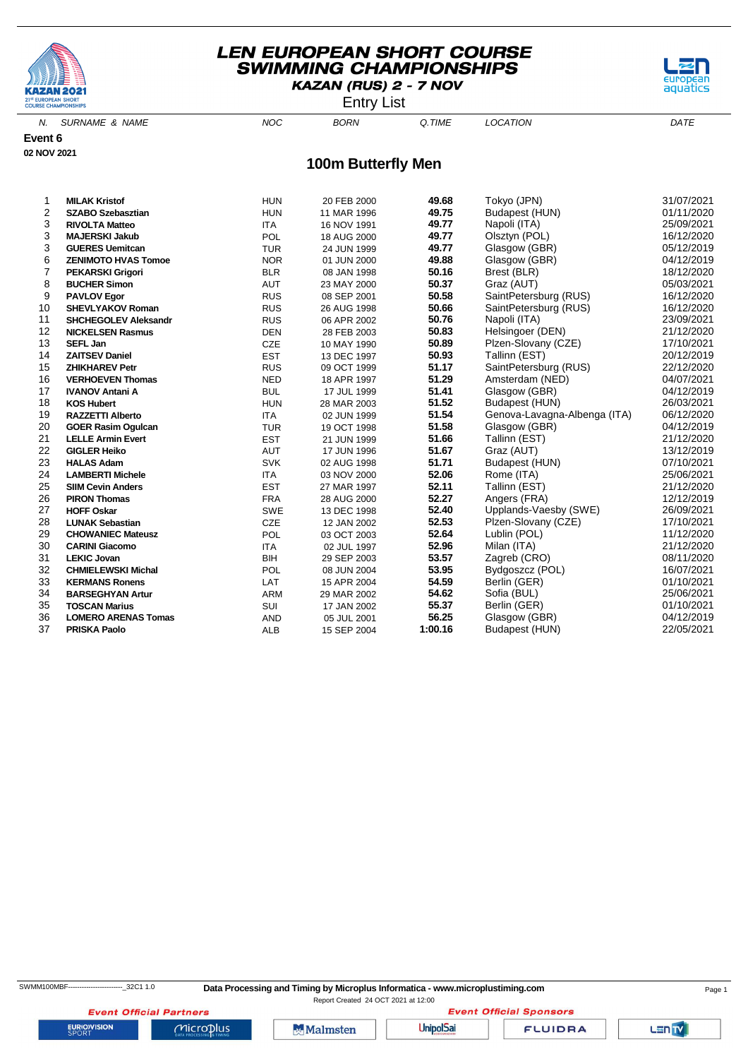

Entry List



N. SURNAME & NAME  $NOC$  BORN Q.TIME LOCATION DATE

**Event 6 02 NOV 2021**

#### **100m Butterfly Men**

| 1  | <b>MILAK Kristof</b>        | <b>HUN</b> | 20 FEB 2000 | 49.68   | Tokyo (JPN)                  | 31/07/2021 |
|----|-----------------------------|------------|-------------|---------|------------------------------|------------|
| 2  | <b>SZABO Szebasztian</b>    | <b>HUN</b> | 11 MAR 1996 | 49.75   | Budapest (HUN)               | 01/11/2020 |
| 3  | <b>RIVOLTA Matteo</b>       | <b>ITA</b> | 16 NOV 1991 | 49.77   | Napoli (ITA)                 | 25/09/2021 |
| 3  | <b>MAJERSKI Jakub</b>       | POL        | 18 AUG 2000 | 49.77   | Olsztyn (POL)                | 16/12/2020 |
| 3  | <b>GUERES Uemitcan</b>      | <b>TUR</b> | 24 JUN 1999 | 49.77   | Glasgow (GBR)                | 05/12/2019 |
| 6  | <b>ZENIMOTO HVAS Tomoe</b>  | <b>NOR</b> | 01 JUN 2000 | 49.88   | Glasgow (GBR)                | 04/12/2019 |
| 7  | <b>PEKARSKI Grigori</b>     | <b>BLR</b> | 08 JAN 1998 | 50.16   | Brest (BLR)                  | 18/12/2020 |
| 8  | <b>BUCHER Simon</b>         | <b>AUT</b> | 23 MAY 2000 | 50.37   | Graz (AUT)                   | 05/03/2021 |
| 9  | <b>PAVLOV Egor</b>          | <b>RUS</b> | 08 SEP 2001 | 50.58   | SaintPetersburg (RUS)        | 16/12/2020 |
| 10 | <b>SHEVLYAKOV Roman</b>     | <b>RUS</b> | 26 AUG 1998 | 50.66   | SaintPetersburg (RUS)        | 16/12/2020 |
| 11 | <b>SHCHEGOLEV Aleksandr</b> | <b>RUS</b> | 06 APR 2002 | 50.76   | Napoli (ITA)                 | 23/09/2021 |
| 12 | <b>NICKELSEN Rasmus</b>     | <b>DEN</b> | 28 FEB 2003 | 50.83   | Helsingoer (DEN)             | 21/12/2020 |
| 13 | <b>SEFL Jan</b>             | <b>CZE</b> | 10 MAY 1990 | 50.89   | Plzen-Slovany (CZE)          | 17/10/2021 |
| 14 | <b>ZAITSEV Daniel</b>       | <b>EST</b> | 13 DEC 1997 | 50.93   | Tallinn (EST)                | 20/12/2019 |
| 15 | <b>ZHIKHAREV Petr</b>       | <b>RUS</b> | 09 OCT 1999 | 51.17   | SaintPetersburg (RUS)        | 22/12/2020 |
| 16 | <b>VERHOEVEN Thomas</b>     | <b>NED</b> | 18 APR 1997 | 51.29   | Amsterdam (NED)              | 04/07/2021 |
| 17 | <b>IVANOV Antani A</b>      | <b>BUL</b> | 17 JUL 1999 | 51.41   | Glasgow (GBR)                | 04/12/2019 |
| 18 | <b>KOS Hubert</b>           | <b>HUN</b> | 28 MAR 2003 | 51.52   | Budapest (HUN)               | 26/03/2021 |
| 19 | <b>RAZZETTI Alberto</b>     | <b>ITA</b> | 02 JUN 1999 | 51.54   | Genova-Lavagna-Albenga (ITA) | 06/12/2020 |
| 20 | <b>GOER Rasim Ogulcan</b>   | <b>TUR</b> | 19 OCT 1998 | 51.58   | Glasgow (GBR)                | 04/12/2019 |
| 21 | <b>LELLE Armin Evert</b>    | <b>EST</b> | 21 JUN 1999 | 51.66   | Tallinn (EST)                | 21/12/2020 |
| 22 | <b>GIGLER Heiko</b>         | <b>AUT</b> | 17 JUN 1996 | 51.67   | Graz (AUT)                   | 13/12/2019 |
| 23 | <b>HALAS Adam</b>           | <b>SVK</b> | 02 AUG 1998 | 51.71   | Budapest (HUN)               | 07/10/2021 |
| 24 | <b>LAMBERTI Michele</b>     | <b>ITA</b> | 03 NOV 2000 | 52.06   | Rome (ITA)                   | 25/06/2021 |
| 25 | <b>SIIM Cevin Anders</b>    | <b>EST</b> | 27 MAR 1997 | 52.11   | Tallinn (EST)                | 21/12/2020 |
| 26 | <b>PIRON Thomas</b>         | <b>FRA</b> | 28 AUG 2000 | 52.27   | Angers (FRA)                 | 12/12/2019 |
| 27 | <b>HOFF Oskar</b>           | <b>SWE</b> | 13 DEC 1998 | 52.40   | Upplands-Vaesby (SWE)        | 26/09/2021 |
| 28 | <b>LUNAK Sebastian</b>      | <b>CZE</b> | 12 JAN 2002 | 52.53   | Plzen-Slovany (CZE)          | 17/10/2021 |
| 29 | <b>CHOWANIEC Mateusz</b>    | POL        | 03 OCT 2003 | 52.64   | Lublin (POL)                 | 11/12/2020 |
| 30 | <b>CARINI Giacomo</b>       | <b>ITA</b> | 02 JUL 1997 | 52.96   | Milan (ITA)                  | 21/12/2020 |
| 31 | <b>LEKIC Jovan</b>          | BIH        | 29 SEP 2003 | 53.57   | Zagreb (CRO)                 | 08/11/2020 |
| 32 | <b>CHMIELEWSKI Michal</b>   | <b>POL</b> | 08 JUN 2004 | 53.95   | Bydgoszcz (POL)              | 16/07/2021 |
| 33 | <b>KERMANS Ronens</b>       | LAT        | 15 APR 2004 | 54.59   | Berlin (GER)                 | 01/10/2021 |
| 34 | <b>BARSEGHYAN Artur</b>     | ARM        | 29 MAR 2002 | 54.62   | Sofia (BUL)                  | 25/06/2021 |
| 35 | <b>TOSCAN Marius</b>        | SUI        | 17 JAN 2002 | 55.37   | Berlin (GER)                 | 01/10/2021 |
| 36 | <b>LOMERO ARENAS Tomas</b>  | <b>AND</b> | 05 JUL 2001 | 56.25   | Glasgow (GBR)                | 04/12/2019 |
| 37 | <b>PRISKA Paolo</b>         | <b>ALB</b> | 15 SEP 2004 | 1:00.16 | Budapest (HUN)               | 22/05/2021 |

**Event Official Sponsors** 

LENTY

**EURIOVISION** 

**Event Official Partners** 

 $Microplus$ 

**Malmsten** 

**UnipolSai**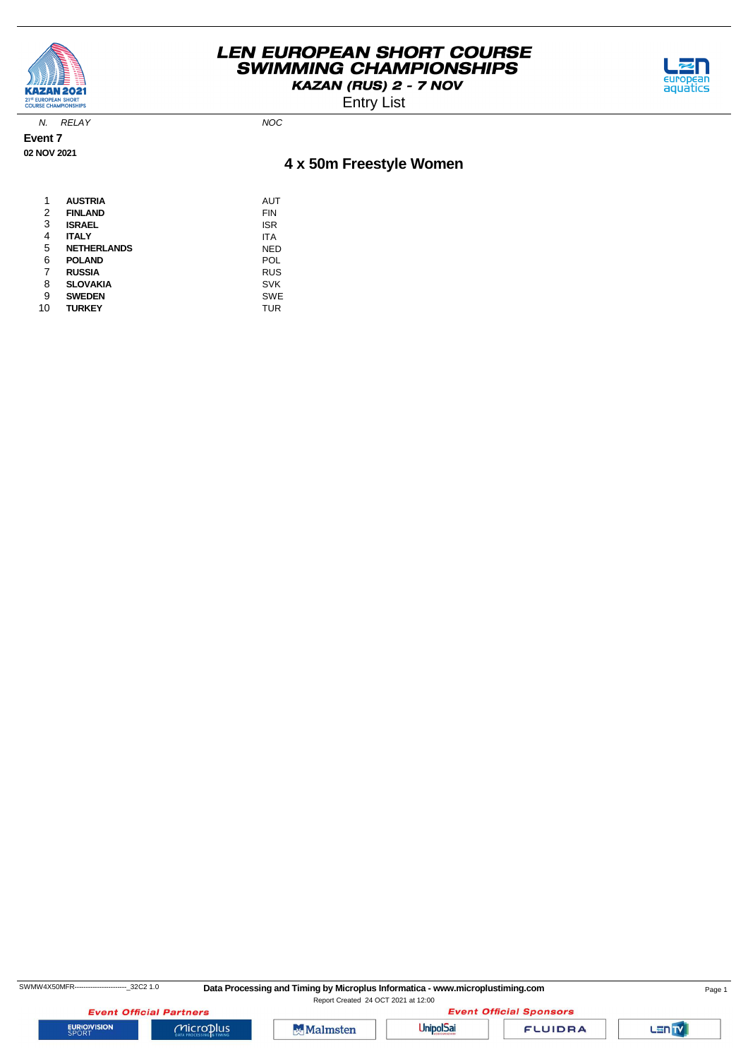

Entry List



N. RELAY NOC

**Event 7 02 NOV 2021**

# **4 x 50m Freestyle Women**

| 1  | <b>AUSTRIA</b>     | AUT        |
|----|--------------------|------------|
| 2  | <b>FINLAND</b>     | <b>FIN</b> |
| 3  | <b>ISRAEL</b>      | <b>ISR</b> |
| 4  | <b>ITALY</b>       | <b>ITA</b> |
| 5  | <b>NETHERLANDS</b> | NED        |
| 6  | <b>POLAND</b>      | POL        |
| 7  | <b>RUSSIA</b>      | <b>RUS</b> |
| 8  | <b>SLOVAKIA</b>    | <b>SVK</b> |
| 9  | <b>SWEDEN</b>      | <b>SWE</b> |
| 10 | <b>TURKEY</b>      | TUR        |



**EURIOVISION** 

**Event Official Partners** 

 $Microplus$ 





**FLUIDRA** 

Lan<sub>TV</sub>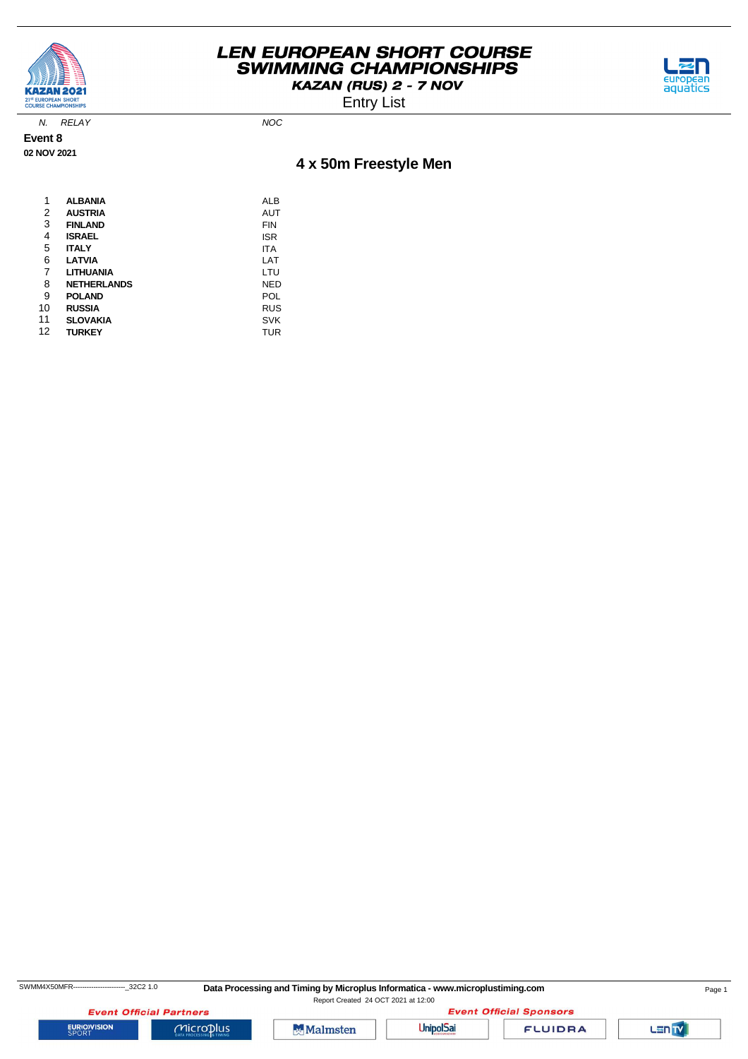



Entry List

N. RELAY NOC

**Event 8 02 NOV 2021**

# **4 x 50m Freestyle Men**

| 1  | <b>ALBANIA</b>     | ALB        |
|----|--------------------|------------|
| 2  | <b>AUSTRIA</b>     | AUT        |
| 3  | <b>FINLAND</b>     | <b>FIN</b> |
| 4  | <b>ISRAEL</b>      | <b>ISR</b> |
| 5  | <b>ITALY</b>       | ITA        |
| 6  | <b>LATVIA</b>      | LAT        |
| 7  | LITHUANIA          | LTU        |
| 8  | <b>NETHERLANDS</b> | NED        |
| 9  | <b>POLAND</b>      | POL        |
| 10 | <b>RUSSIA</b>      | <b>RUS</b> |
| 11 | <b>SLOVAKIA</b>    | <b>SVK</b> |
| 12 | <b>TURKEY</b>      | TUR        |

**EURIOVISION** 

SWMM4X50MFR-----------------------------32C2 1.0 Data Processing and Timing by Microplus Informatica - www.microplustiming.com Page 1 Report Created 24 OCT 2021 at 12:00

**Event Official Partners** 

 $Microplus$ 

**Malmsten** 



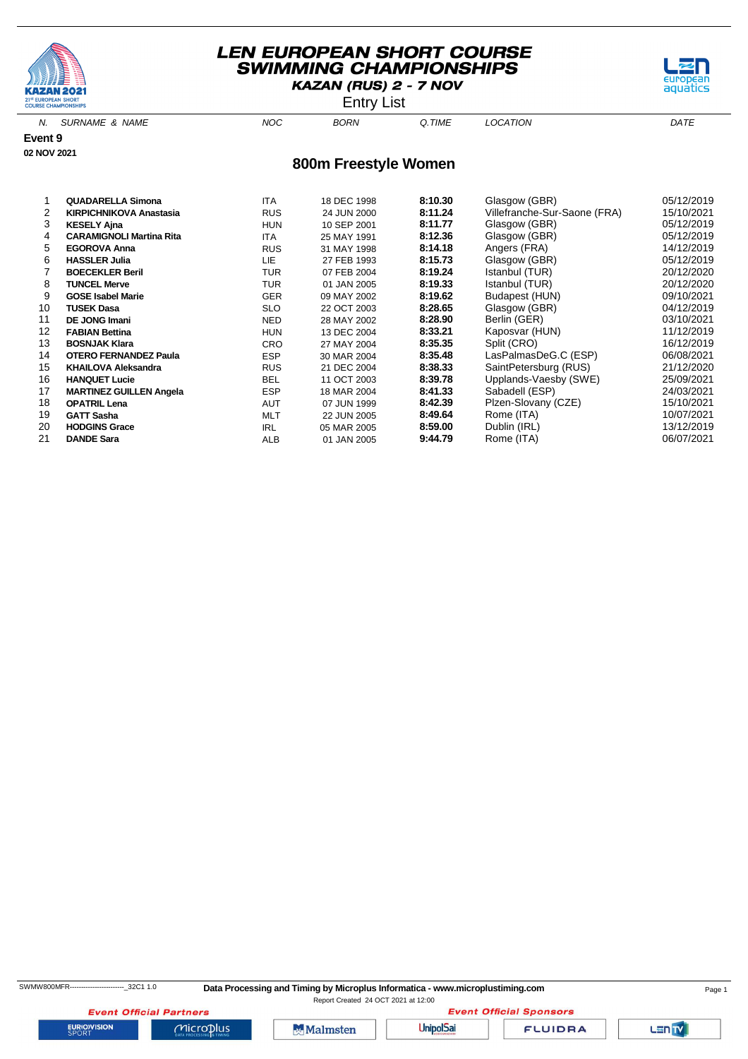



N. SURNAME & NAME  $NOC$  BORN Q.TIME LOCATION DATE **800m Freestyle Women Event 9 02 NOV 2021**

|    | <b>QUADARELLA Simona</b>        | <b>ITA</b> | 18 DEC 1998 | 8:10.30 | Glasgow (GBR)                | 05/12/2019 |
|----|---------------------------------|------------|-------------|---------|------------------------------|------------|
| 2  | <b>KIRPICHNIKOVA Anastasia</b>  | <b>RUS</b> | 24 JUN 2000 | 8:11.24 | Villefranche-Sur-Saone (FRA) | 15/10/2021 |
| 3  | <b>KESELY Ajna</b>              | <b>HUN</b> | 10 SEP 2001 | 8:11.77 | Glasgow (GBR)                | 05/12/2019 |
| 4  | <b>CARAMIGNOLI Martina Rita</b> | <b>ITA</b> | 25 MAY 1991 | 8:12.36 | Glasgow (GBR)                | 05/12/2019 |
| 5  | <b>EGOROVA Anna</b>             | <b>RUS</b> | 31 MAY 1998 | 8:14.18 | Angers (FRA)                 | 14/12/2019 |
| 6  | <b>HASSLER Julia</b>            | LIE        | 27 FEB 1993 | 8:15.73 | Glasgow (GBR)                | 05/12/2019 |
|    | <b>BOECEKLER Beril</b>          | <b>TUR</b> | 07 FEB 2004 | 8:19.24 | Istanbul (TUR)               | 20/12/2020 |
| 8  | <b>TUNCEL Merve</b>             | <b>TUR</b> | 01 JAN 2005 | 8:19.33 | Istanbul (TUR)               | 20/12/2020 |
| 9  | <b>GOSE Isabel Marie</b>        | <b>GER</b> | 09 MAY 2002 | 8:19.62 | Budapest (HUN)               | 09/10/2021 |
| 10 | <b>TUSEK Dasa</b>               | <b>SLO</b> | 22 OCT 2003 | 8:28.65 | Glasgow (GBR)                | 04/12/2019 |
| 11 | <b>DE JONG Imani</b>            | <b>NED</b> | 28 MAY 2002 | 8:28.90 | Berlin (GER)                 | 03/10/2021 |
| 12 | <b>FABIAN Bettina</b>           | <b>HUN</b> | 13 DEC 2004 | 8:33.21 | Kaposvar (HUN)               | 11/12/2019 |
| 13 | <b>BOSNJAK Klara</b>            | <b>CRO</b> | 27 MAY 2004 | 8:35.35 | Split (CRO)                  | 16/12/2019 |
| 14 | <b>OTERO FERNANDEZ Paula</b>    | <b>ESP</b> | 30 MAR 2004 | 8:35.48 | LasPalmasDeG.C (ESP)         | 06/08/2021 |
| 15 | <b>KHAILOVA Aleksandra</b>      | <b>RUS</b> | 21 DEC 2004 | 8:38.33 | SaintPetersburg (RUS)        | 21/12/2020 |
| 16 | <b>HANQUET Lucie</b>            | <b>BEL</b> | 11 OCT 2003 | 8:39.78 | Upplands-Vaesby (SWE)        | 25/09/2021 |
| 17 | <b>MARTINEZ GUILLEN Angela</b>  | <b>ESP</b> | 18 MAR 2004 | 8:41.33 | Sabadell (ESP)               | 24/03/2021 |
| 18 | <b>OPATRIL Lena</b>             | <b>AUT</b> | 07 JUN 1999 | 8:42.39 | Plzen-Slovany (CZE)          | 15/10/2021 |
| 19 | <b>GATT Sasha</b>               | <b>MLT</b> | 22 JUN 2005 | 8:49.64 | Rome (ITA)                   | 10/07/2021 |
| 20 | <b>HODGINS Grace</b>            | <b>IRL</b> | 05 MAR 2005 | 8:59.00 | Dublin (IRL)                 | 13/12/2019 |
| 21 | <b>DANDE Sara</b>               | ALB        | 01 JAN 2005 | 9:44.79 | Rome (ITA)                   | 06/07/2021 |

**EURIOVISION** 

**Event Official Partners** 

 $Microplus$ 

Malmsten

**Event Official Sponsors UnipolSai FLUIDRA** 

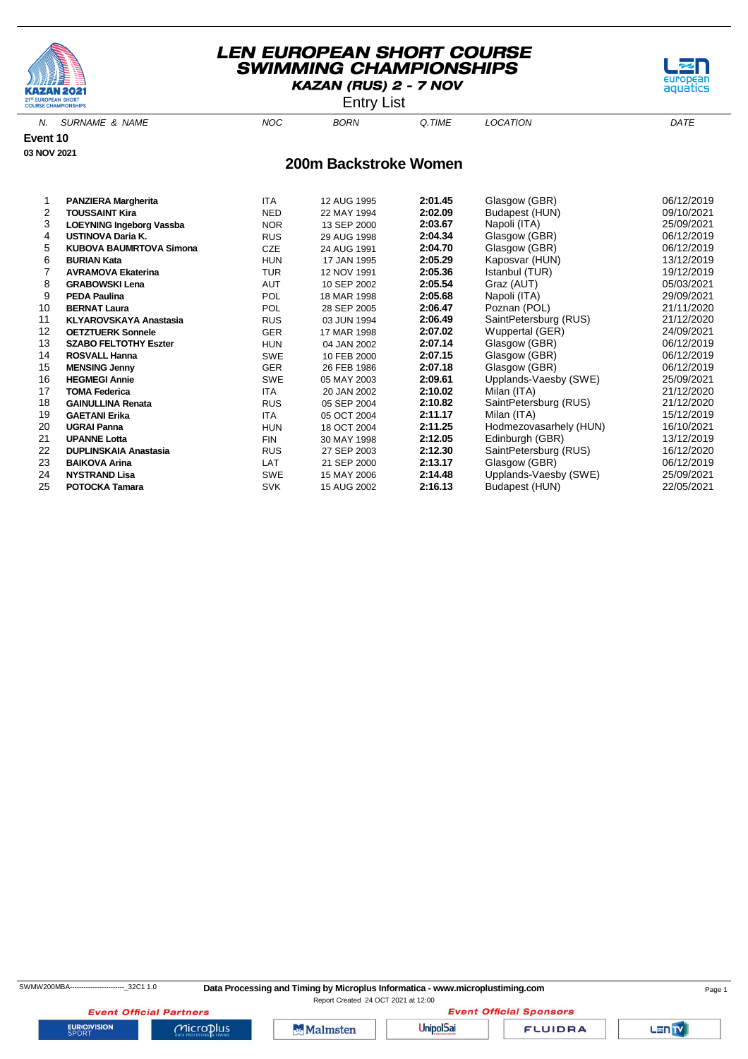



N. SURNAME & NAME  $NOC$  BORN Q.TIME LOCATION DATE

aquati

**Event 10 03 NOV 2021**

#### **200m Backstroke Women**

|    | <b>PANZIERA Margherita</b>      | <b>ITA</b> | 12 AUG 1995 | 2:01.45 | Glasgow (GBR)          | 06/12/2019 |
|----|---------------------------------|------------|-------------|---------|------------------------|------------|
| 2  | <b>TOUSSAINT Kira</b>           | <b>NED</b> | 22 MAY 1994 | 2:02.09 | Budapest (HUN)         | 09/10/2021 |
| 3  | <b>LOEYNING Ingeborg Vassba</b> | <b>NOR</b> | 13 SEP 2000 | 2:03.67 | Napoli (ITA)           | 25/09/2021 |
| 4  | <b>USTINOVA Daria K.</b>        | <b>RUS</b> | 29 AUG 1998 | 2:04.34 | Glasgow (GBR)          | 06/12/2019 |
| 5  | <b>KUBOVA BAUMRTOVA Simona</b>  | CZE        | 24 AUG 1991 | 2:04.70 | Glasgow (GBR)          | 06/12/2019 |
| 6  | <b>BURIAN Kata</b>              | <b>HUN</b> | 17 JAN 1995 | 2:05.29 | Kaposvar (HUN)         | 13/12/2019 |
|    | <b>AVRAMOVA Ekaterina</b>       | <b>TUR</b> | 12 NOV 1991 | 2:05.36 | Istanbul (TUR)         | 19/12/2019 |
| 8  | <b>GRABOWSKI Lena</b>           | <b>AUT</b> | 10 SEP 2002 | 2:05.54 | Graz (AUT)             | 05/03/2021 |
| 9  | <b>PEDA Paulina</b>             | <b>POL</b> | 18 MAR 1998 | 2:05.68 | Napoli (ITA)           | 29/09/2021 |
| 10 | <b>BERNAT Laura</b>             | <b>POL</b> | 28 SEP 2005 | 2:06.47 | Poznan (POL)           | 21/11/2020 |
| 11 | <b>KLYAROVSKAYA Anastasia</b>   | <b>RUS</b> | 03 JUN 1994 | 2:06.49 | SaintPetersburg (RUS)  | 21/12/2020 |
| 12 | <b>OETZTUERK Sonnele</b>        | <b>GER</b> | 17 MAR 1998 | 2:07.02 | Wuppertal (GER)        | 24/09/2021 |
| 13 | <b>SZABO FELTOTHY Eszter</b>    | <b>HUN</b> | 04 JAN 2002 | 2:07.14 | Glasgow (GBR)          | 06/12/2019 |
| 14 | <b>ROSVALL Hanna</b>            | <b>SWE</b> | 10 FEB 2000 | 2:07.15 | Glasgow (GBR)          | 06/12/2019 |
| 15 | <b>MENSING Jenny</b>            | <b>GER</b> | 26 FEB 1986 | 2:07.18 | Glasgow (GBR)          | 06/12/2019 |
| 16 | <b>HEGMEGI Annie</b>            | <b>SWE</b> | 05 MAY 2003 | 2:09.61 | Upplands-Vaesby (SWE)  | 25/09/2021 |
| 17 | <b>TOMA Federica</b>            | <b>ITA</b> | 20 JAN 2002 | 2:10.02 | Milan (ITA)            | 21/12/2020 |
| 18 | <b>GAINULLINA Renata</b>        | <b>RUS</b> | 05 SEP 2004 | 2:10.82 | SaintPetersburg (RUS)  | 21/12/2020 |
| 19 | <b>GAETANI Erika</b>            | <b>ITA</b> | 05 OCT 2004 | 2:11.17 | Milan (ITA)            | 15/12/2019 |
| 20 | <b>UGRAI Panna</b>              | <b>HUN</b> | 18 OCT 2004 | 2:11.25 | Hodmezovasarhely (HUN) | 16/10/2021 |
| 21 | <b>UPANNE Lotta</b>             | <b>FIN</b> | 30 MAY 1998 | 2:12.05 | Edinburgh (GBR)        | 13/12/2019 |
| 22 | <b>DUPLINSKAIA Anastasia</b>    | <b>RUS</b> | 27 SEP 2003 | 2:12.30 | SaintPetersburg (RUS)  | 16/12/2020 |
| 23 | <b>BAIKOVA Arina</b>            | LAT        | 21 SEP 2000 | 2:13.17 | Glasgow (GBR)          | 06/12/2019 |
| 24 | <b>NYSTRAND Lisa</b>            | <b>SWE</b> | 15 MAY 2006 | 2:14.48 | Upplands-Vaesby (SWE)  | 25/09/2021 |
| 25 | <b>POTOCKA Tamara</b>           | <b>SVK</b> | 15 AUG 2002 | 2:16.13 | Budapest (HUN)         | 22/05/2021 |

**Event Official Sponsors** 

**EURIOVISION** 

**Event Official Partners** 

 $Microplus$ 

Malmsten

**UnipolSai** 

**FLUIDRA**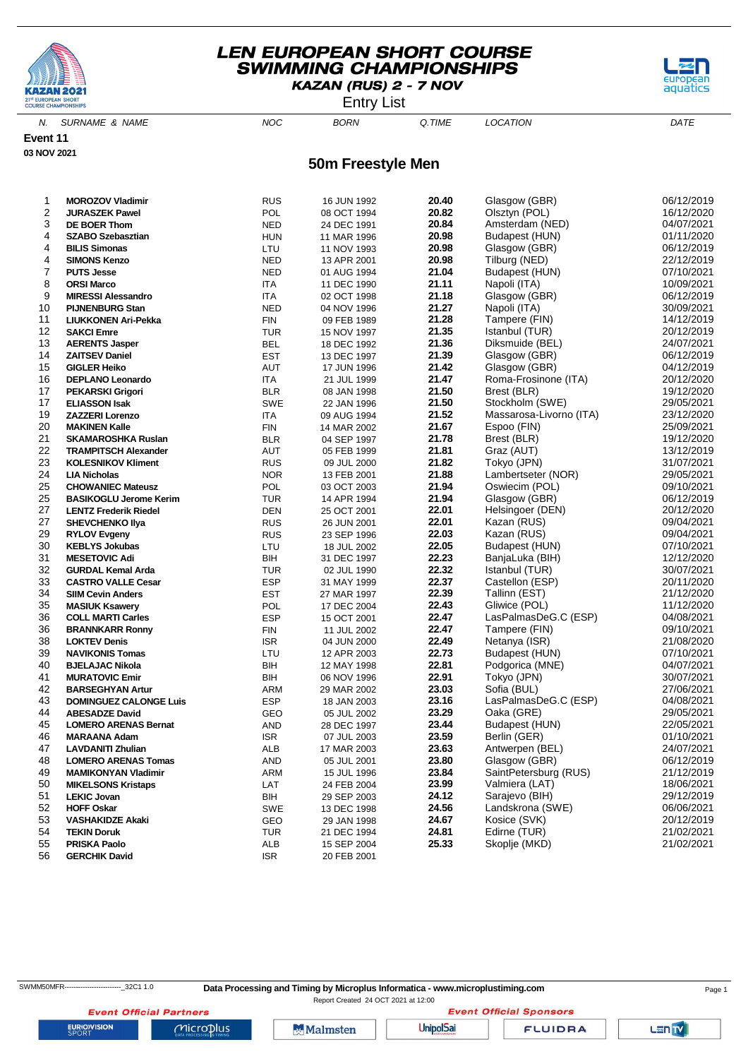

Entry List



N. SURNAME & NAME  $NOC$  BORN Q.TIME LOCATION DATE

**Event 11 03 NOV 2021**

#### **50m Freestyle Men**

| 1  | <b>MOROZOV Vladimir</b>       | RUS                         | 16 JUN 1992 | 20.40 | Glasgow (GBR)           | 06/12/2019 |
|----|-------------------------------|-----------------------------|-------------|-------|-------------------------|------------|
| 2  | <b>JURASZEK Pawel</b>         | POL                         | 08 OCT 1994 | 20.82 | Olsztyn (POL)           | 16/12/2020 |
| 3  | DE BOER Thom                  | <b>NED</b>                  | 24 DEC 1991 | 20.84 | Amsterdam (NED)         | 04/07/2021 |
| 4  | <b>SZABO Szebasztian</b>      | <b>HUN</b>                  | 11 MAR 1996 | 20.98 | Budapest (HUN)          | 01/11/2020 |
| 4  | <b>BILIS Simonas</b>          | LTU                         | 11 NOV 1993 | 20.98 | Glasgow (GBR)           | 06/12/2019 |
| 4  | <b>SIMONS Kenzo</b>           | <b>NED</b>                  | 13 APR 2001 | 20.98 | Tilburg (NED)           | 22/12/2019 |
| 7  | <b>PUTS Jesse</b>             | <b>NED</b>                  | 01 AUG 1994 | 21.04 | Budapest (HUN)          | 07/10/2021 |
| 8  | <b>ORSI Marco</b>             | ITA                         | 11 DEC 1990 | 21.11 | Napoli (ITA)            | 10/09/2021 |
| 9  | <b>MIRESSI Alessandro</b>     | <b>ITA</b>                  | 02 OCT 1998 | 21.18 | Glasgow (GBR)           | 06/12/2019 |
| 10 | <b>PIJNENBURG Stan</b>        | <b>NED</b>                  | 04 NOV 1996 | 21.27 | Napoli (ITA)            | 30/09/2021 |
| 11 | LIUKKONEN Ari-Pekka           | <b>FIN</b>                  | 09 FEB 1989 | 21.28 | Tampere (FIN)           | 14/12/2019 |
| 12 | <b>SAKCI Emre</b>             | <b>TUR</b>                  |             | 21.35 | Istanbul (TUR)          | 20/12/2019 |
| 13 |                               |                             | 15 NOV 1997 | 21.36 | Diksmuide (BEL)         | 24/07/2021 |
|    | <b>AERENTS Jasper</b>         | <b>BEL</b>                  | 18 DEC 1992 |       |                         |            |
| 14 | <b>ZAITSEV Daniel</b>         | <b>EST</b>                  | 13 DEC 1997 | 21.39 | Glasgow (GBR)           | 06/12/2019 |
| 15 | <b>GIGLER Heiko</b>           | AUT                         | 17 JUN 1996 | 21.42 | Glasgow (GBR)           | 04/12/2019 |
| 16 | <b>DEPLANO Leonardo</b>       | ITA                         | 21 JUL 1999 | 21.47 | Roma-Frosinone (ITA)    | 20/12/2020 |
| 17 | <b>PEKARSKI Grigori</b>       | <b>BLR</b>                  | 08 JAN 1998 | 21.50 | Brest (BLR)             | 19/12/2020 |
| 17 | <b>ELIASSON Isak</b>          | <b>SWE</b>                  | 22 JAN 1996 | 21.50 | Stockholm (SWE)         | 29/05/2021 |
| 19 | <b>ZAZZERI Lorenzo</b>        | <b>ITA</b>                  | 09 AUG 1994 | 21.52 | Massarosa-Livorno (ITA) | 23/12/2020 |
| 20 | <b>MAKINEN Kalle</b>          | <b>FIN</b>                  | 14 MAR 2002 | 21.67 | Espoo (FIN)             | 25/09/2021 |
| 21 | <b>SKAMAROSHKA Ruslan</b>     | <b>BLR</b>                  | 04 SEP 1997 | 21.78 | Brest (BLR)             | 19/12/2020 |
| 22 | <b>TRAMPITSCH Alexander</b>   | AUT                         | 05 FEB 1999 | 21.81 | Graz (AUT)              | 13/12/2019 |
| 23 | <b>KOLESNIKOV Kliment</b>     | <b>RUS</b>                  | 09 JUL 2000 | 21.82 | Tokyo (JPN)             | 31/07/2021 |
| 24 | <b>LIA Nicholas</b>           | <b>NOR</b>                  | 13 FEB 2001 | 21.88 | Lambertseter (NOR)      | 29/05/2021 |
| 25 | <b>CHOWANIEC Mateusz</b>      | POL                         | 03 OCT 2003 | 21.94 | Oswiecim (POL)          | 09/10/2021 |
| 25 | <b>BASIKOGLU Jerome Kerim</b> | <b>TUR</b>                  | 14 APR 1994 | 21.94 | Glasgow (GBR)           | 06/12/2019 |
| 27 | <b>LENTZ Frederik Riedel</b>  | <b>DEN</b>                  | 25 OCT 2001 | 22.01 | Helsingoer (DEN)        | 20/12/2020 |
| 27 | <b>SHEVCHENKO IIya</b>        | <b>RUS</b>                  | 26 JUN 2001 | 22.01 | Kazan (RUS)             | 09/04/2021 |
| 29 | <b>RYLOV Evgeny</b>           | <b>RUS</b>                  | 23 SEP 1996 | 22.03 | Kazan (RUS)             | 09/04/2021 |
| 30 | <b>KEBLYS Jokubas</b>         | LTU                         | 18 JUL 2002 | 22.05 | Budapest (HUN)          | 07/10/2021 |
| 31 | <b>MESETOVIC Adi</b>          | BIH                         | 31 DEC 1997 | 22.23 | BanjaLuka (BIH)         | 12/12/2020 |
| 32 | <b>GURDAL Kemal Arda</b>      | <b>TUR</b>                  | 02 JUL 1990 | 22.32 | Istanbul (TUR)          | 30/07/2021 |
| 33 | <b>CASTRO VALLE Cesar</b>     | <b>ESP</b>                  | 31 MAY 1999 | 22.37 | Castellon (ESP)         | 20/11/2020 |
| 34 | <b>SIIM Cevin Anders</b>      | <b>EST</b>                  | 27 MAR 1997 | 22.39 | Tallinn (EST)           | 21/12/2020 |
| 35 | <b>MASIUK Ksawery</b>         | POL                         | 17 DEC 2004 | 22.43 | Gliwice (POL)           | 11/12/2020 |
| 36 | <b>COLL MARTI Carles</b>      | <b>ESP</b>                  | 15 OCT 2001 | 22.47 | LasPalmasDeG.C (ESP)    | 04/08/2021 |
| 36 | <b>BRANNKARR Ronny</b>        | <b>FIN</b>                  | 11 JUL 2002 | 22.47 | Tampere (FIN)           | 09/10/2021 |
| 38 | <b>LOKTEV Denis</b>           | <b>ISR</b>                  | 04 JUN 2000 | 22.49 | Netanya (ISR)           | 21/08/2020 |
| 39 |                               |                             |             | 22.73 |                         | 07/10/2021 |
| 40 | <b>NAVIKONIS Tomas</b>        | LTU                         | 12 APR 2003 | 22.81 | Budapest (HUN)          | 04/07/2021 |
|    | <b>BJELAJAC Nikola</b>        | BIH                         | 12 MAY 1998 |       | Podgorica (MNE)         |            |
| 41 | <b>MURATOVIC Emir</b>         | BIH                         | 06 NOV 1996 | 22.91 | Tokyo (JPN)             | 30/07/2021 |
| 42 | <b>BARSEGHYAN Artur</b>       | ARM                         | 29 MAR 2002 | 23.03 | Sofia (BUL)             | 27/06/2021 |
| 43 | <b>DOMINGUEZ CALONGE Luis</b> | <b>ESP</b>                  | 18 JAN 2003 | 23.16 | LasPalmasDeG.C (ESP)    | 04/08/2021 |
| 44 | <b>ABESADZE David</b>         | GEO                         | 05 JUL 2002 | 23.29 | Oaka (GRE)              | 29/05/2021 |
| 45 | <b>LOMERO ARENAS Bernat</b>   | <b>AND</b>                  | 28 DEC 1997 | 23.44 | Budapest (HUN)          | 22/05/2021 |
| 46 | <b>MARAANA Adam</b>           | <b>ISR</b>                  | 07 JUL 2003 | 23.59 | Berlin (GER)            | 01/10/2021 |
| 47 | <b>LAVDANITI Zhulian</b>      | <b>ALB</b>                  | 17 MAR 2003 | 23.63 | Antwerpen (BEL)         | 24/07/2021 |
| 48 | <b>LOMERO ARENAS Tomas</b>    | AND                         | 05 JUL 2001 | 23.80 | Glasgow (GBR)           | 06/12/2019 |
| 49 | <b>MAMIKONYAN Vladimir</b>    | ARM                         | 15 JUL 1996 | 23.84 | SaintPetersburg (RUS)   | 21/12/2019 |
| 50 | <b>MIKELSONS Kristaps</b>     | LAT                         | 24 FEB 2004 | 23.99 | Valmiera (LAT)          | 18/06/2021 |
| 51 | <b>LEKIC Jovan</b>            | BIH                         | 29 SEP 2003 | 24.12 | Sarajevo (BIH)          | 29/12/2019 |
| 52 | <b>HOFF Oskar</b>             | SWE                         | 13 DEC 1998 | 24.56 | Landskrona (SWE)        | 06/06/2021 |
| 53 | <b>VASHAKIDZE Akaki</b>       | GEO                         | 29 JAN 1998 | 24.67 | Kosice (SVK)            | 20/12/2019 |
| 54 | <b>TEKIN Doruk</b>            | <b>TUR</b>                  | 21 DEC 1994 | 24.81 | Edirne (TUR)            | 21/02/2021 |
| 55 | PRISKA Paolo                  | ALB                         | 15 SEP 2004 | 25.33 | Skoplje (MKD)           | 21/02/2021 |
| 56 | <b>GERCHIK David</b>          | $\ensuremath{\mathsf{ISR}}$ | 20 FEB 2001 |       |                         |            |

Report Created 24 OCT 2021 at 12:00**Event Official Sponsors** 

**Event Official Partners EURIOVISION** 

 $Microplus$ 

**Malmsten** 

**UnipolSai** 

**FLUIDRA**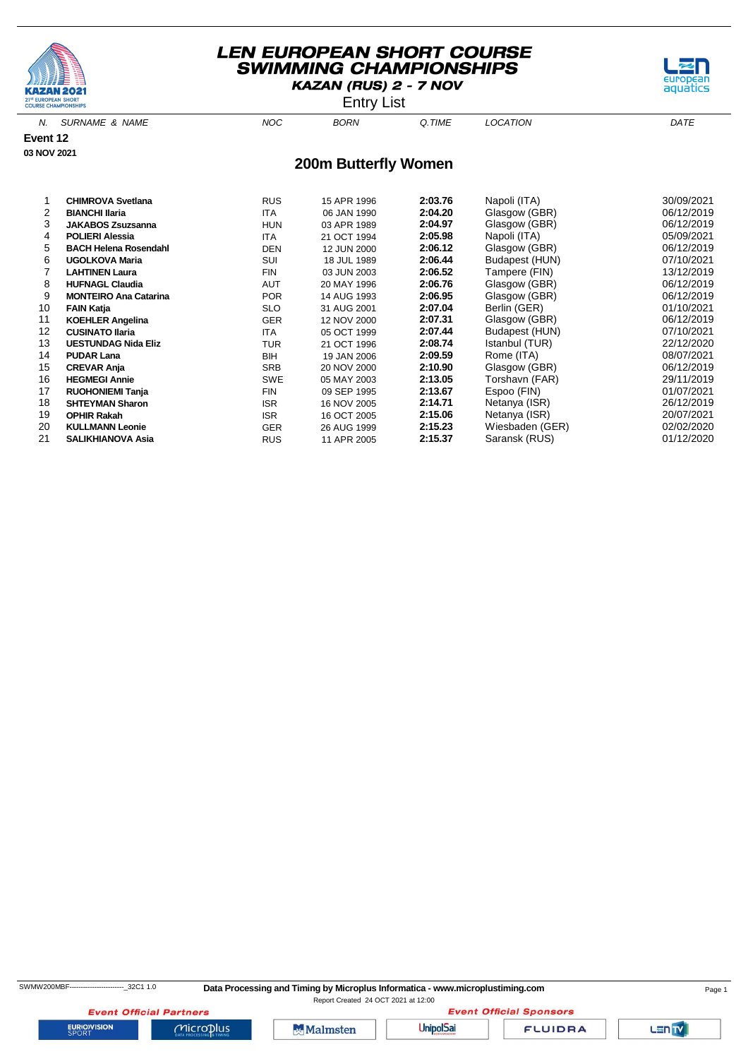





| 3  | <b>JAKABOS Zsuzsanna</b>     | <b>HUN</b> | 03 APR 1989 | 2:04.97 | Glasgow (GBR)   | 06/12/2019 |
|----|------------------------------|------------|-------------|---------|-----------------|------------|
| 4  | <b>POLIERI Alessia</b>       | <b>ITA</b> | 21 OCT 1994 | 2:05.98 | Napoli (ITA)    | 05/09/2021 |
| 5. | <b>BACH Helena Rosendahl</b> | <b>DEN</b> | 12 JUN 2000 | 2:06.12 | Glasgow (GBR)   | 06/12/2019 |
| 6  | <b>UGOLKOVA Maria</b>        | <b>SUI</b> | 18 JUL 1989 | 2:06.44 | Budapest (HUN)  | 07/10/2021 |
|    | <b>LAHTINEN Laura</b>        | <b>FIN</b> | 03 JUN 2003 | 2:06.52 | Tampere (FIN)   | 13/12/2019 |
| 8  | <b>HUFNAGL Claudia</b>       | <b>AUT</b> | 20 MAY 1996 | 2:06.76 | Glasgow (GBR)   | 06/12/2019 |
| 9  | <b>MONTEIRO Ana Catarina</b> | <b>POR</b> | 14 AUG 1993 | 2:06.95 | Glasgow (GBR)   | 06/12/2019 |
| 10 | <b>FAIN Katia</b>            | SLO.       | 31 AUG 2001 | 2:07.04 | Berlin (GER)    | 01/10/2021 |
| 11 | <b>KOEHLER Angelina</b>      | <b>GER</b> | 12 NOV 2000 | 2:07.31 | Glasgow (GBR)   | 06/12/2019 |
| 12 | <b>CUSINATO Ilaria</b>       | <b>ITA</b> | 05 OCT 1999 | 2:07.44 | Budapest (HUN)  | 07/10/2021 |
| 13 | <b>UESTUNDAG Nida Eliz</b>   | <b>TUR</b> | 21 OCT 1996 | 2:08.74 | Istanbul (TUR)  | 22/12/2020 |
| 14 | <b>PUDAR Lana</b>            | <b>BIH</b> | 19 JAN 2006 | 2:09.59 | Rome (ITA)      | 08/07/2021 |
| 15 | <b>CREVAR Anja</b>           | <b>SRB</b> | 20 NOV 2000 | 2:10.90 | Glasgow (GBR)   | 06/12/2019 |
| 16 | <b>HEGMEGI Annie</b>         | <b>SWE</b> | 05 MAY 2003 | 2:13.05 | Torshavn (FAR)  | 29/11/2019 |
| 17 | <b>RUOHONIEMI Tanja</b>      | <b>FIN</b> | 09 SEP 1995 | 2:13.67 | Espoo (FIN)     | 01/07/2021 |
| 18 | <b>SHTEYMAN Sharon</b>       | <b>ISR</b> | 16 NOV 2005 | 2:14.71 | Netanya (ISR)   | 26/12/2019 |
| 19 | <b>OPHIR Rakah</b>           | <b>ISR</b> | 16 OCT 2005 | 2:15.06 | Netanya (ISR)   | 20/07/2021 |
| 20 | <b>KULLMANN Leonie</b>       | <b>GER</b> | 26 AUG 1999 | 2:15.23 | Wiesbaden (GER) | 02/02/2020 |
| 21 | <b>SALIKHIANOVA Asia</b>     | <b>RUS</b> | 11 APR 2005 | 2:15.37 | Saransk (RUS)   | 01/12/2020 |

**EURIOVISION** 

**Event Official Partners** 

 $MicroD<sub>lus</sub>$ 

**UnipolSai** 

Malmsten

**FLUIDRA** 

**Event Official Sponsors** 

LENTY

aquatics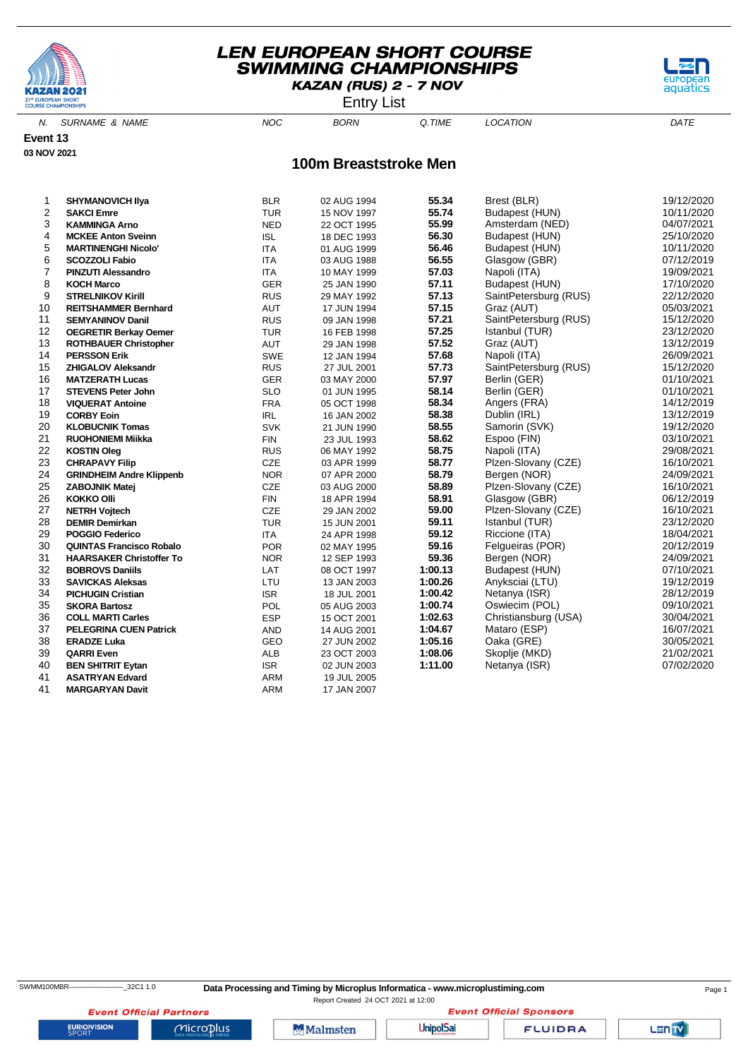

Entry List



N. SURNAME & NAME  $NOC$  BORN Q.TIME LOCATION DATE

**Event 13 03 NOV 2021**

**100m Breaststroke Men**

| 1  | <b>SHYMANOVICH IIva</b>         | <b>BLR</b> | 02 AUG 1994 | 55.34   | Brest (BLR)           | 19/12/2020 |
|----|---------------------------------|------------|-------------|---------|-----------------------|------------|
| 2  | <b>SAKCI Emre</b>               | <b>TUR</b> | 15 NOV 1997 | 55.74   | Budapest (HUN)        | 10/11/2020 |
| 3  | <b>KAMMINGA Arno</b>            | <b>NED</b> | 22 OCT 1995 | 55.99   | Amsterdam (NED)       | 04/07/2021 |
| 4  | <b>MCKEE Anton Sveinn</b>       | <b>ISL</b> | 18 DEC 1993 | 56.30   | Budapest (HUN)        | 25/10/2020 |
| 5  | <b>MARTINENGHI Nicolo'</b>      | <b>ITA</b> | 01 AUG 1999 | 56.46   | Budapest (HUN)        | 10/11/2020 |
| 6  | <b>SCOZZOLI Fabio</b>           | <b>ITA</b> | 03 AUG 1988 | 56.55   | Glasgow (GBR)         | 07/12/2019 |
| 7  | <b>PINZUTI Alessandro</b>       | <b>ITA</b> | 10 MAY 1999 | 57.03   | Napoli (ITA)          | 19/09/2021 |
| 8  | <b>KOCH Marco</b>               | <b>GER</b> | 25 JAN 1990 | 57.11   | Budapest (HUN)        | 17/10/2020 |
| 9  | <b>STRELNIKOV Kirill</b>        | <b>RUS</b> | 29 MAY 1992 | 57.13   | SaintPetersburg (RUS) | 22/12/2020 |
| 10 | <b>REITSHAMMER Bernhard</b>     | <b>AUT</b> | 17 JUN 1994 | 57.15   | Graz (AUT)            | 05/03/2021 |
| 11 | <b>SEMYANINOV Danil</b>         | <b>RUS</b> | 09 JAN 1998 | 57.21   | SaintPetersburg (RUS) | 15/12/2020 |
| 12 | <b>OEGRETIR Berkay Oemer</b>    | <b>TUR</b> | 16 FEB 1998 | 57.25   | Istanbul (TUR)        | 23/12/2020 |
| 13 | <b>ROTHBAUER Christopher</b>    | <b>AUT</b> | 29 JAN 1998 | 57.52   | Graz (AUT)            | 13/12/2019 |
| 14 | <b>PERSSON Erik</b>             | SWE        | 12 JAN 1994 | 57.68   | Napoli (ITA)          | 26/09/2021 |
| 15 | <b>ZHIGALOV Aleksandr</b>       | <b>RUS</b> | 27 JUL 2001 | 57.73   | SaintPetersburg (RUS) | 15/12/2020 |
| 16 | <b>MATZERATH Lucas</b>          | <b>GER</b> | 03 MAY 2000 | 57.97   | Berlin (GER)          | 01/10/2021 |
| 17 | <b>STEVENS Peter John</b>       | <b>SLO</b> | 01 JUN 1995 | 58.14   | Berlin (GER)          | 01/10/2021 |
| 18 | <b>VIQUERAT Antoine</b>         | <b>FRA</b> | 05 OCT 1998 | 58.34   | Angers (FRA)          | 14/12/2019 |
| 19 | <b>CORBY Eoin</b>               | <b>IRL</b> | 16 JAN 2002 | 58.38   | Dublin (IRL)          | 13/12/2019 |
| 20 | <b>KLOBUCNIK Tomas</b>          | <b>SVK</b> | 21 JUN 1990 | 58.55   | Samorin (SVK)         | 19/12/2020 |
| 21 | <b>RUOHONIEMI Miikka</b>        | <b>FIN</b> | 23 JUL 1993 | 58.62   | Espoo (FIN)           | 03/10/2021 |
| 22 | <b>KOSTIN Oleg</b>              | <b>RUS</b> | 06 MAY 1992 | 58.75   | Napoli (ITA)          | 29/08/2021 |
| 23 | <b>CHRAPAVY Filip</b>           | CZE        | 03 APR 1999 | 58.77   | Plzen-Slovany (CZE)   | 16/10/2021 |
| 24 | <b>GRINDHEIM Andre Klippenb</b> | <b>NOR</b> | 07 APR 2000 | 58.79   | Bergen (NOR)          | 24/09/2021 |
| 25 | ZABOJNIK Matej                  | CZE        | 03 AUG 2000 | 58.89   | Plzen-Slovany (CZE)   | 16/10/2021 |
| 26 | <b>KOKKO Olli</b>               | <b>FIN</b> | 18 APR 1994 | 58.91   | Glasgow (GBR)         | 06/12/2019 |
| 27 | <b>NETRH Vojtech</b>            | CZE        | 29 JAN 2002 | 59.00   | Plzen-Slovany (CZE)   | 16/10/2021 |
| 28 | <b>DEMIR Demirkan</b>           | <b>TUR</b> | 15 JUN 2001 | 59.11   | Istanbul (TUR)        | 23/12/2020 |
| 29 | <b>POGGIO Federico</b>          | <b>ITA</b> | 24 APR 1998 | 59.12   | Riccione (ITA)        | 18/04/2021 |
| 30 | <b>QUINTAS Francisco Robalo</b> | <b>POR</b> | 02 MAY 1995 | 59.16   | Felgueiras (POR)      | 20/12/2019 |
| 31 | <b>HAARSAKER Christoffer To</b> | <b>NOR</b> | 12 SEP 1993 | 59.36   | Bergen (NOR)          | 24/09/2021 |
| 32 | <b>BOBROVS Daniils</b>          | LAT        | 08 OCT 1997 | 1:00.13 | Budapest (HUN)        | 07/10/2021 |
| 33 | <b>SAVICKAS Aleksas</b>         | LTU        | 13 JAN 2003 | 1:00.26 | Anyksciai (LTU)       | 19/12/2019 |
| 34 | <b>PICHUGIN Cristian</b>        | <b>ISR</b> | 18 JUL 2001 | 1:00.42 | Netanya (ISR)         | 28/12/2019 |
| 35 | <b>SKORA Bartosz</b>            | POL        | 05 AUG 2003 | 1:00.74 | Oswiecim (POL)        | 09/10/2021 |
| 36 | <b>COLL MARTI Carles</b>        | <b>ESP</b> | 15 OCT 2001 | 1:02.63 | Christiansburg (USA)  | 30/04/2021 |
| 37 | <b>PELEGRINA CUEN Patrick</b>   | <b>AND</b> | 14 AUG 2001 | 1:04.67 | Mataro (ESP)          | 16/07/2021 |
| 38 | <b>ERADZE Luka</b>              | GEO        | 27 JUN 2002 | 1:05.16 | Oaka (GRE)            | 30/05/2021 |
| 39 | <b>QARRI Even</b>               | <b>ALB</b> | 23 OCT 2003 | 1:08.06 | Skoplje (MKD)         | 21/02/2021 |
| 40 | <b>BEN SHITRIT Eytan</b>        | <b>ISR</b> | 02 JUN 2003 | 1:11.00 | Netanya (ISR)         | 07/02/2020 |
| 41 | <b>ASATRYAN Edvard</b>          | ARM        | 19 JUL 2005 |         |                       |            |
| 41 | <b>MARGARYAN Davit</b>          | <b>ARM</b> | 17 JAN 2007 |         |                       |            |

**EURIOVISION** 

**Event Official Partners** 

SWMM100MBR---------------------------32C1 1.0 **Data Processing and Timing by Microplus Informatica - www.microplustiming.com** Page 1

Report Created 24 OCT 2021 at 12:00**Event Official Sponsors** 

 $Microplus$ 

Malmsten

**UnipolSai** 

**FLUIDRA** 

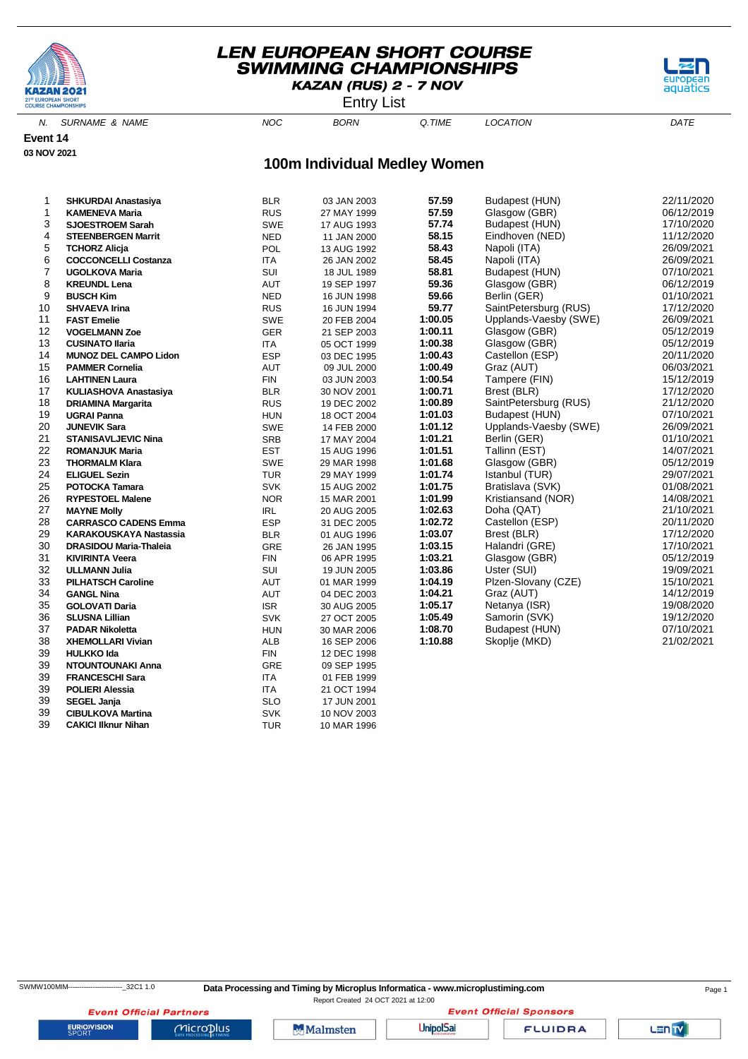

Entry List

aquatics

N. SURNAME & NAME  $NOC$  BORN Q.TIME LOCATION DATE

**Event 14 03 NOV 2021**

# **100m Individual Medley Women**

| 1  | <b>SHKURDAI Anastasiya</b>    | <b>BLR</b> | 03 JAN 2003 | 57.59   | Budapest (HUN)        | 22/11/2020 |
|----|-------------------------------|------------|-------------|---------|-----------------------|------------|
| 1  | <b>KAMENEVA Maria</b>         | <b>RUS</b> | 27 MAY 1999 | 57.59   | Glasgow (GBR)         | 06/12/2019 |
| 3  | <b>SJOESTROEM Sarah</b>       | <b>SWE</b> | 17 AUG 1993 | 57.74   | Budapest (HUN)        | 17/10/2020 |
| 4  | <b>STEENBERGEN Marrit</b>     | <b>NED</b> | 11 JAN 2000 | 58.15   | Eindhoven (NED)       | 11/12/2020 |
| 5  | <b>TCHORZ Alicja</b>          | POL        | 13 AUG 1992 | 58.43   | Napoli (ITA)          | 26/09/2021 |
| 6  | <b>COCCONCELLI Costanza</b>   | <b>ITA</b> | 26 JAN 2002 | 58.45   | Napoli (ITA)          | 26/09/2021 |
| 7  | <b>UGOLKOVA Maria</b>         | SUI        | 18 JUL 1989 | 58.81   | Budapest (HUN)        | 07/10/2021 |
| 8  | <b>KREUNDL Lena</b>           | <b>AUT</b> | 19 SEP 1997 | 59.36   | Glasgow (GBR)         | 06/12/2019 |
| 9  | <b>BUSCH Kim</b>              | <b>NED</b> | 16 JUN 1998 | 59.66   | Berlin (GER)          | 01/10/2021 |
| 10 | <b>SHVAEVA Irina</b>          | <b>RUS</b> | 16 JUN 1994 | 59.77   | SaintPetersburg (RUS) | 17/12/2020 |
| 11 | <b>FAST Emelie</b>            | SWE        | 20 FEB 2004 | 1:00.05 | Upplands-Vaesby (SWE) | 26/09/2021 |
| 12 | <b>VOGELMANN Zoe</b>          | <b>GER</b> | 21 SEP 2003 | 1:00.11 | Glasgow (GBR)         | 05/12/2019 |
| 13 | <b>CUSINATO Ilaria</b>        | <b>ITA</b> | 05 OCT 1999 | 1:00.38 | Glasgow (GBR)         | 05/12/2019 |
| 14 | MUNOZ DEL CAMPO Lidon         | <b>ESP</b> | 03 DEC 1995 | 1:00.43 | Castellon (ESP)       | 20/11/2020 |
| 15 | <b>PAMMER Cornelia</b>        | AUT        | 09 JUL 2000 | 1:00.49 | Graz (AUT)            | 06/03/2021 |
| 16 | <b>LAHTINEN Laura</b>         | <b>FIN</b> | 03 JUN 2003 | 1:00.54 | Tampere (FIN)         | 15/12/2019 |
| 17 | KULIASHOVA Anastasiya         | <b>BLR</b> | 30 NOV 2001 | 1:00.71 | Brest (BLR)           | 17/12/2020 |
| 18 | <b>DRIAMINA Margarita</b>     | <b>RUS</b> | 19 DEC 2002 | 1:00.89 | SaintPetersburg (RUS) | 21/12/2020 |
| 19 | <b>UGRAI Panna</b>            | <b>HUN</b> | 18 OCT 2004 | 1:01.03 | Budapest (HUN)        | 07/10/2021 |
| 20 | <b>JUNEVIK Sara</b>           | SWE        | 14 FEB 2000 | 1:01.12 | Upplands-Vaesby (SWE) | 26/09/2021 |
| 21 | <b>STANISAVLJEVIC Nina</b>    | SRB        | 17 MAY 2004 | 1:01.21 | Berlin (GER)          | 01/10/2021 |
| 22 | <b>ROMANJUK Maria</b>         | <b>EST</b> | 15 AUG 1996 | 1:01.51 | Tallinn (EST)         | 14/07/2021 |
| 23 | <b>THORMALM Klara</b>         | <b>SWE</b> | 29 MAR 1998 | 1:01.68 | Glasgow (GBR)         | 05/12/2019 |
| 24 | <b>ELIGUEL Sezin</b>          | <b>TUR</b> | 29 MAY 1999 | 1:01.74 | Istanbul (TUR)        | 29/07/2021 |
| 25 | POTOCKA Tamara                | <b>SVK</b> | 15 AUG 2002 | 1:01.75 | Bratislava (SVK)      | 01/08/2021 |
| 26 | <b>RYPESTOEL Malene</b>       | <b>NOR</b> | 15 MAR 2001 | 1:01.99 | Kristiansand (NOR)    | 14/08/2021 |
| 27 | <b>MAYNE Molly</b>            | IRL        | 20 AUG 2005 | 1:02.63 | Doha (QAT)            | 21/10/2021 |
| 28 | <b>CARRASCO CADENS Emma</b>   | <b>ESP</b> | 31 DEC 2005 | 1:02.72 | Castellon (ESP)       | 20/11/2020 |
| 29 | <b>KARAKOUSKAYA Nastassia</b> | <b>BLR</b> | 01 AUG 1996 | 1:03.07 | Brest (BLR)           | 17/12/2020 |
| 30 | <b>DRASIDOU Maria-Thaleia</b> | GRE        | 26 JAN 1995 | 1:03.15 | Halandri (GRE)        | 17/10/2021 |
| 31 | <b>KIVIRINTA Veera</b>        | <b>FIN</b> | 06 APR 1995 | 1:03.21 | Glasgow (GBR)         | 05/12/2019 |
| 32 | <b>ULLMANN Julia</b>          | SUI        | 19 JUN 2005 | 1:03.86 | Uster (SUI)           | 19/09/2021 |
| 33 | <b>PILHATSCH Caroline</b>     | AUT        | 01 MAR 1999 | 1:04.19 | Plzen-Slovany (CZE)   | 15/10/2021 |
| 34 | <b>GANGL Nina</b>             | <b>AUT</b> | 04 DEC 2003 | 1:04.21 | Graz (AUT)            | 14/12/2019 |
| 35 | <b>GOLOVATI Daria</b>         | <b>ISR</b> | 30 AUG 2005 | 1:05.17 | Netanya (ISR)         | 19/08/2020 |
| 36 | <b>SLUSNA Lillian</b>         | <b>SVK</b> | 27 OCT 2005 | 1:05.49 | Samorin (SVK)         | 19/12/2020 |
| 37 | <b>PADAR Nikoletta</b>        | <b>HUN</b> | 30 MAR 2006 | 1:08.70 | Budapest (HUN)        | 07/10/2021 |
| 38 | <b>XHEMOLLARI Vivian</b>      | ALB        | 16 SEP 2006 | 1:10.88 | Skoplje (MKD)         | 21/02/2021 |
| 39 | <b>HULKKO Ida</b>             | <b>FIN</b> | 12 DEC 1998 |         |                       |            |
| 39 | NTOUNTOUNAKI Anna             | GRE        | 09 SEP 1995 |         |                       |            |
| 39 | <b>FRANCESCHI Sara</b>        | <b>ITA</b> | 01 FEB 1999 |         |                       |            |
| 39 | <b>POLIERI Alessia</b>        | <b>ITA</b> | 21 OCT 1994 |         |                       |            |
| 39 | <b>SEGEL Janja</b>            | <b>SLO</b> | 17 JUN 2001 |         |                       |            |
| 39 | <b>CIBULKOVA Martina</b>      | <b>SVK</b> | 10 NOV 2003 |         |                       |            |
| 39 | <b>CAKICI Ilknur Nihan</b>    | <b>TUR</b> | 10 MAR 1996 |         |                       |            |

**EURIOVISION** 

**Event Official Partners** 

 $MicroD<sub>lus</sub>$ 

Malmsten

**Event Official Sponsors UnipolSai** 

**FLUIDRA**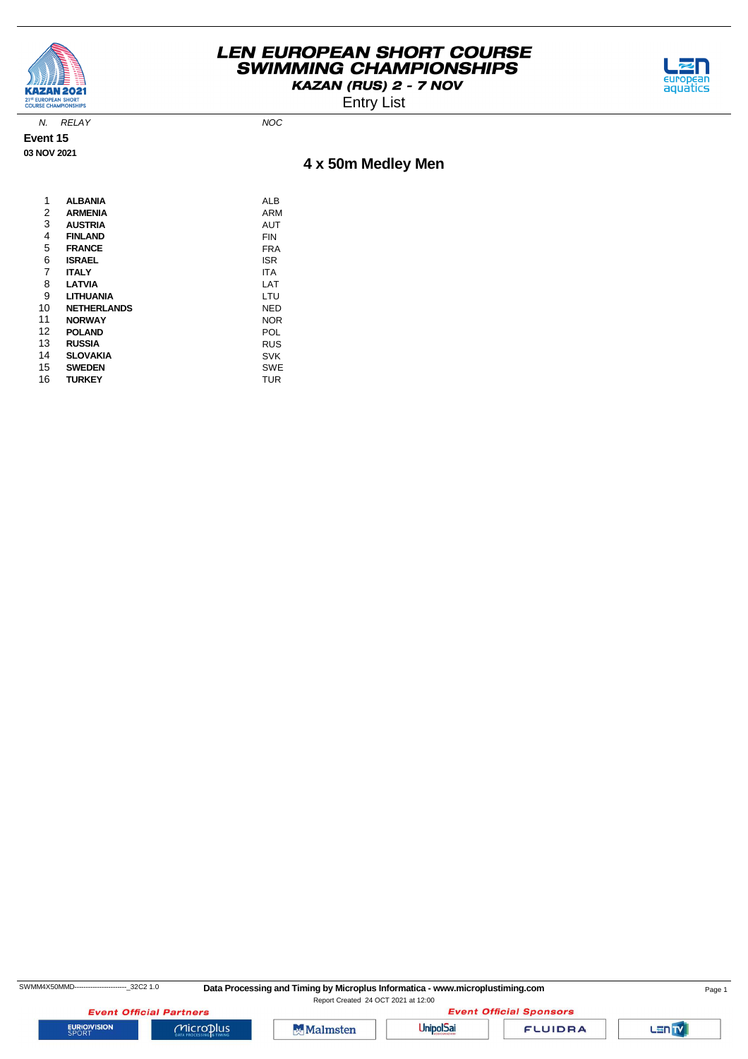



Entry List

N. RELAY NOC

**Event 15 03 NOV 2021**

# **4 x 50m Medley Men**

| 1  | <b>ALBANIA</b>     | ALB        |
|----|--------------------|------------|
| 2  | <b>ARMENIA</b>     | ARM        |
| 3  | <b>AUSTRIA</b>     | <b>AUT</b> |
| 4  | <b>FINLAND</b>     | FIN        |
| 5  | <b>FRANCE</b>      | FRA        |
| 6  | <b>ISRAEL</b>      | <b>ISR</b> |
| 7  | <b>ITALY</b>       | <b>ITA</b> |
| 8  | <b>LATVIA</b>      | LAT        |
| 9  | LITHUANIA          | LTU        |
| 10 | <b>NETHERLANDS</b> | <b>NED</b> |
| 11 | <b>NORWAY</b>      | <b>NOR</b> |
| 12 | <b>POLAND</b>      | POL        |
| 13 | <b>RUSSIA</b>      | <b>RUS</b> |
| 14 | <b>SLOVAKIA</b>    | <b>SVK</b> |
| 15 | <b>SWEDEN</b>      | SWE        |
| 16 | <b>TURKEY</b>      | <b>TUR</b> |
|    |                    |            |

SWMM4X50MMD----------------------------32C2 1.0 Data Processing and Timing by Microplus Informatica - www.microplustiming.com Page 1

Report Created 24 OCT 2021 at 12:00

**Event Official Partners EURIOVISION** 



 $Microplus$ 



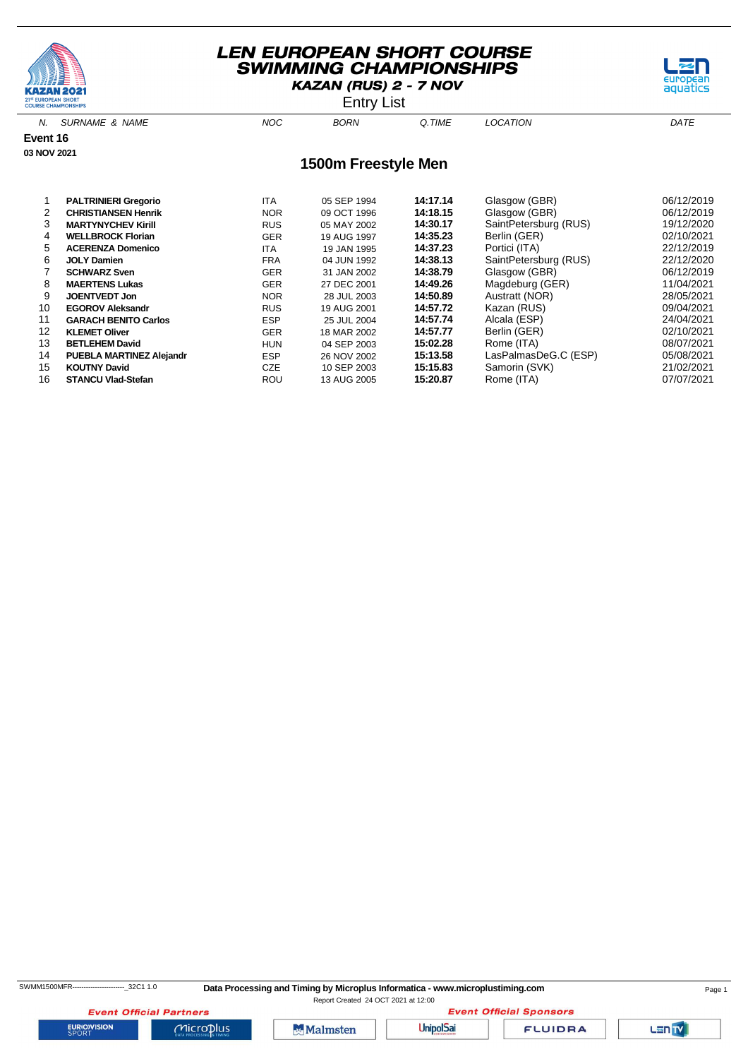





| <b>MARTYNYCHEV Kirill</b>       | <b>RUS</b> | 05 MAY 2002 | 14:30.17 | SaintPetersburg (RUS) | 19/12/2020 |
|---------------------------------|------------|-------------|----------|-----------------------|------------|
| <b>WELLBROCK Florian</b>        | <b>GER</b> | 19 AUG 1997 | 14:35.23 | Berlin (GER)          | 02/10/2021 |
| <b>ACERENZA Domenico</b>        | <b>ITA</b> | 19 JAN 1995 | 14:37.23 | Portici (ITA)         | 22/12/2019 |
| <b>JOLY Damien</b>              | <b>FRA</b> | 04 JUN 1992 | 14:38.13 | SaintPetersburg (RUS) | 22/12/2020 |
| <b>SCHWARZ Sven</b>             | <b>GER</b> | 31 JAN 2002 | 14:38.79 | Glasgow (GBR)         | 06/12/2019 |
| <b>MAERTENS Lukas</b>           | <b>GER</b> | 27 DEC 2001 | 14:49.26 | Magdeburg (GER)       | 11/04/2021 |
| <b>JOENTVEDT Jon</b>            | <b>NOR</b> | 28 JUL 2003 | 14:50.89 | Austratt (NOR)        | 28/05/2021 |
| <b>EGOROV Aleksandr</b>         | <b>RUS</b> | 19 AUG 2001 | 14:57.72 | Kazan (RUS)           | 09/04/2021 |
| <b>GARACH BENITO Carlos</b>     | <b>ESP</b> | 25 JUL 2004 | 14:57.74 | Alcala (ESP)          | 24/04/2021 |
| <b>KLEMET Oliver</b>            | <b>GER</b> | 18 MAR 2002 | 14:57.77 | Berlin (GER)          | 02/10/2021 |
| <b>BETLEHEM David</b>           | <b>HUN</b> | 04 SEP 2003 | 15:02.28 | Rome (ITA)            | 08/07/2021 |
| <b>PUEBLA MARTINEZ Alejandr</b> | <b>ESP</b> | 26 NOV 2002 | 15:13.58 | LasPalmasDeG.C (ESP)  | 05/08/2021 |
| <b>KOUTNY David</b>             | <b>CZE</b> | 10 SEP 2003 | 15:15.83 | Samorin (SVK)         | 21/02/2021 |
| <b>STANCU Vlad-Stefan</b>       | ROU        | 13 AUG 2005 | 15:20.87 | Rome (ITA)            | 07/07/2021 |
|                                 |            |             |          |                       |            |

**EURIOVISION** 

SWMM1500MFR--------------------------32C1 1.0 Data Processing and Timing by Microplus Informatica - www.microplustiming.com Page 1

Report Created 24 OCT 2021 at 12:00**Event Official Sponsors** 

LENTY

aquatics

Microplus

**Event Official Partners** 

Malmsten

**UnipolSai**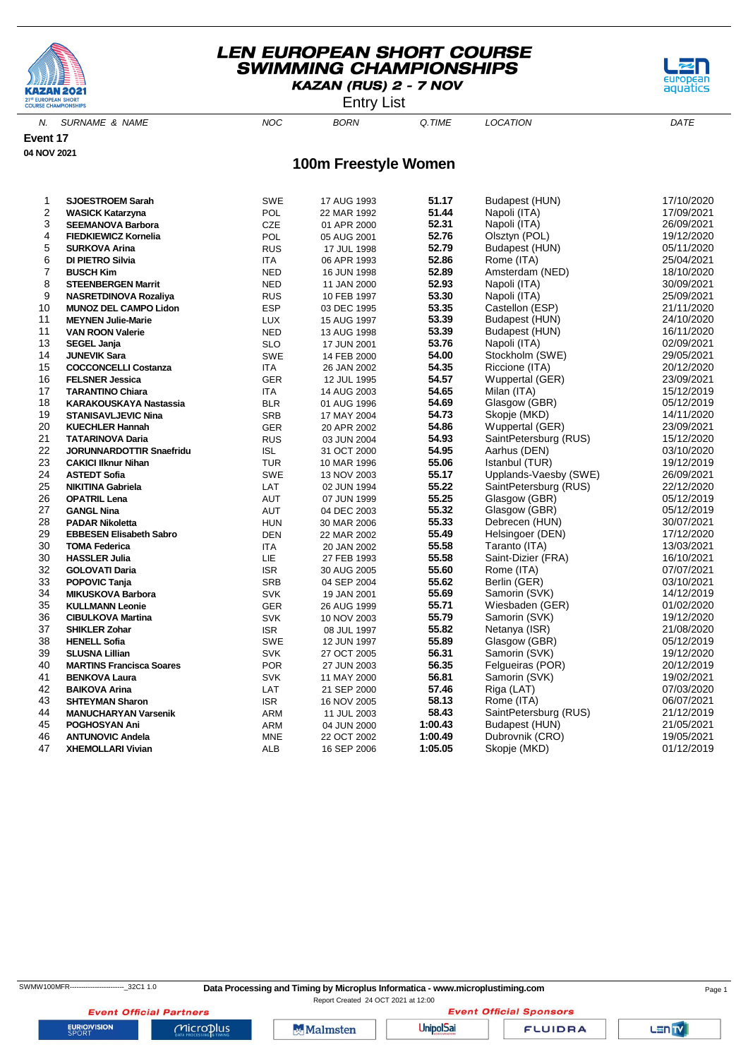

Entry List

aquatics

N. SURNAME & NAME  $NOC$  BORN Q.TIME LOCATION DATE

**Event 17 04 NOV 2021**

#### **100m Freestyle Women**

| 1  | <b>SJOESTROEM Sarah</b>         | <b>SWE</b> | 17 AUG 1993 | 51.17          | Budapest (HUN)        | 17/10/2020 |
|----|---------------------------------|------------|-------------|----------------|-----------------------|------------|
| 2  | <b>WASICK Katarzyna</b>         | <b>POL</b> | 22 MAR 1992 | 51.44          | Napoli (ITA)          | 17/09/2021 |
| 3  | <b>SEEMANOVA Barbora</b>        | <b>CZE</b> | 01 APR 2000 | 52.31          | Napoli (ITA)          | 26/09/2021 |
| 4  | <b>FIEDKIEWICZ Kornelia</b>     | POL        | 05 AUG 2001 | 52.76          | Olsztyn (POL)         | 19/12/2020 |
| 5  | <b>SURKOVA Arina</b>            | <b>RUS</b> | 17 JUL 1998 | 52.79          | Budapest (HUN)        | 05/11/2020 |
| 6  | DI PIETRO Silvia                | <b>ITA</b> | 06 APR 1993 | 52.86          | Rome (ITA)            | 25/04/2021 |
| 7  | <b>BUSCH Kim</b>                | <b>NED</b> | 16 JUN 1998 | 52.89          | Amsterdam (NED)       | 18/10/2020 |
| 8  | <b>STEENBERGEN Marrit</b>       | <b>NED</b> | 11 JAN 2000 | 52.93          | Napoli (ITA)          | 30/09/2021 |
| 9  | NASRETDINOVA Rozaliya           | <b>RUS</b> | 10 FEB 1997 | 53.30          | Napoli (ITA)          | 25/09/2021 |
| 10 | <b>MUNOZ DEL CAMPO Lidon</b>    | <b>ESP</b> | 03 DEC 1995 | 53.35          | Castellon (ESP)       | 21/11/2020 |
| 11 | <b>MEYNEN Julie-Marie</b>       |            |             | 53.39          | Budapest (HUN)        | 24/10/2020 |
| 11 |                                 | <b>LUX</b> | 15 AUG 1997 | 53.39          | Budapest (HUN)        | 16/11/2020 |
| 13 | <b>VAN ROON Valerie</b>         | <b>NED</b> | 13 AUG 1998 | 53.76          |                       |            |
|    | <b>SEGEL Janja</b>              | <b>SLO</b> | 17 JUN 2001 | 54.00          | Napoli (ITA)          | 02/09/2021 |
| 14 | <b>JUNEVIK Sara</b>             | <b>SWE</b> | 14 FEB 2000 |                | Stockholm (SWE)       | 29/05/2021 |
| 15 | <b>COCCONCELLI Costanza</b>     | <b>ITA</b> | 26 JAN 2002 | 54.35<br>54.57 | Riccione (ITA)        | 20/12/2020 |
| 16 | <b>FELSNER Jessica</b>          | <b>GER</b> | 12 JUL 1995 | 54.65          | Wuppertal (GER)       | 23/09/2021 |
| 17 | <b>TARANTINO Chiara</b>         | <b>ITA</b> | 14 AUG 2003 |                | Milan (ITA)           | 15/12/2019 |
| 18 | <b>KARAKOUSKAYA Nastassia</b>   | <b>BLR</b> | 01 AUG 1996 | 54.69          | Glasgow (GBR)         | 05/12/2019 |
| 19 | <b>STANISAVLJEVIC Nina</b>      | <b>SRB</b> | 17 MAY 2004 | 54.73          | Skopje (MKD)          | 14/11/2020 |
| 20 | <b>KUECHLER Hannah</b>          | <b>GER</b> | 20 APR 2002 | 54.86          | Wuppertal (GER)       | 23/09/2021 |
| 21 | <b>TATARINOVA Daria</b>         | <b>RUS</b> | 03 JUN 2004 | 54.93          | SaintPetersburg (RUS) | 15/12/2020 |
| 22 | <b>JORUNNARDOTTIR Snaefridu</b> | <b>ISL</b> | 31 OCT 2000 | 54.95          | Aarhus (DEN)          | 03/10/2020 |
| 23 | <b>CAKICI IIknur Nihan</b>      | <b>TUR</b> | 10 MAR 1996 | 55.06          | Istanbul (TUR)        | 19/12/2019 |
| 24 | <b>ASTEDT Sofia</b>             | <b>SWE</b> | 13 NOV 2003 | 55.17          | Upplands-Vaesby (SWE) | 26/09/2021 |
| 25 | <b>NIKITINA Gabriela</b>        | LAT        | 02 JUN 1994 | 55.22          | SaintPetersburg (RUS) | 22/12/2020 |
| 26 | <b>OPATRIL Lena</b>             | AUT        | 07 JUN 1999 | 55.25          | Glasgow (GBR)         | 05/12/2019 |
| 27 | <b>GANGL Nina</b>               | AUT        | 04 DEC 2003 | 55.32          | Glasgow (GBR)         | 05/12/2019 |
| 28 | <b>PADAR Nikoletta</b>          | <b>HUN</b> | 30 MAR 2006 | 55.33          | Debrecen (HUN)        | 30/07/2021 |
| 29 | <b>EBBESEN Elisabeth Sabro</b>  | <b>DEN</b> | 22 MAR 2002 | 55.49          | Helsingoer (DEN)      | 17/12/2020 |
| 30 | <b>TOMA Federica</b>            | <b>ITA</b> | 20 JAN 2002 | 55.58          | Taranto (ITA)         | 13/03/2021 |
| 30 | <b>HASSLER Julia</b>            | LIE        | 27 FEB 1993 | 55.58          | Saint-Dizier (FRA)    | 16/10/2021 |
| 32 | <b>GOLOVATI Daria</b>           | <b>ISR</b> | 30 AUG 2005 | 55.60          | Rome (ITA)            | 07/07/2021 |
| 33 | <b>POPOVIC Tanja</b>            | <b>SRB</b> | 04 SEP 2004 | 55.62          | Berlin (GER)          | 03/10/2021 |
| 34 | <b>MIKUSKOVA Barbora</b>        | <b>SVK</b> | 19 JAN 2001 | 55.69          | Samorin (SVK)         | 14/12/2019 |
| 35 | <b>KULLMANN Leonie</b>          | <b>GER</b> | 26 AUG 1999 | 55.71          | Wiesbaden (GER)       | 01/02/2020 |
| 36 | <b>CIBULKOVA Martina</b>        | <b>SVK</b> | 10 NOV 2003 | 55.79          | Samorin (SVK)         | 19/12/2020 |
| 37 | <b>SHIKLER Zohar</b>            | <b>ISR</b> | 08 JUL 1997 | 55.82          | Netanya (ISR)         | 21/08/2020 |
| 38 | <b>HENELL Sofia</b>             | <b>SWE</b> | 12 JUN 1997 | 55.89          | Glasgow (GBR)         | 05/12/2019 |
| 39 | <b>SLUSNA Lillian</b>           | <b>SVK</b> | 27 OCT 2005 | 56.31          | Samorin (SVK)         | 19/12/2020 |
| 40 | <b>MARTINS Francisca Soares</b> | <b>POR</b> | 27 JUN 2003 | 56.35          | Felgueiras (POR)      | 20/12/2019 |
| 41 | <b>BENKOVA Laura</b>            | <b>SVK</b> | 11 MAY 2000 | 56.81          | Samorin (SVK)         | 19/02/2021 |
| 42 | <b>BAIKOVA Arina</b>            | LAT        | 21 SEP 2000 | 57.46          | Riga (LAT)            | 07/03/2020 |
| 43 | <b>SHTEYMAN Sharon</b>          | <b>ISR</b> | 16 NOV 2005 | 58.13          | Rome (ITA)            | 06/07/2021 |
| 44 | <b>MANUCHARYAN Varsenik</b>     | <b>ARM</b> | 11 JUL 2003 | 58.43          | SaintPetersburg (RUS) | 21/12/2019 |
| 45 | POGHOSYAN Ani                   | ARM        | 04 JUN 2000 | 1:00.43        | Budapest (HUN)        | 21/05/2021 |
| 46 | <b>ANTUNOVIC Andela</b>         | <b>MNE</b> | 22 OCT 2002 | 1:00.49        | Dubrovnik (CRO)       | 19/05/2021 |
| 47 | <b>XHEMOLLARI Vivian</b>        | <b>ALB</b> | 16 SEP 2006 | 1:05.05        | Skopje (MKD)          | 01/12/2019 |
|    |                                 |            |             |                |                       |            |

Report Created 24 OCT 2021 at 12:00

**Event Official Sponsors** 

LENTY

**Event Official Partners** 

 $Microplus$ 

Malmsten

**UnipolSai**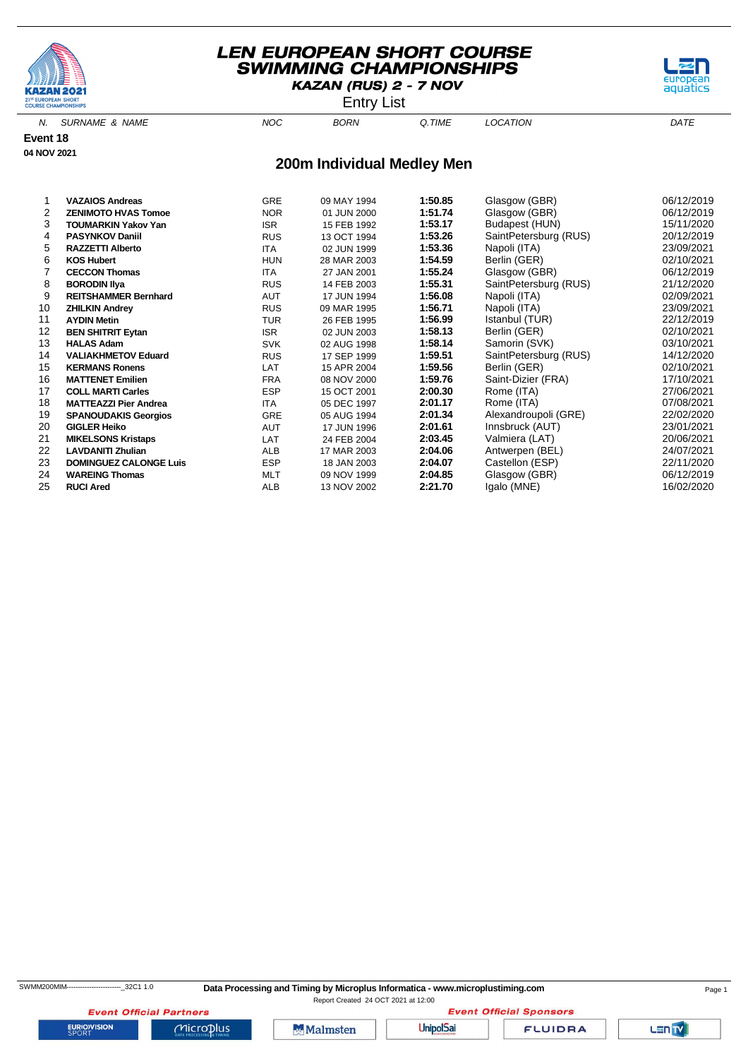



N. SURNAME & NAME  $NOC$  BORN Q.TIME LOCATION DATE

**Event 18 04 NOV 2021**

#### **200m Individual Medley Men**

|    | <b>VAZAIOS Andreas</b>        | <b>GRE</b> | 09 MAY 1994 | 1:50.85 | Glasgow (GBR)         | 06/12/2019 |
|----|-------------------------------|------------|-------------|---------|-----------------------|------------|
| 2  | <b>ZENIMOTO HVAS Tomoe</b>    | <b>NOR</b> | 01 JUN 2000 | 1:51.74 | Glasgow (GBR)         | 06/12/2019 |
| 3  | <b>TOUMARKIN Yakov Yan</b>    | <b>ISR</b> | 15 FEB 1992 | 1:53.17 | Budapest (HUN)        | 15/11/2020 |
| 4  | <b>PASYNKOV Daniil</b>        | <b>RUS</b> | 13 OCT 1994 | 1:53.26 | SaintPetersburg (RUS) | 20/12/2019 |
| 5  | <b>RAZZETTI Alberto</b>       | <b>ITA</b> | 02 JUN 1999 | 1:53.36 | Napoli (ITA)          | 23/09/2021 |
| 6  | <b>KOS Hubert</b>             | <b>HUN</b> | 28 MAR 2003 | 1:54.59 | Berlin (GER)          | 02/10/2021 |
|    | <b>CECCON Thomas</b>          | <b>ITA</b> | 27 JAN 2001 | 1:55.24 | Glasgow (GBR)         | 06/12/2019 |
| 8  | <b>BORODIN IIya</b>           | <b>RUS</b> | 14 FEB 2003 | 1:55.31 | SaintPetersburg (RUS) | 21/12/2020 |
| 9  | <b>REITSHAMMER Bernhard</b>   | <b>AUT</b> | 17 JUN 1994 | 1:56.08 | Napoli (ITA)          | 02/09/2021 |
| 10 | <b>ZHILKIN Andrey</b>         | <b>RUS</b> | 09 MAR 1995 | 1:56.71 | Napoli (ITA)          | 23/09/2021 |
| 11 | <b>AYDIN Metin</b>            | <b>TUR</b> | 26 FEB 1995 | 1:56.99 | Istanbul (TUR)        | 22/12/2019 |
| 12 | <b>BEN SHITRIT Eytan</b>      | <b>ISR</b> | 02 JUN 2003 | 1:58.13 | Berlin (GER)          | 02/10/2021 |
| 13 | <b>HALAS Adam</b>             | <b>SVK</b> | 02 AUG 1998 | 1:58.14 | Samorin (SVK)         | 03/10/2021 |
| 14 | <b>VALIAKHMETOV Eduard</b>    | <b>RUS</b> | 17 SEP 1999 | 1:59.51 | SaintPetersburg (RUS) | 14/12/2020 |
| 15 | <b>KERMANS Ronens</b>         | LAT        | 15 APR 2004 | 1:59.56 | Berlin (GER)          | 02/10/2021 |
| 16 | <b>MATTENET Emilien</b>       | <b>FRA</b> | 08 NOV 2000 | 1:59.76 | Saint-Dizier (FRA)    | 17/10/2021 |
| 17 | <b>COLL MARTI Carles</b>      | <b>ESP</b> | 15 OCT 2001 | 2:00.30 | Rome (ITA)            | 27/06/2021 |
| 18 | <b>MATTEAZZI Pier Andrea</b>  | <b>ITA</b> | 05 DEC 1997 | 2:01.17 | Rome (ITA)            | 07/08/2021 |
| 19 | <b>SPANOUDAKIS Georgios</b>   | GRE        | 05 AUG 1994 | 2:01.34 | Alexandroupoli (GRE)  | 22/02/2020 |
| 20 | <b>GIGLER Heiko</b>           | <b>AUT</b> | 17 JUN 1996 | 2:01.61 | Innsbruck (AUT)       | 23/01/2021 |
| 21 | <b>MIKELSONS Kristaps</b>     | LAT        | 24 FEB 2004 | 2:03.45 | Valmiera (LAT)        | 20/06/2021 |
| 22 | <b>LAVDANITI Zhulian</b>      | ALB        | 17 MAR 2003 | 2:04.06 | Antwerpen (BEL)       | 24/07/2021 |
| 23 | <b>DOMINGUEZ CALONGE Luis</b> | <b>ESP</b> | 18 JAN 2003 | 2:04.07 | Castellon (ESP)       | 22/11/2020 |
| 24 | <b>WAREING Thomas</b>         | MLT        | 09 NOV 1999 | 2:04.85 | Glasgow (GBR)         | 06/12/2019 |
| 25 | <b>RUCI Ared</b>              | ALB        | 13 NOV 2002 | 2:21.70 | Igalo (MNE)           | 16/02/2020 |

**EURIOVISION** 

**Event Official Partners** 

 $Microplus$ 



**Event Official Sponsors UnipolSai** 

**FLUIDRA** 

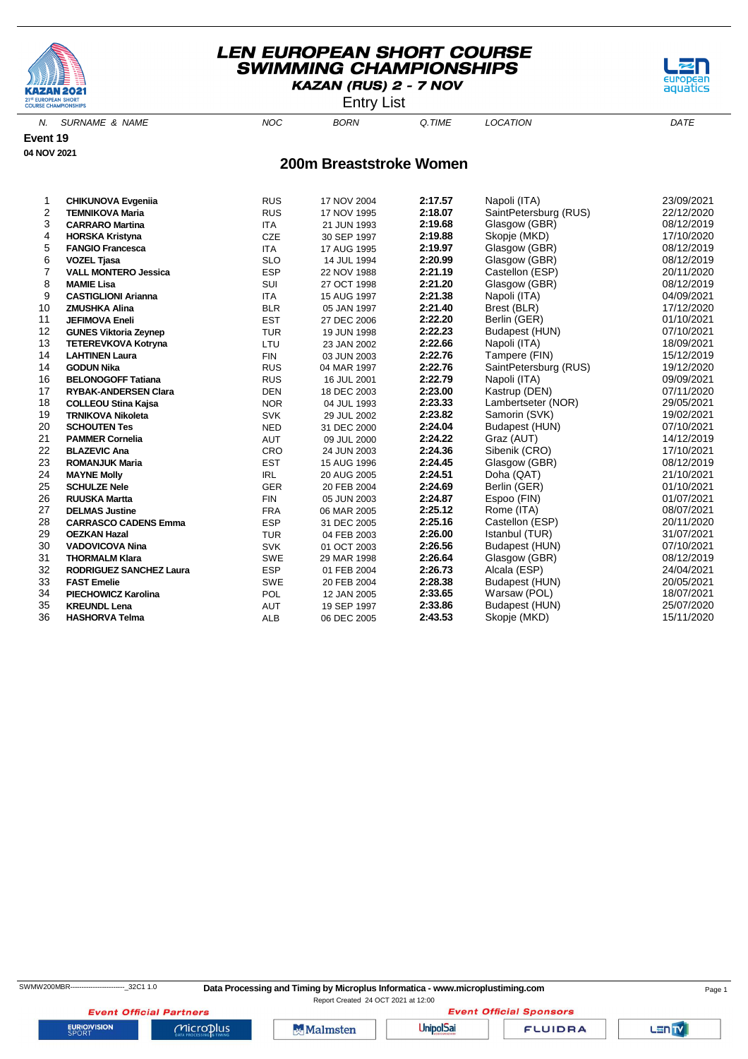

Entry List

aquati

N. SURNAME & NAME  $NOC$  BORN Q.TIME LOCATION DATE

**Event 19 04 NOV 2021**

#### **200m Breaststroke Women**

| 1  | <b>CHIKUNOVA Evgenija</b>      | <b>RUS</b> | 17 NOV 2004 | 2:17.57 | Napoli (ITA)          | 23/09/2021 |
|----|--------------------------------|------------|-------------|---------|-----------------------|------------|
| 2  | <b>TEMNIKOVA Maria</b>         | <b>RUS</b> | 17 NOV 1995 | 2:18.07 | SaintPetersburg (RUS) | 22/12/2020 |
| 3  | <b>CARRARO Martina</b>         | <b>ITA</b> | 21 JUN 1993 | 2:19.68 | Glasgow (GBR)         | 08/12/2019 |
| 4  | <b>HORSKA Kristyna</b>         | <b>CZE</b> | 30 SEP 1997 | 2:19.88 | Skopje (MKD)          | 17/10/2020 |
| 5  | <b>FANGIO Francesca</b>        | <b>ITA</b> | 17 AUG 1995 | 2:19.97 | Glasgow (GBR)         | 08/12/2019 |
| 6  | <b>VOZEL Tjasa</b>             | <b>SLO</b> | 14 JUL 1994 | 2:20.99 | Glasgow (GBR)         | 08/12/2019 |
| 7  | <b>VALL MONTERO Jessica</b>    | <b>ESP</b> | 22 NOV 1988 | 2:21.19 | Castellon (ESP)       | 20/11/2020 |
| 8  | <b>MAMIE Lisa</b>              | SUI        | 27 OCT 1998 | 2:21.20 | Glasgow (GBR)         | 08/12/2019 |
| 9  | <b>CASTIGLIONI Arianna</b>     | <b>ITA</b> | 15 AUG 1997 | 2:21.38 | Napoli (ITA)          | 04/09/2021 |
| 10 | <b>ZMUSHKA Alina</b>           | <b>BLR</b> | 05 JAN 1997 | 2:21.40 | Brest (BLR)           | 17/12/2020 |
| 11 | <b>JEFIMOVA Eneli</b>          | <b>EST</b> | 27 DEC 2006 | 2:22.20 | Berlin (GER)          | 01/10/2021 |
| 12 | <b>GUNES Viktoria Zeynep</b>   | <b>TUR</b> | 19 JUN 1998 | 2:22.23 | Budapest (HUN)        | 07/10/2021 |
| 13 | <b>TETEREVKOVA Kotryna</b>     | LTU        | 23 JAN 2002 | 2:22.66 | Napoli (ITA)          | 18/09/2021 |
| 14 | <b>LAHTINEN Laura</b>          | <b>FIN</b> | 03 JUN 2003 | 2:22.76 | Tampere (FIN)         | 15/12/2019 |
| 14 | <b>GODUN Nika</b>              | <b>RUS</b> | 04 MAR 1997 | 2:22.76 | SaintPetersburg (RUS) | 19/12/2020 |
| 16 | <b>BELONOGOFF Tatiana</b>      | <b>RUS</b> | 16 JUL 2001 | 2:22.79 | Napoli (ITA)          | 09/09/2021 |
| 17 | <b>RYBAK-ANDERSEN Clara</b>    | <b>DEN</b> | 18 DEC 2003 | 2:23.00 | Kastrup (DEN)         | 07/11/2020 |
| 18 | <b>COLLEOU Stina Kajsa</b>     | <b>NOR</b> | 04 JUL 1993 | 2:23.33 | Lambertseter (NOR)    | 29/05/2021 |
| 19 | <b>TRNIKOVA Nikoleta</b>       | <b>SVK</b> | 29 JUL 2002 | 2:23.82 | Samorin (SVK)         | 19/02/2021 |
| 20 | <b>SCHOUTEN Tes</b>            | <b>NED</b> | 31 DEC 2000 | 2:24.04 | Budapest (HUN)        | 07/10/2021 |
| 21 | <b>PAMMER Cornelia</b>         | <b>AUT</b> | 09 JUL 2000 | 2:24.22 | Graz (AUT)            | 14/12/2019 |
| 22 | <b>BLAZEVIC Ana</b>            | CRO        | 24 JUN 2003 | 2:24.36 | Sibenik (CRO)         | 17/10/2021 |
| 23 | <b>ROMANJUK Maria</b>          | <b>EST</b> | 15 AUG 1996 | 2:24.45 | Glasgow (GBR)         | 08/12/2019 |
| 24 | <b>MAYNE Molly</b>             | <b>IRL</b> | 20 AUG 2005 | 2:24.51 | Doha (QAT)            | 21/10/2021 |
| 25 | <b>SCHULZE Nele</b>            | <b>GER</b> | 20 FEB 2004 | 2:24.69 | Berlin (GER)          | 01/10/2021 |
| 26 | <b>RUUSKA Martta</b>           | <b>FIN</b> | 05 JUN 2003 | 2:24.87 | Espoo (FIN)           | 01/07/2021 |
| 27 | <b>DELMAS Justine</b>          | <b>FRA</b> | 06 MAR 2005 | 2:25.12 | Rome (ITA)            | 08/07/2021 |
| 28 | <b>CARRASCO CADENS Emma</b>    | <b>ESP</b> | 31 DEC 2005 | 2:25.16 | Castellon (ESP)       | 20/11/2020 |
| 29 | <b>OEZKAN Hazal</b>            | <b>TUR</b> | 04 FEB 2003 | 2:26.00 | Istanbul (TUR)        | 31/07/2021 |
| 30 | <b>VADOVICOVA Nina</b>         | <b>SVK</b> | 01 OCT 2003 | 2:26.56 | Budapest (HUN)        | 07/10/2021 |
| 31 | <b>THORMALM Klara</b>          | <b>SWE</b> | 29 MAR 1998 | 2:26.64 | Glasgow (GBR)         | 08/12/2019 |
| 32 | <b>RODRIGUEZ SANCHEZ Laura</b> | <b>ESP</b> | 01 FEB 2004 | 2:26.73 | Alcala (ESP)          | 24/04/2021 |
| 33 | <b>FAST Emelie</b>             | <b>SWE</b> | 20 FEB 2004 | 2:28.38 | Budapest (HUN)        | 20/05/2021 |
| 34 | <b>PIECHOWICZ Karolina</b>     | POL        | 12 JAN 2005 | 2:33.65 | Warsaw (POL)          | 18/07/2021 |
| 35 | <b>KREUNDL Lena</b>            | <b>AUT</b> | 19 SEP 1997 | 2:33.86 | Budapest (HUN)        | 25/07/2020 |
| 36 | <b>HASHORVA Telma</b>          | <b>ALB</b> | 06 DEC 2005 | 2:43.53 | Skopje (MKD)          | 15/11/2020 |

**EURIOVISION** 

**Event Official Partners** 

 $Microplus$ 

Malmsten

**Event Official Sponsors UnipolSai** 

**FLUIDRA**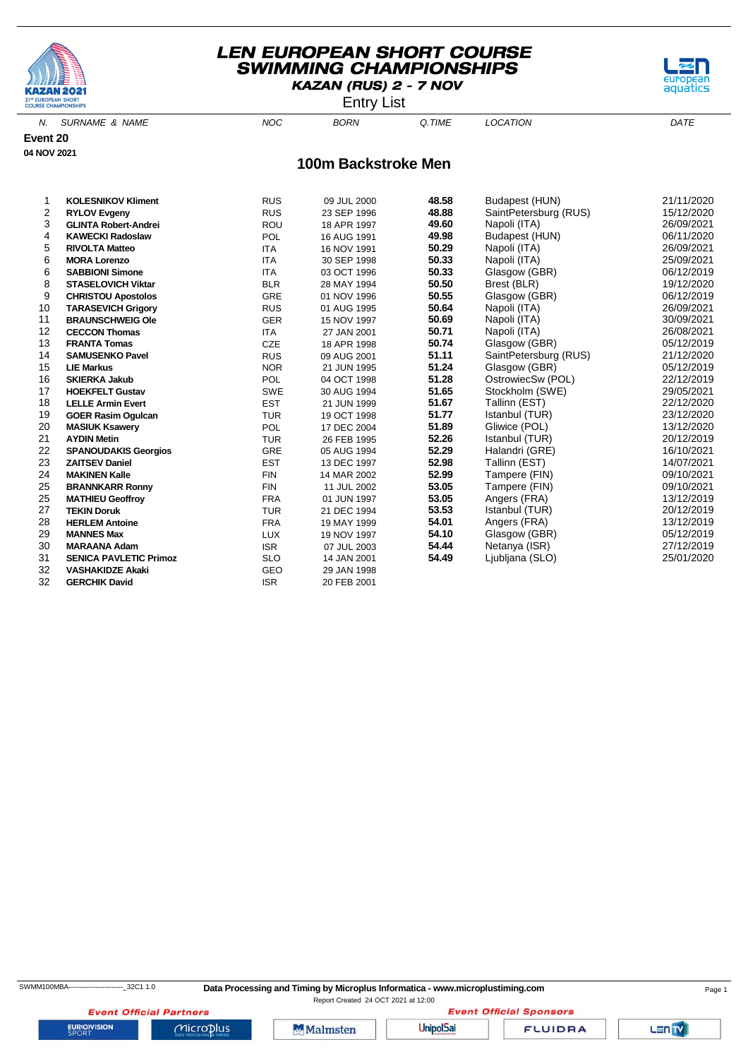





N. SURNAME & NAME DATE NOC BORN Q.TIME LOCATION DATE **100m Backstroke Men Event 20 04 NOV 2021**

| 1  | <b>KOLESNIKOV Kliment</b>     | <b>RUS</b> | 09 JUL 2000 | 48.58 | Budapest (HUN)        | 21/11/2020 |
|----|-------------------------------|------------|-------------|-------|-----------------------|------------|
| 2  | <b>RYLOV Evgeny</b>           | <b>RUS</b> | 23 SEP 1996 | 48.88 | SaintPetersburg (RUS) | 15/12/2020 |
| 3  | <b>GLINTA Robert-Andrei</b>   | <b>ROU</b> | 18 APR 1997 | 49.60 | Napoli (ITA)          | 26/09/2021 |
| 4  | <b>KAWECKI Radoslaw</b>       | <b>POL</b> | 16 AUG 1991 | 49.98 | Budapest (HUN)        | 06/11/2020 |
| 5  | <b>RIVOLTA Matteo</b>         | <b>ITA</b> | 16 NOV 1991 | 50.29 | Napoli (ITA)          | 26/09/2021 |
| 6  | <b>MORA Lorenzo</b>           | <b>ITA</b> | 30 SEP 1998 | 50.33 | Napoli (ITA)          | 25/09/2021 |
| 6  | <b>SABBIONI Simone</b>        | <b>ITA</b> | 03 OCT 1996 | 50.33 | Glasgow (GBR)         | 06/12/2019 |
| 8  | <b>STASELOVICH Viktar</b>     | <b>BLR</b> | 28 MAY 1994 | 50.50 | Brest (BLR)           | 19/12/2020 |
| 9  | <b>CHRISTOU Apostolos</b>     | <b>GRE</b> | 01 NOV 1996 | 50.55 | Glasgow (GBR)         | 06/12/2019 |
| 10 | <b>TARASEVICH Grigory</b>     | <b>RUS</b> | 01 AUG 1995 | 50.64 | Napoli (ITA)          | 26/09/2021 |
| 11 | <b>BRAUNSCHWEIG Ole</b>       | <b>GER</b> | 15 NOV 1997 | 50.69 | Napoli (ITA)          | 30/09/2021 |
| 12 | <b>CECCON Thomas</b>          | <b>ITA</b> | 27 JAN 2001 | 50.71 | Napoli (ITA)          | 26/08/2021 |
| 13 | <b>FRANTA Tomas</b>           | <b>CZE</b> | 18 APR 1998 | 50.74 | Glasgow (GBR)         | 05/12/2019 |
| 14 | <b>SAMUSENKO Pavel</b>        | <b>RUS</b> | 09 AUG 2001 | 51.11 | SaintPetersburg (RUS) | 21/12/2020 |
| 15 | <b>LIE Markus</b>             | <b>NOR</b> | 21 JUN 1995 | 51.24 | Glasgow (GBR)         | 05/12/2019 |
| 16 | <b>SKIERKA Jakub</b>          | <b>POL</b> | 04 OCT 1998 | 51.28 | OstrowiecSw (POL)     | 22/12/2019 |
| 17 | <b>HOEKFELT Gustav</b>        | <b>SWE</b> | 30 AUG 1994 | 51.65 | Stockholm (SWE)       | 29/05/2021 |
| 18 | <b>LELLE Armin Evert</b>      | <b>EST</b> | 21 JUN 1999 | 51.67 | Tallinn (EST)         | 22/12/2020 |
| 19 | <b>GOER Rasim Ogulcan</b>     | <b>TUR</b> | 19 OCT 1998 | 51.77 | Istanbul (TUR)        | 23/12/2020 |
| 20 | <b>MASIUK Ksawery</b>         | <b>POL</b> | 17 DEC 2004 | 51.89 | Gliwice (POL)         | 13/12/2020 |
| 21 | <b>AYDIN Metin</b>            | <b>TUR</b> | 26 FEB 1995 | 52.26 | Istanbul (TUR)        | 20/12/2019 |
| 22 | <b>SPANOUDAKIS Georgios</b>   | <b>GRE</b> | 05 AUG 1994 | 52.29 | Halandri (GRE)        | 16/10/2021 |
| 23 | <b>ZAITSEV Daniel</b>         | <b>EST</b> | 13 DEC 1997 | 52.98 | Tallinn (EST)         | 14/07/2021 |
| 24 | <b>MAKINEN Kalle</b>          | <b>FIN</b> | 14 MAR 2002 | 52.99 | Tampere (FIN)         | 09/10/2021 |
| 25 | <b>BRANNKARR Ronny</b>        | <b>FIN</b> | 11 JUL 2002 | 53.05 | Tampere (FIN)         | 09/10/2021 |
| 25 | <b>MATHIEU Geoffroy</b>       | <b>FRA</b> | 01 JUN 1997 | 53.05 | Angers (FRA)          | 13/12/2019 |
| 27 | <b>TEKIN Doruk</b>            | <b>TUR</b> | 21 DEC 1994 | 53.53 | Istanbul (TUR)        | 20/12/2019 |
| 28 | <b>HERLEM Antoine</b>         | <b>FRA</b> | 19 MAY 1999 | 54.01 | Angers (FRA)          | 13/12/2019 |
| 29 | <b>MANNES Max</b>             | <b>LUX</b> | 19 NOV 1997 | 54.10 | Glasgow (GBR)         | 05/12/2019 |
| 30 | <b>MARAANA Adam</b>           | <b>ISR</b> | 07 JUL 2003 | 54.44 | Netanya (ISR)         | 27/12/2019 |
| 31 | <b>SENICA PAVLETIC Primoz</b> | <b>SLO</b> | 14 JAN 2001 | 54.49 | Ljubljana (SLO)       | 25/01/2020 |
| 32 | <b>VASHAKIDZE Akaki</b>       | GEO        | 29 JAN 1998 |       |                       |            |
| 32 | <b>GERCHIK David</b>          | <b>ISR</b> | 20 FEB 2001 |       |                       |            |

**Event Official Sponsors** 

**FLUIDRA** 

LENTY

**EURIOVISION** 

**Event Official Partners** 

 $Microplus$ 

**Malmsten** 

**UnipolSai**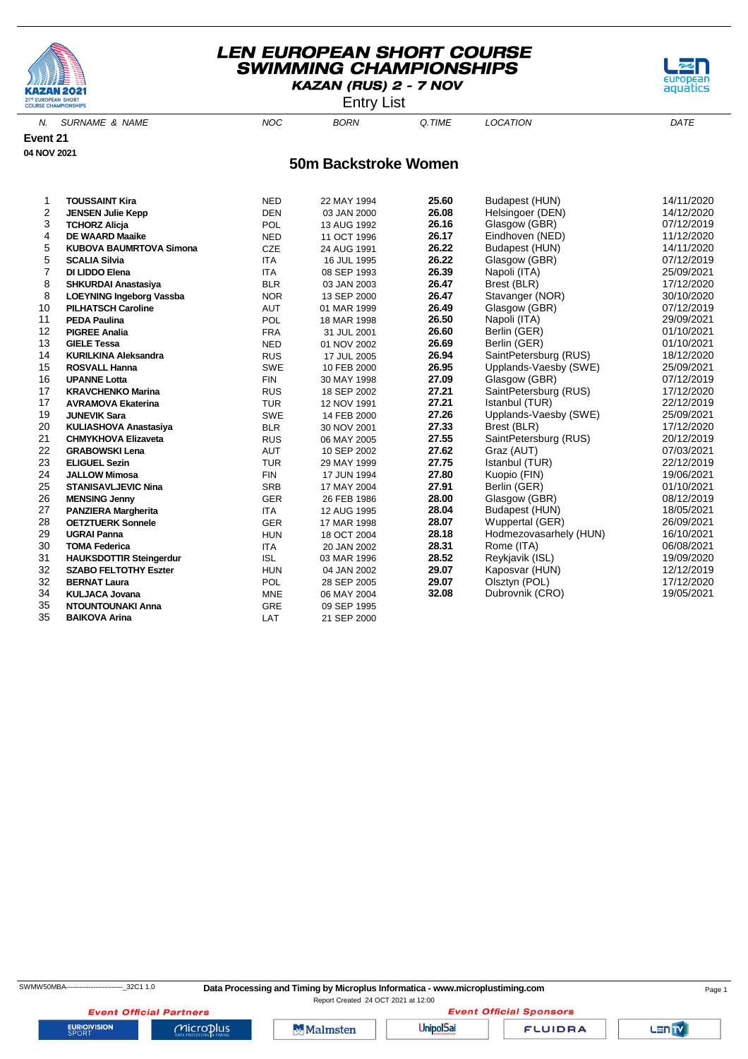

Entry List

aquati

N. SURNAME & NAME  $NOC$  BORN Q.TIME LOCATION DATE

**Event 21 04 NOV 2021**

#### **50m Backstroke Women**

| 1  | <b>TOUSSAINT Kira</b>           | <b>NED</b> | 22 MAY 1994 | 25.60 | Budapest (HUN)         | 14/11/2020 |
|----|---------------------------------|------------|-------------|-------|------------------------|------------|
| 2  | <b>JENSEN Julie Kepp</b>        | <b>DEN</b> | 03 JAN 2000 | 26.08 | Helsingoer (DEN)       | 14/12/2020 |
| 3  | <b>TCHORZ Alicja</b>            | POL        | 13 AUG 1992 | 26.16 | Glasgow (GBR)          | 07/12/2019 |
| 4  | <b>DE WAARD Maaike</b>          | <b>NED</b> | 11 OCT 1996 | 26.17 | Eindhoven (NED)        | 11/12/2020 |
| 5  | <b>KUBOVA BAUMRTOVA Simona</b>  | <b>CZE</b> | 24 AUG 1991 | 26.22 | Budapest (HUN)         | 14/11/2020 |
| 5  | <b>SCALIA Silvia</b>            | <b>ITA</b> | 16 JUL 1995 | 26.22 | Glasgow (GBR)          | 07/12/2019 |
| 7  | DI LIDDO Elena                  | <b>ITA</b> | 08 SEP 1993 | 26.39 | Napoli (ITA)           | 25/09/2021 |
| 8  | <b>SHKURDAI Anastasiya</b>      | <b>BLR</b> | 03 JAN 2003 | 26.47 | Brest (BLR)            | 17/12/2020 |
| 8  | <b>LOEYNING Ingeborg Vassba</b> | <b>NOR</b> | 13 SEP 2000 | 26.47 | Stavanger (NOR)        | 30/10/2020 |
| 10 | <b>PILHATSCH Caroline</b>       | <b>AUT</b> | 01 MAR 1999 | 26.49 | Glasgow (GBR)          | 07/12/2019 |
| 11 | <b>PEDA Paulina</b>             | POL        | 18 MAR 1998 | 26.50 | Napoli (ITA)           | 29/09/2021 |
| 12 | <b>PIGREE Analia</b>            | <b>FRA</b> | 31 JUL 2001 | 26.60 | Berlin (GER)           | 01/10/2021 |
| 13 | <b>GIELE Tessa</b>              | <b>NED</b> | 01 NOV 2002 | 26.69 | Berlin (GER)           | 01/10/2021 |
| 14 | <b>KURILKINA Aleksandra</b>     | <b>RUS</b> | 17 JUL 2005 | 26.94 | SaintPetersburg (RUS)  | 18/12/2020 |
| 15 | <b>ROSVALL Hanna</b>            | <b>SWE</b> | 10 FEB 2000 | 26.95 | Upplands-Vaesby (SWE)  | 25/09/2021 |
| 16 | <b>UPANNE Lotta</b>             | <b>FIN</b> | 30 MAY 1998 | 27.09 | Glasgow (GBR)          | 07/12/2019 |
| 17 | <b>KRAVCHENKO Marina</b>        | <b>RUS</b> | 18 SEP 2002 | 27.21 | SaintPetersburg (RUS)  | 17/12/2020 |
| 17 | <b>AVRAMOVA Ekaterina</b>       | <b>TUR</b> | 12 NOV 1991 | 27.21 | Istanbul (TUR)         | 22/12/2019 |
| 19 | <b>JUNEVIK Sara</b>             | SWE        | 14 FEB 2000 | 27.26 | Upplands-Vaesby (SWE)  | 25/09/2021 |
| 20 | <b>KULIASHOVA Anastasiya</b>    | <b>BLR</b> | 30 NOV 2001 | 27.33 | Brest (BLR)            | 17/12/2020 |
| 21 | <b>CHMYKHOVA Elizaveta</b>      | <b>RUS</b> | 06 MAY 2005 | 27.55 | SaintPetersburg (RUS)  | 20/12/2019 |
| 22 | <b>GRABOWSKI Lena</b>           | <b>AUT</b> | 10 SEP 2002 | 27.62 | Graz (AUT)             | 07/03/2021 |
| 23 | <b>ELIGUEL Sezin</b>            | <b>TUR</b> | 29 MAY 1999 | 27.75 | Istanbul (TUR)         | 22/12/2019 |
| 24 | <b>JALLOW Mimosa</b>            | <b>FIN</b> | 17 JUN 1994 | 27.80 | Kuopio (FIN)           | 19/06/2021 |
| 25 | <b>STANISAVLJEVIC Nina</b>      | <b>SRB</b> | 17 MAY 2004 | 27.91 | Berlin (GER)           | 01/10/2021 |
| 26 | <b>MENSING Jenny</b>            | GER        | 26 FEB 1986 | 28.00 | Glasgow (GBR)          | 08/12/2019 |
| 27 | <b>PANZIERA Margherita</b>      | <b>ITA</b> | 12 AUG 1995 | 28.04 | Budapest (HUN)         | 18/05/2021 |
| 28 | <b>OETZTUERK Sonnele</b>        | <b>GER</b> | 17 MAR 1998 | 28.07 | Wuppertal (GER)        | 26/09/2021 |
| 29 | <b>UGRAI Panna</b>              | <b>HUN</b> | 18 OCT 2004 | 28.18 | Hodmezovasarhely (HUN) | 16/10/2021 |
| 30 | <b>TOMA Federica</b>            | <b>ITA</b> | 20 JAN 2002 | 28.31 | Rome (ITA)             | 06/08/2021 |
| 31 | <b>HAUKSDOTTIR Steingerdur</b>  | <b>ISL</b> | 03 MAR 1996 | 28.52 | Reykjavik (ISL)        | 19/09/2020 |
| 32 | <b>SZABO FELTOTHY Eszter</b>    | <b>HUN</b> | 04 JAN 2002 | 29.07 | Kaposvar (HUN)         | 12/12/2019 |
| 32 | <b>BERNAT Laura</b>             | POL        | 28 SEP 2005 | 29.07 | Olsztyn (POL)          | 17/12/2020 |
| 34 | <b>KULJACA Jovana</b>           | <b>MNE</b> | 06 MAY 2004 | 32.08 | Dubrovnik (CRO)        | 19/05/2021 |
| 35 | <b>NTOUNTOUNAKI Anna</b>        | GRE        | 09 SEP 1995 |       |                        |            |
| 35 | <b>BAIKOVA Arina</b>            | LAT        | 21 SEP 2000 |       |                        |            |

**EURIOVISION** 

**Event Official Partners** 

 $Microplus$ 

Malmsten

Report Created 24 OCT 2021 at 12:00

**UnipolSai** 

**Event Official Sponsors** 

**FLUIDRA**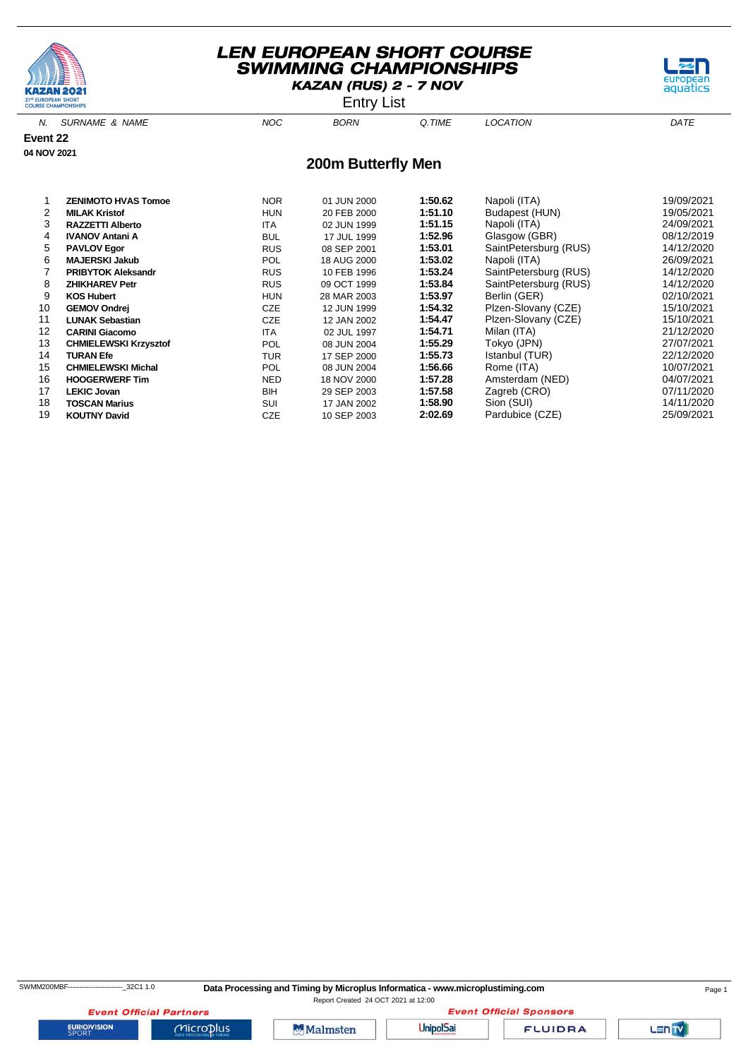

**Event 22 04 NOV 2021**

# **LEN EUROPEAN SHORT COURSE SWIMMING CHAMPIONSHIPS** KAZAN (RUS) 2 - 7 NOV

Entry List



#### 1 **ZENIMOTO HVAS Tomoe** NOR 01 JUN 2000 **1:50.62** Napoli (ITA) 19/09/2021 **HUN** 20 FEB 2000 **1:51.10** Budapest (HUN) 3 **RAZZETTI Alberto** ITA 02 JUN 1999 **1:51.15** Napoli (ITA) 24/09/2021 4 **IVANOV Antani A** BUL 17 JUL 1999 **1:52.96** Glasgow (GBR) 08/12/2019 5 **PAVLOV Egor** RUS 08 SEP 2001 **1:53.01** SaintPetersburg (RUS) 14/12/2020 6 **MAJERSKI Jakub** POL 18 AUG 2000 **1:53.02** Napoli (ITA) 26/09/2021 7 **PRIBYTOK Aleksandr RUS** 10 FEB 1996 **1:53.24** SaintPetersburg (RUS) 10 FEB 1996 **1:53.84** SaintPetersburg (RUS) 14:53.84 SaintPetersburg (RUS) 8 **ZHIKHAREV Petr** RUS 09 OCT 1999 **1:53.84** SaintPetersburg (RUS) 14/12/2020 9 **KOS Hubert** HUN 28 MAR 2003 **1:53.97** Berlin (GER) 02/10/2021 10 **GEMOV Ondrej** CZE 12 JUN 1999 **1:54.32** Plzen-Slovany (CZE) 15/10/2021 11 **LUNAK Sebastian** CZE 12 JAN 2002 **1:54.47** Plzen-Slovany (CZE) 15/10/2021 12 **CARINI Giacomo** ITA 02 JUL 1997 **1:54.71** Milan (ITA) 21/12/2020 13 **CHMIELEWSKI Krzysztof 13 CHMIELEWSKI Krzysztof 13** Tokyo (1907) **13/07/2007** 14 **TURAN Efe** TUR 17 SEP 2000 **1:55.73** Istanbul (TUR) 22/12/2020 15 **CHMIELEWSKI Michal** POL 08 JUN 2004 **1:56.66** Rome (ITA) 10/07/2021 16 **HOOGERWERF Tim** NED 18 NOV 2000 **1:57.28** Amsterdam (NED) 04/07/2021  $Z$ agreb (CRO) 18 **TOSCAN Marius** SUI 17 JAN 2002 **1:58.90** Sion (SUI) 14/11/2020 19 **KOUTNY David** CZE 10 SEP 2003 **2:02.69** Pardubice (CZE) 25/09/2021

**EURIOVISION** 

SWMM200MBF------------------------\_32C1 1.0 **Data Processing and Timing by Microplus Informatica - www.microplustiming.com** Page 1

Report Created 24 OCT 2021 at 12:00

**Event Official Partners**  $Microplus$ 

**Malmsten** 

**UnipolSai** 

**FLUIDRA** 

**Event Official Sponsors** 

Lenty

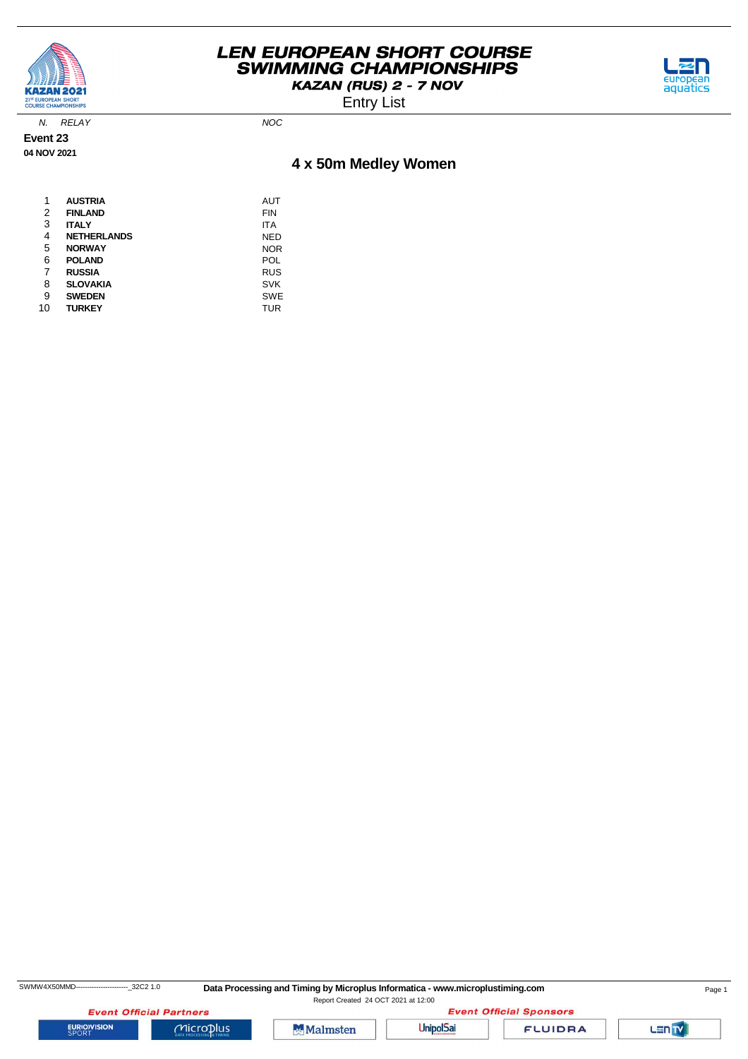

Entry List



N. RELAY NOC

**Event 23 04 NOV 2021**

# **4 x 50m Medley Women**

| 1  | <b>AUSTRIA</b>     | AUT        |
|----|--------------------|------------|
| 2  | <b>FINLAND</b>     | FIN        |
| 3  | <b>ITALY</b>       | ITA        |
| 4  | <b>NETHERLANDS</b> | NED        |
| 5  | <b>NORWAY</b>      | <b>NOR</b> |
| 6  | <b>POLAND</b>      | POL        |
| 7  | <b>RUSSIA</b>      | <b>RUS</b> |
| 8  | <b>SLOVAKIA</b>    | <b>SVK</b> |
| 9  | <b>SWEDEN</b>      | <b>SWE</b> |
| 10 | <b>TURKEY</b>      | TUR        |

SWMW4X50MMD---------------------------32C2 1.0 Data Processing and Timing by Microplus Informatica - www.microplustiming.com Page 1

Report Created 24 OCT 2021 at 12:00

**Event Official Partners EURIOVISION** 

 $Microplus$ 





**FLUIDRA** 

Lan<sub>TV</sub>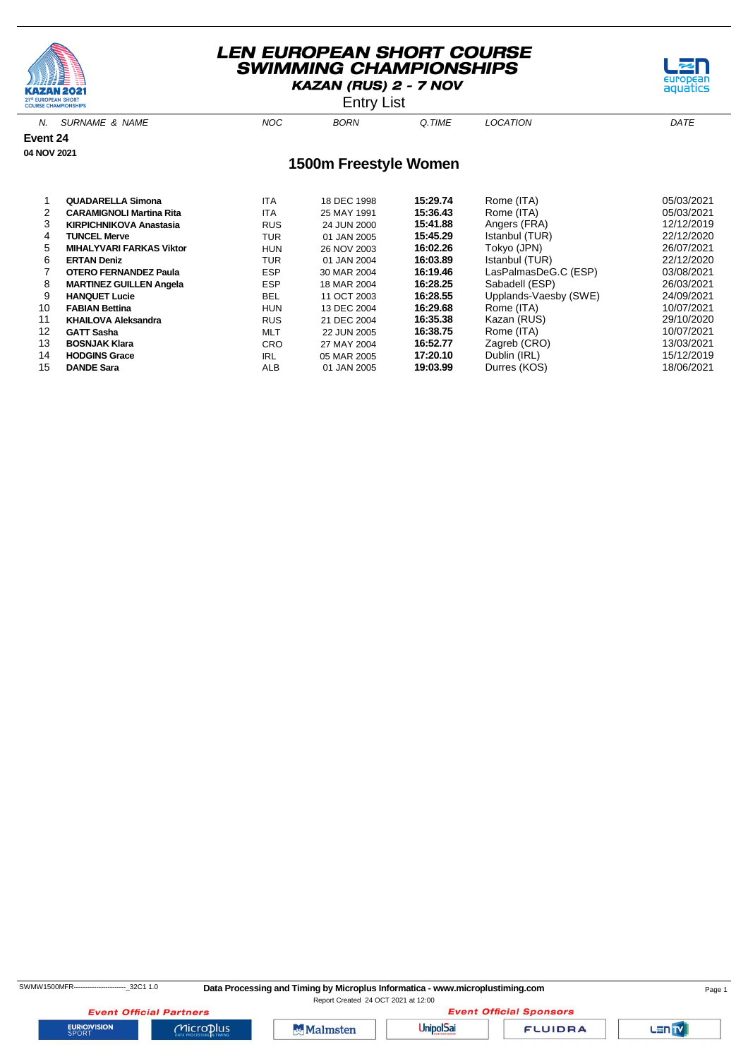

Entry List



|    | <b>CARAMIGNOLI Martina Rita</b> | ITA        | 25 MAY 1991 | 15:36.43 | Rome (ITA)            | 05/03/2021 |
|----|---------------------------------|------------|-------------|----------|-----------------------|------------|
| 3  | <b>KIRPICHNIKOVA Anastasia</b>  | <b>RUS</b> | 24 JUN 2000 | 15:41.88 | Angers (FRA)          | 12/12/2019 |
| 4  | <b>TUNCEL Merve</b>             | TUR        | 01 JAN 2005 | 15:45.29 | Istanbul (TUR)        | 22/12/2020 |
| 5  | <b>MIHALYVARI FARKAS Viktor</b> | <b>HUN</b> | 26 NOV 2003 | 16:02.26 | Tokyo (JPN)           | 26/07/2021 |
| 6  | <b>ERTAN Deniz</b>              | TUR        | 01 JAN 2004 | 16:03.89 | Istanbul (TUR)        | 22/12/2020 |
|    | <b>OTERO FERNANDEZ Paula</b>    | <b>ESP</b> | 30 MAR 2004 | 16:19.46 | LasPalmasDeG.C (ESP)  | 03/08/2021 |
| 8  | <b>MARTINEZ GUILLEN Angela</b>  | <b>ESP</b> | 18 MAR 2004 | 16:28.25 | Sabadell (ESP)        | 26/03/2021 |
| 9  | <b>HANQUET Lucie</b>            | <b>BEL</b> | 11 OCT 2003 | 16:28.55 | Upplands-Vaesby (SWE) | 24/09/2021 |
| 10 | <b>FABIAN Bettina</b>           | <b>HUN</b> | 13 DEC 2004 | 16:29.68 | Rome (ITA)            | 10/07/2021 |
| 11 | <b>KHAILOVA Aleksandra</b>      | <b>RUS</b> | 21 DEC 2004 | 16:35.38 | Kazan (RUS)           | 29/10/2020 |
| 12 | <b>GATT Sasha</b>               | <b>MLT</b> | 22 JUN 2005 | 16:38.75 | Rome (ITA)            | 10/07/2021 |
| 13 | <b>BOSNJAK Klara</b>            | <b>CRO</b> | 27 MAY 2004 | 16:52.77 | Zagreb (CRO)          | 13/03/2021 |
| 14 | <b>HODGINS Grace</b>            | <b>IRL</b> | 05 MAR 2005 | 17:20.10 | Dublin (IRL)          | 15/12/2019 |
| 15 | <b>DANDE Sara</b>               | ALB        | 01 JAN 2005 | 19:03.99 | Durres (KOS)          | 18/06/2021 |

**EURIOVISION** 

SWMW1500MFR-----------------------\_32C1 1.0 **Data Processing and Timing by Microplus Informatica - www.microplustiming.com** Page 1

Report Created 24 OCT 2021 at 12:00**Event Official Sponsors** 

 $MicroD<sub>lus</sub>$ 

**Event Official Partners** 



**UnipolSai** 

**FLUIDRA** 

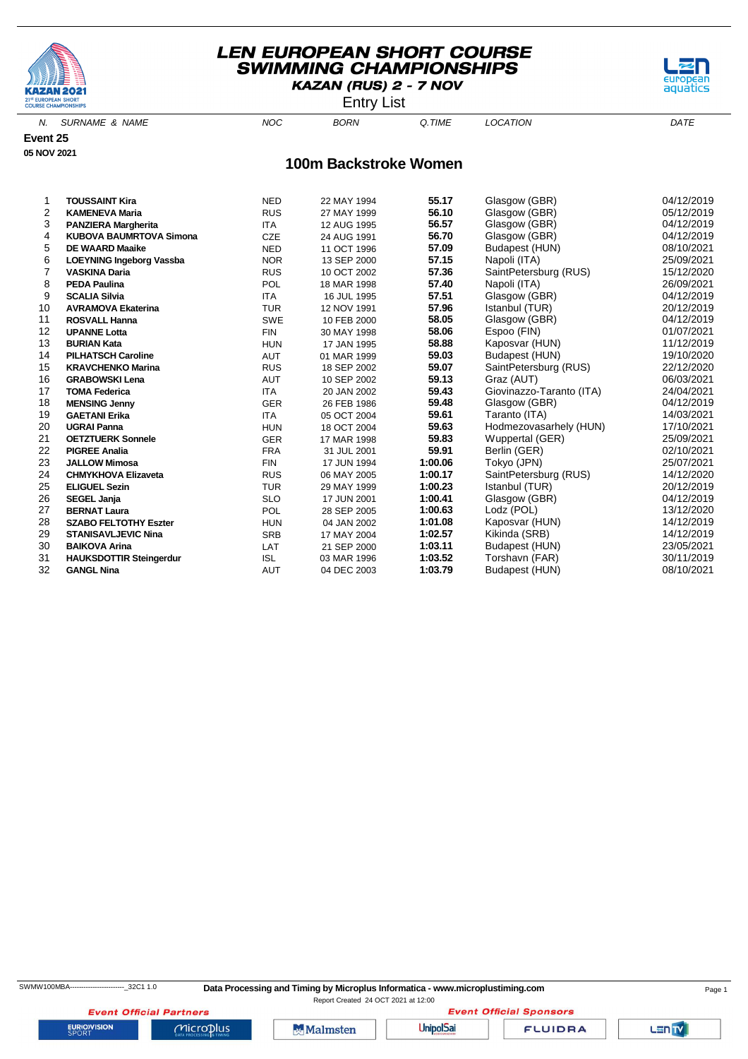

Entry List

aquatics

N. SURNAME & NAME  $NOC$  BORN Q.TIME LOCATION DATE

**Event 25 05 NOV 2021**

#### **100m Backstroke Women**

| 1              | <b>TOUSSAINT Kira</b>           | <b>NED</b> | 22 MAY 1994 | 55.17   | Glasgow (GBR)            | 04/12/2019 |
|----------------|---------------------------------|------------|-------------|---------|--------------------------|------------|
| $\overline{2}$ | <b>KAMENEVA Maria</b>           | <b>RUS</b> | 27 MAY 1999 | 56.10   | Glasgow (GBR)            | 05/12/2019 |
| 3              | <b>PANZIERA Margherita</b>      | <b>ITA</b> | 12 AUG 1995 | 56.57   | Glasgow (GBR)            | 04/12/2019 |
| 4              | <b>KUBOVA BAUMRTOVA Simona</b>  | <b>CZE</b> | 24 AUG 1991 | 56.70   | Glasgow (GBR)            | 04/12/2019 |
| 5              | <b>DE WAARD Maaike</b>          | <b>NED</b> | 11 OCT 1996 | 57.09   | Budapest (HUN)           | 08/10/2021 |
| 6              | <b>LOEYNING Ingeborg Vassba</b> | <b>NOR</b> | 13 SEP 2000 | 57.15   | Napoli (ITA)             | 25/09/2021 |
| 7              | <b>VASKINA Daria</b>            | <b>RUS</b> | 10 OCT 2002 | 57.36   | SaintPetersburg (RUS)    | 15/12/2020 |
| 8              | <b>PEDA Paulina</b>             | POL        | 18 MAR 1998 | 57.40   | Napoli (ITA)             | 26/09/2021 |
| 9              | <b>SCALIA Silvia</b>            | <b>ITA</b> | 16 JUL 1995 | 57.51   | Glasgow (GBR)            | 04/12/2019 |
| 10             | <b>AVRAMOVA Ekaterina</b>       | <b>TUR</b> | 12 NOV 1991 | 57.96   | Istanbul (TUR)           | 20/12/2019 |
| 11             | <b>ROSVALL Hanna</b>            | <b>SWE</b> | 10 FEB 2000 | 58.05   | Glasgow (GBR)            | 04/12/2019 |
| 12             | <b>UPANNE Lotta</b>             | <b>FIN</b> | 30 MAY 1998 | 58.06   | Espoo (FIN)              | 01/07/2021 |
| 13             | <b>BURIAN Kata</b>              | <b>HUN</b> | 17 JAN 1995 | 58.88   | Kaposvar (HUN)           | 11/12/2019 |
| 14             | <b>PILHATSCH Caroline</b>       | <b>AUT</b> | 01 MAR 1999 | 59.03   | Budapest (HUN)           | 19/10/2020 |
| 15             | <b>KRAVCHENKO Marina</b>        | <b>RUS</b> | 18 SEP 2002 | 59.07   | SaintPetersburg (RUS)    | 22/12/2020 |
| 16             | <b>GRABOWSKI Lena</b>           | <b>AUT</b> | 10 SEP 2002 | 59.13   | Graz (AUT)               | 06/03/2021 |
| 17             | <b>TOMA Federica</b>            | <b>ITA</b> | 20 JAN 2002 | 59.43   | Giovinazzo-Taranto (ITA) | 24/04/2021 |
| 18             | <b>MENSING Jenny</b>            | <b>GER</b> | 26 FEB 1986 | 59.48   | Glasgow (GBR)            | 04/12/2019 |
| 19             | <b>GAETANI Erika</b>            | <b>ITA</b> | 05 OCT 2004 | 59.61   | Taranto (ITA)            | 14/03/2021 |
| 20             | <b>UGRAI Panna</b>              | <b>HUN</b> | 18 OCT 2004 | 59.63   | Hodmezovasarhely (HUN)   | 17/10/2021 |
| 21             | <b>OETZTUERK Sonnele</b>        | <b>GER</b> | 17 MAR 1998 | 59.83   | Wuppertal (GER)          | 25/09/2021 |
| 22             | <b>PIGREE Analia</b>            | <b>FRA</b> | 31 JUL 2001 | 59.91   | Berlin (GER)             | 02/10/2021 |
| 23             | <b>JALLOW Mimosa</b>            | <b>FIN</b> | 17 JUN 1994 | 1:00.06 | Tokyo (JPN)              | 25/07/2021 |
| 24             | <b>CHMYKHOVA Elizaveta</b>      | <b>RUS</b> | 06 MAY 2005 | 1:00.17 | SaintPetersburg (RUS)    | 14/12/2020 |
| 25             | <b>ELIGUEL Sezin</b>            | <b>TUR</b> | 29 MAY 1999 | 1:00.23 | Istanbul (TUR)           | 20/12/2019 |
| 26             | <b>SEGEL Janja</b>              | <b>SLO</b> | 17 JUN 2001 | 1:00.41 | Glasgow (GBR)            | 04/12/2019 |
| 27             | <b>BERNAT Laura</b>             | POL        | 28 SEP 2005 | 1:00.63 | Lodz (POL)               | 13/12/2020 |
| 28             | <b>SZABO FELTOTHY Eszter</b>    | <b>HUN</b> | 04 JAN 2002 | 1:01.08 | Kaposvar (HUN)           | 14/12/2019 |
| 29             | <b>STANISAVLJEVIC Nina</b>      | <b>SRB</b> | 17 MAY 2004 | 1:02.57 | Kikinda (SRB)            | 14/12/2019 |
| 30             | <b>BAIKOVA Arina</b>            | LAT        | 21 SEP 2000 | 1:03.11 | Budapest (HUN)           | 23/05/2021 |
| 31             | <b>HAUKSDOTTIR Steingerdur</b>  | <b>ISL</b> | 03 MAR 1996 | 1:03.52 | Torshavn (FAR)           | 30/11/2019 |
| 32             | <b>GANGL Nina</b>               | <b>AUT</b> | 04 DEC 2003 | 1:03.79 | Budapest (HUN)           | 08/10/2021 |

**EURIOVISION** 

**UnipolSai** 

**Event Official Sponsors FLUIDRA** 

LENTY

**Event Official Partners**  $Microplus$ 

Malmsten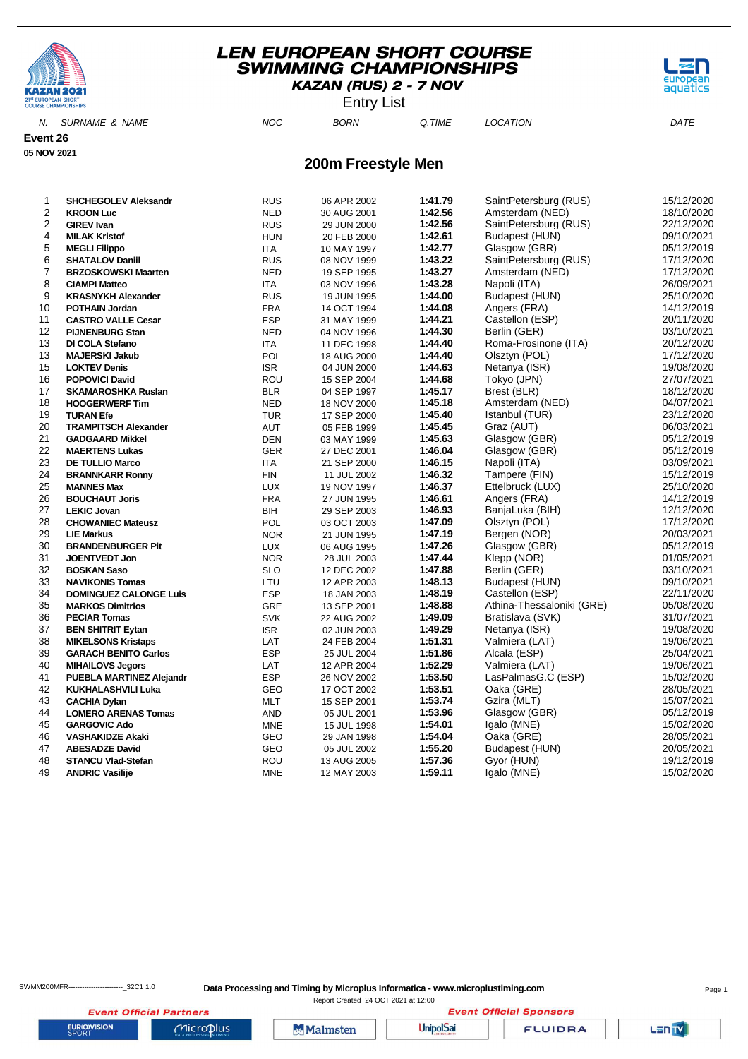

Entry List



N. SURNAME & NAME  $NOC$  BORN Q.TIME LOCATION DATE

**Event 26**

**05 NOV 2021**

#### **200m Freestyle Men**

| 1              | <b>SHCHEGOLEV Aleksandr</b>     | <b>RUS</b> | 06 APR 2002 | 1:41.79 | SaintPetersburg (RUS)     | 15/12/2020 |
|----------------|---------------------------------|------------|-------------|---------|---------------------------|------------|
| $\overline{2}$ | <b>KROON Luc</b>                | <b>NED</b> | 30 AUG 2001 | 1:42.56 | Amsterdam (NED)           | 18/10/2020 |
| 2              | <b>GIREV Ivan</b>               | <b>RUS</b> | 29 JUN 2000 | 1:42.56 | SaintPetersburg (RUS)     | 22/12/2020 |
| 4              | <b>MILAK Kristof</b>            | <b>HUN</b> | 20 FEB 2000 | 1:42.61 | Budapest (HUN)            | 09/10/2021 |
| 5              | <b>MEGLI Filippo</b>            | <b>ITA</b> | 10 MAY 1997 | 1:42.77 | Glasgow (GBR)             | 05/12/2019 |
| 6              | <b>SHATALOV Daniil</b>          | <b>RUS</b> | 08 NOV 1999 | 1:43.22 | SaintPetersburg (RUS)     | 17/12/2020 |
| $\overline{7}$ | <b>BRZOSKOWSKI Maarten</b>      | <b>NED</b> | 19 SEP 1995 | 1:43.27 | Amsterdam (NED)           | 17/12/2020 |
| 8              | <b>CIAMPI Matteo</b>            | ITA.       | 03 NOV 1996 | 1:43.28 | Napoli (ITA)              | 26/09/2021 |
| 9              | <b>KRASNYKH Alexander</b>       | <b>RUS</b> | 19 JUN 1995 | 1:44.00 | Budapest (HUN)            | 25/10/2020 |
| 10             | <b>POTHAIN Jordan</b>           | <b>FRA</b> | 14 OCT 1994 | 1:44.08 | Angers (FRA)              | 14/12/2019 |
| 11             | <b>CASTRO VALLE Cesar</b>       | <b>ESP</b> | 31 MAY 1999 | 1:44.21 | Castellon (ESP)           | 20/11/2020 |
| 12             | <b>PIJNENBURG Stan</b>          | <b>NED</b> | 04 NOV 1996 | 1:44.30 | Berlin (GER)              | 03/10/2021 |
| 13             | DI COLA Stefano                 | <b>ITA</b> | 11 DEC 1998 | 1:44.40 | Roma-Frosinone (ITA)      | 20/12/2020 |
| 13             | <b>MAJERSKI Jakub</b>           | POL        | 18 AUG 2000 | 1:44.40 | Olsztyn (POL)             | 17/12/2020 |
| 15             | <b>LOKTEV Denis</b>             | <b>ISR</b> | 04 JUN 2000 | 1:44.63 | Netanya (ISR)             | 19/08/2020 |
| 16             | <b>POPOVICI David</b>           | ROU        | 15 SEP 2004 | 1:44.68 | Tokyo (JPN)               | 27/07/2021 |
| 17             | <b>SKAMAROSHKA Ruslan</b>       | <b>BLR</b> | 04 SEP 1997 | 1:45.17 | Brest (BLR)               | 18/12/2020 |
| 18             | <b>HOOGERWERF Tim</b>           | <b>NED</b> | 18 NOV 2000 | 1:45.18 | Amsterdam (NED)           | 04/07/2021 |
| 19             | <b>TURAN Efe</b>                | <b>TUR</b> | 17 SEP 2000 | 1:45.40 | Istanbul (TUR)            | 23/12/2020 |
| 20             | <b>TRAMPITSCH Alexander</b>     | AUT        | 05 FEB 1999 | 1:45.45 | Graz (AUT)                | 06/03/2021 |
| 21             | <b>GADGAARD Mikkel</b>          | <b>DEN</b> | 03 MAY 1999 | 1:45.63 | Glasgow (GBR)             | 05/12/2019 |
| 22             | <b>MAERTENS Lukas</b>           | <b>GER</b> | 27 DEC 2001 | 1:46.04 | Glasgow (GBR)             | 05/12/2019 |
| 23             | <b>DE TULLIO Marco</b>          | <b>ITA</b> | 21 SEP 2000 | 1:46.15 | Napoli (ITA)              | 03/09/2021 |
| 24             | <b>BRANNKARR Ronny</b>          | <b>FIN</b> | 11 JUL 2002 | 1:46.32 | Tampere (FIN)             | 15/12/2019 |
| 25             | <b>MANNES Max</b>               | <b>LUX</b> | 19 NOV 1997 | 1:46.37 | Ettelbruck (LUX)          | 25/10/2020 |
| 26             | <b>BOUCHAUT Joris</b>           | <b>FRA</b> | 27 JUN 1995 | 1:46.61 | Angers (FRA)              | 14/12/2019 |
| 27             | <b>LEKIC Jovan</b>              | BIH        | 29 SEP 2003 | 1:46.93 | BanjaLuka (BIH)           | 12/12/2020 |
| 28             | <b>CHOWANIEC Mateusz</b>        | <b>POL</b> | 03 OCT 2003 | 1:47.09 | Olsztyn (POL)             | 17/12/2020 |
| 29             | <b>LIE Markus</b>               | <b>NOR</b> | 21 JUN 1995 | 1:47.19 | Bergen (NOR)              | 20/03/2021 |
| 30             | <b>BRANDENBURGER Pit</b>        | <b>LUX</b> | 06 AUG 1995 | 1:47.26 | Glasgow (GBR)             | 05/12/2019 |
| 31             | <b>JOENTVEDT Jon</b>            | <b>NOR</b> | 28 JUL 2003 | 1:47.44 | Klepp (NOR)               | 01/05/2021 |
| 32             | <b>BOSKAN Saso</b>              | <b>SLO</b> | 12 DEC 2002 | 1:47.88 | Berlin (GER)              | 03/10/2021 |
| 33             | <b>NAVIKONIS Tomas</b>          | LTU        | 12 APR 2003 | 1:48.13 | Budapest (HUN)            | 09/10/2021 |
| 34             | <b>DOMINGUEZ CALONGE Luis</b>   | <b>ESP</b> | 18 JAN 2003 | 1:48.19 | Castellon (ESP)           | 22/11/2020 |
| 35             | <b>MARKOS Dimitrios</b>         | GRE        | 13 SEP 2001 | 1:48.88 | Athina-Thessaloniki (GRE) | 05/08/2020 |
| 36             | <b>PECIAR Tomas</b>             | <b>SVK</b> | 22 AUG 2002 | 1:49.09 | Bratislava (SVK)          | 31/07/2021 |
| 37             | <b>BEN SHITRIT Eytan</b>        | ISR.       | 02 JUN 2003 | 1:49.29 | Netanya (ISR)             | 19/08/2020 |
| 38             | <b>MIKELSONS Kristaps</b>       | LAT        | 24 FEB 2004 | 1:51.31 | Valmiera (LAT)            | 19/06/2021 |
| 39             | <b>GARACH BENITO Carlos</b>     | <b>ESP</b> | 25 JUL 2004 | 1:51.86 | Alcala (ESP)              | 25/04/2021 |
| 40             | <b>MIHAILOVS Jegors</b>         | LAT        | 12 APR 2004 | 1:52.29 | Valmiera (LAT)            | 19/06/2021 |
| 41             | <b>PUEBLA MARTINEZ Alejandr</b> | <b>ESP</b> | 26 NOV 2002 | 1:53.50 | LasPalmasG.C (ESP)        | 15/02/2020 |
| 42             | <b>KUKHALASHVILI Luka</b>       | GEO        | 17 OCT 2002 | 1:53.51 | Oaka (GRE)                | 28/05/2021 |
| 43             | <b>CACHIA Dylan</b>             | <b>MLT</b> | 15 SEP 2001 | 1:53.74 | Gzira (MLT)               | 15/07/2021 |
| 44             | <b>LOMERO ARENAS Tomas</b>      | AND        | 05 JUL 2001 | 1:53.96 | Glasgow (GBR)             | 05/12/2019 |
| 45             | <b>GARGOVIC Ado</b>             | <b>MNE</b> | 15 JUL 1998 | 1:54.01 | Igalo (MNE)               | 15/02/2020 |
| 46             | <b>VASHAKIDZE Akaki</b>         | GEO        | 29 JAN 1998 | 1:54.04 | Oaka (GRE)                | 28/05/2021 |
| 47             | <b>ABESADZE David</b>           | GEO        | 05 JUL 2002 | 1:55.20 | Budapest (HUN)            | 20/05/2021 |
| 48             | <b>STANCU Vlad-Stefan</b>       | ROU        | 13 AUG 2005 | 1:57.36 | Gyor (HUN)                | 19/12/2019 |
| 49             | <b>ANDRIC Vasilije</b>          | <b>MNE</b> | 12 MAY 2003 | 1:59.11 | Igalo (MNE)               | 15/02/2020 |
|                |                                 |            |             |         |                           |            |

Report Created 24 OCT 2021 at 12:00

**Event Official Sponsors** 

**FLUIDRA** 

**Event Official Partners** 

 $Microplus$ 

**Malmsten** 

**UnipolSai**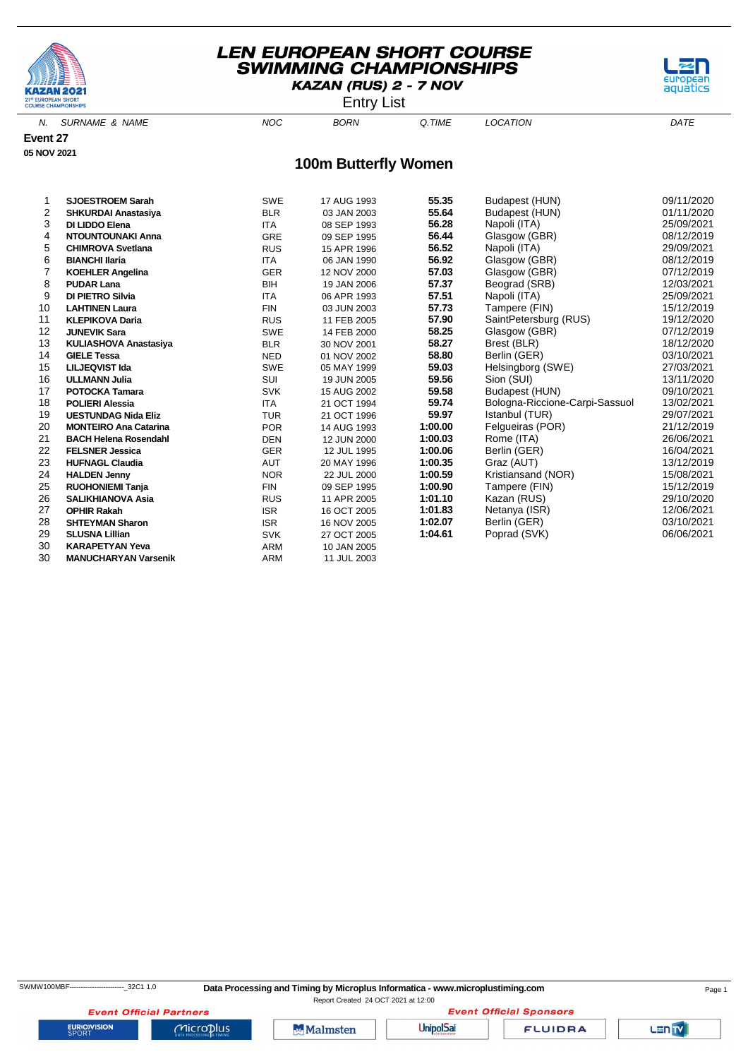

Entry List



N. SURNAME & NAME  $NOC$  BORN Q.TIME LOCATION DATE

**Event 27 05 NOV 2021**

#### **100m Butterfly Women**

| 1  | <b>SJOESTROEM Sarah</b>      | <b>SWE</b> | 17 AUG 1993 | 55.35   | Budapest (HUN)                 | 09/11/2020 |
|----|------------------------------|------------|-------------|---------|--------------------------------|------------|
| 2  | <b>SHKURDAI Anastasiya</b>   | <b>BLR</b> | 03 JAN 2003 | 55.64   | Budapest (HUN)                 | 01/11/2020 |
| 3  | DI LIDDO Elena               | <b>ITA</b> | 08 SEP 1993 | 56.28   | Napoli (ITA)                   | 25/09/2021 |
| 4  | <b>NTOUNTOUNAKI Anna</b>     | <b>GRE</b> | 09 SEP 1995 | 56.44   | Glasgow (GBR)                  | 08/12/2019 |
| 5  | <b>CHIMROVA Svetlana</b>     | <b>RUS</b> | 15 APR 1996 | 56.52   | Napoli (ITA)                   | 29/09/2021 |
| 6  | <b>BIANCHI Ilaria</b>        | <b>ITA</b> | 06 JAN 1990 | 56.92   | Glasgow (GBR)                  | 08/12/2019 |
| 7  | <b>KOEHLER Angelina</b>      | <b>GER</b> | 12 NOV 2000 | 57.03   | Glasgow (GBR)                  | 07/12/2019 |
| 8  | <b>PUDAR Lana</b>            | <b>BIH</b> | 19 JAN 2006 | 57.37   | Beograd (SRB)                  | 12/03/2021 |
| 9  | DI PIETRO Silvia             | <b>ITA</b> | 06 APR 1993 | 57.51   | Napoli (ITA)                   | 25/09/2021 |
| 10 | <b>LAHTINEN Laura</b>        | <b>FIN</b> | 03 JUN 2003 | 57.73   | Tampere (FIN)                  | 15/12/2019 |
| 11 | <b>KLEPIKOVA Daria</b>       | <b>RUS</b> | 11 FEB 2005 | 57.90   | SaintPetersburg (RUS)          | 19/12/2020 |
| 12 | <b>JUNEVIK Sara</b>          | SWE        | 14 FEB 2000 | 58.25   | Glasgow (GBR)                  | 07/12/2019 |
| 13 | KULIASHOVA Anastasiya        | <b>BLR</b> | 30 NOV 2001 | 58.27   | Brest (BLR)                    | 18/12/2020 |
| 14 | <b>GIELE Tessa</b>           | <b>NED</b> | 01 NOV 2002 | 58.80   | Berlin (GER)                   | 03/10/2021 |
| 15 | <b>LILJEQVIST Ida</b>        | <b>SWE</b> | 05 MAY 1999 | 59.03   | Helsingborg (SWE)              | 27/03/2021 |
| 16 | <b>ULLMANN Julia</b>         | SUI        | 19 JUN 2005 | 59.56   | Sion (SUI)                     | 13/11/2020 |
| 17 | <b>POTOCKA Tamara</b>        | <b>SVK</b> | 15 AUG 2002 | 59.58   | Budapest (HUN)                 | 09/10/2021 |
| 18 | <b>POLIERI Alessia</b>       | <b>ITA</b> | 21 OCT 1994 | 59.74   | Bologna-Riccione-Carpi-Sassuol | 13/02/2021 |
| 19 | <b>UESTUNDAG Nida Eliz</b>   | <b>TUR</b> | 21 OCT 1996 | 59.97   | Istanbul (TUR)                 | 29/07/2021 |
| 20 | <b>MONTEIRO Ana Catarina</b> | <b>POR</b> | 14 AUG 1993 | 1:00.00 | Felqueiras (POR)               | 21/12/2019 |
| 21 | <b>BACH Helena Rosendahl</b> | <b>DEN</b> | 12 JUN 2000 | 1:00.03 | Rome (ITA)                     | 26/06/2021 |
| 22 | <b>FELSNER Jessica</b>       | <b>GER</b> | 12 JUL 1995 | 1:00.06 | Berlin (GER)                   | 16/04/2021 |
| 23 | <b>HUFNAGL Claudia</b>       | <b>AUT</b> | 20 MAY 1996 | 1:00.35 | Graz (AUT)                     | 13/12/2019 |
| 24 | <b>HALDEN Jenny</b>          | <b>NOR</b> | 22 JUL 2000 | 1:00.59 | Kristiansand (NOR)             | 15/08/2021 |
| 25 | <b>RUOHONIEMI Tanja</b>      | <b>FIN</b> | 09 SEP 1995 | 1:00.90 | Tampere (FIN)                  | 15/12/2019 |
| 26 | <b>SALIKHIANOVA Asia</b>     | <b>RUS</b> | 11 APR 2005 | 1:01.10 | Kazan (RUS)                    | 29/10/2020 |
| 27 | <b>OPHIR Rakah</b>           | <b>ISR</b> | 16 OCT 2005 | 1:01.83 | Netanya (ISR)                  | 12/06/2021 |
| 28 | <b>SHTEYMAN Sharon</b>       | <b>ISR</b> | 16 NOV 2005 | 1:02.07 | Berlin (GER)                   | 03/10/2021 |
| 29 | <b>SLUSNA Lillian</b>        | <b>SVK</b> | 27 OCT 2005 | 1:04.61 | Poprad (SVK)                   | 06/06/2021 |
| 30 | <b>KARAPETYAN Yeva</b>       | <b>ARM</b> | 10 JAN 2005 |         |                                |            |
| 30 | <b>MANUCHARYAN Varsenik</b>  | <b>ARM</b> | 11 JUL 2003 |         |                                |            |



**EURIOVISION** 

**Event Official Partners** 

 $Microplus$ 

**Malmsten** 

**Event Official Sponsors UnipolSai** 

**FLUIDRA**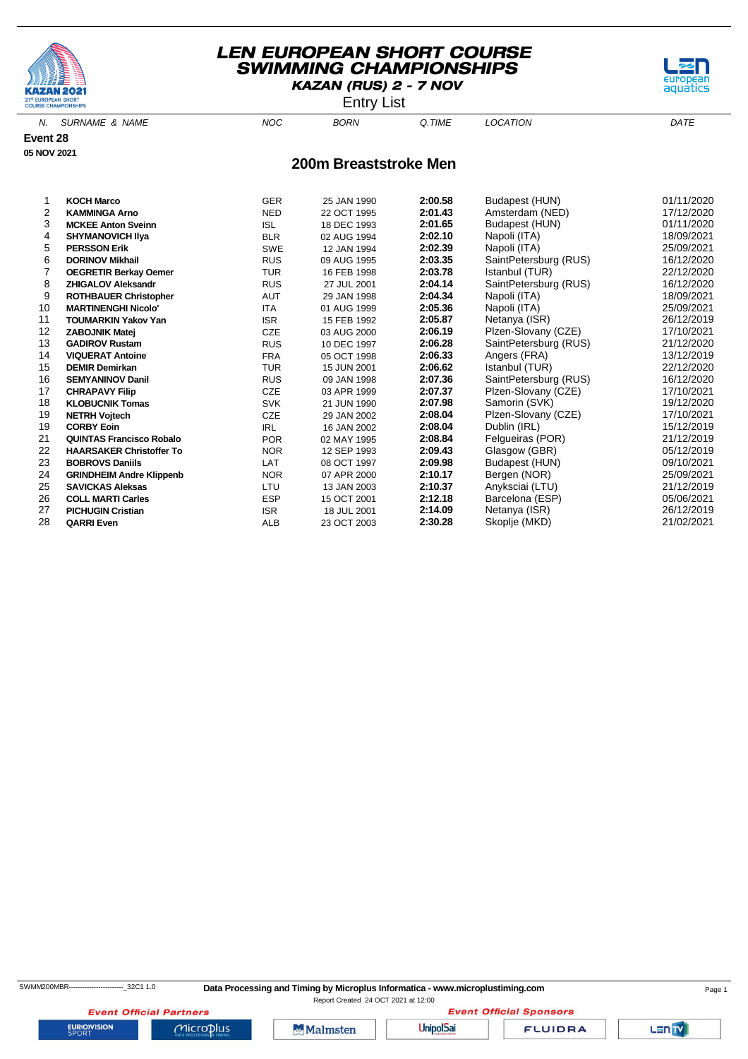

Entry List



N. SURNAME & NAME  $NOC$  BORN Q.TIME LOCATION DATE

**Event 28 05 NOV 2021**

#### **200m Breaststroke Men**

| <b>KOCH Marco</b>               | <b>GER</b> | 25 JAN 1990 | 2:00.58 | Budapest (HUN)        | 01/11/2020                                                            |
|---------------------------------|------------|-------------|---------|-----------------------|-----------------------------------------------------------------------|
| <b>KAMMINGA Arno</b>            | <b>NED</b> | 22 OCT 1995 | 2:01.43 | Amsterdam (NED)       | 17/12/2020                                                            |
| <b>MCKEE Anton Sveinn</b>       | <b>ISL</b> | 18 DEC 1993 | 2:01.65 | Budapest (HUN)        | 01/11/2020                                                            |
| <b>SHYMANOVICH IIva</b>         | <b>BLR</b> | 02 AUG 1994 | 2:02.10 | Napoli (ITA)          | 18/09/2021                                                            |
| <b>PERSSON Erik</b>             | <b>SWE</b> | 12 JAN 1994 | 2:02.39 | Napoli (ITA)          | 25/09/2021                                                            |
| <b>DORINOV Mikhail</b>          | <b>RUS</b> | 09 AUG 1995 | 2:03.35 |                       | 16/12/2020                                                            |
| <b>OEGRETIR Berkay Oemer</b>    | <b>TUR</b> | 16 FEB 1998 | 2:03.78 | Istanbul (TUR)        | 22/12/2020                                                            |
| <b>ZHIGALOV Aleksandr</b>       | <b>RUS</b> | 27 JUL 2001 | 2:04.14 |                       | 16/12/2020                                                            |
| <b>ROTHBAUER Christopher</b>    | <b>AUT</b> | 29 JAN 1998 | 2:04.34 | Napoli (ITA)          | 18/09/2021                                                            |
| <b>MARTINENGHI Nicolo'</b>      | <b>ITA</b> | 01 AUG 1999 | 2:05.36 | Napoli (ITA)          | 25/09/2021                                                            |
| <b>TOUMARKIN Yakov Yan</b>      | <b>ISR</b> | 15 FEB 1992 | 2:05.87 | Netanya (ISR)         | 26/12/2019                                                            |
| <b>ZABOJNIK Matej</b>           | <b>CZE</b> | 03 AUG 2000 | 2:06.19 | Plzen-Slovany (CZE)   | 17/10/2021                                                            |
| <b>GADIROV Rustam</b>           | <b>RUS</b> | 10 DEC 1997 | 2:06.28 | SaintPetersburg (RUS) | 21/12/2020                                                            |
| <b>VIQUERAT Antoine</b>         | <b>FRA</b> | 05 OCT 1998 | 2:06.33 | Angers (FRA)          | 13/12/2019                                                            |
| <b>DEMIR Demirkan</b>           | <b>TUR</b> | 15 JUN 2001 | 2:06.62 | Istanbul (TUR)        | 22/12/2020                                                            |
| <b>SEMYANINOV Danil</b>         | <b>RUS</b> | 09 JAN 1998 | 2:07.36 | SaintPetersburg (RUS) | 16/12/2020                                                            |
| <b>CHRAPAVY Filip</b>           | <b>CZE</b> | 03 APR 1999 | 2:07.37 | Plzen-Slovany (CZE)   | 17/10/2021                                                            |
| <b>KLOBUCNIK Tomas</b>          | <b>SVK</b> | 21 JUN 1990 | 2:07.98 | Samorin (SVK)         | 19/12/2020                                                            |
| <b>NETRH Vojtech</b>            | <b>CZE</b> | 29 JAN 2002 | 2:08.04 |                       | 17/10/2021                                                            |
| <b>CORBY Eoin</b>               | <b>IRL</b> | 16 JAN 2002 | 2:08.04 | Dublin (IRL)          | 15/12/2019                                                            |
| <b>QUINTAS Francisco Robalo</b> | <b>POR</b> | 02 MAY 1995 | 2:08.84 | Felgueiras (POR)      | 21/12/2019                                                            |
| <b>HAARSAKER Christoffer To</b> | <b>NOR</b> | 12 SEP 1993 | 2:09.43 | Glasgow (GBR)         | 05/12/2019                                                            |
| <b>BOBROVS Daniils</b>          | LAT        | 08 OCT 1997 | 2:09.98 | Budapest (HUN)        | 09/10/2021                                                            |
| <b>GRINDHEIM Andre Klippenb</b> | <b>NOR</b> | 07 APR 2000 | 2:10.17 | Bergen (NOR)          | 25/09/2021                                                            |
| <b>SAVICKAS Aleksas</b>         | LTU        | 13 JAN 2003 | 2:10.37 | Anyksciai (LTU)       | 21/12/2019                                                            |
| <b>COLL MARTI Carles</b>        | <b>ESP</b> | 15 OCT 2001 | 2:12.18 | Barcelona (ESP)       | 05/06/2021                                                            |
| <b>PICHUGIN Cristian</b>        | <b>ISR</b> | 18 JUL 2001 | 2:14.09 | Netanya (ISR)         | 26/12/2019                                                            |
| <b>QARRI Even</b>               | <b>ALB</b> | 23 OCT 2003 | 2:30.28 | Skoplje (MKD)         | 21/02/2021                                                            |
|                                 |            |             |         |                       | SaintPetersburg (RUS)<br>SaintPetersburg (RUS)<br>Plzen-Slovany (CZE) |

**EURIOVISION** 

**Event Official Partners** 

 $Microplus$ 

**Malmsten** 

**Event Official Sponsors UnipolSai** 

**FLUIDRA**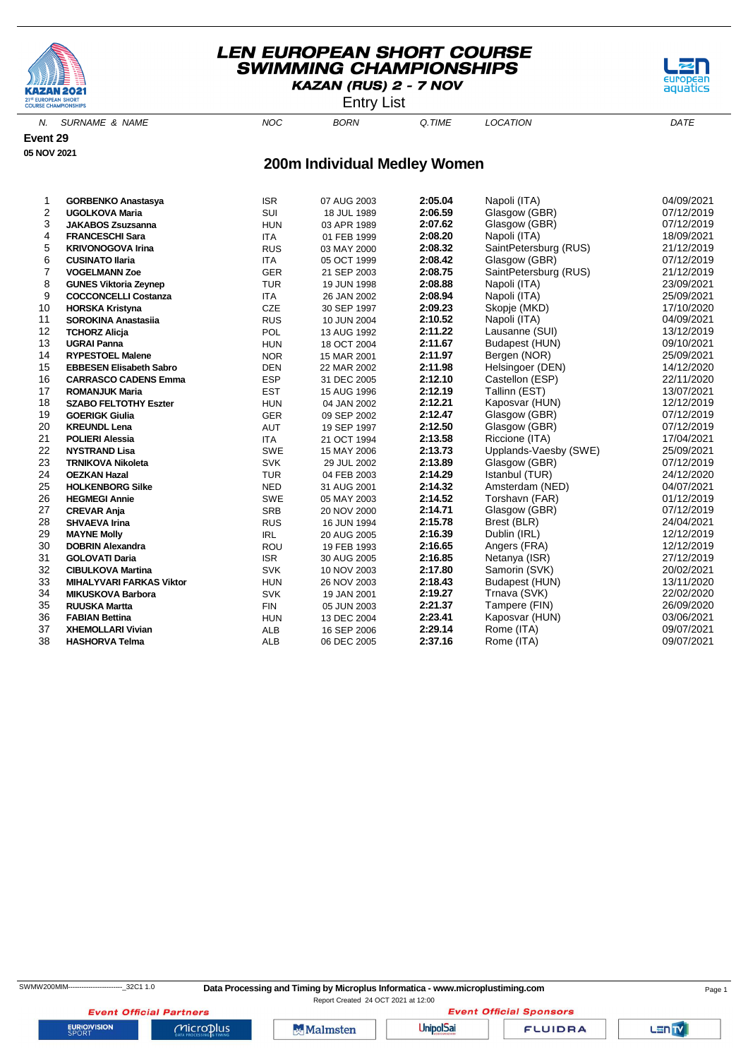

Entry List

aquatics

N. SURNAME & NAME  $NOC$  BORN Q.TIME LOCATION DATE

**Event 29 05 NOV 2021**

# **200m Individual Medley Women**

| 1  | <b>GORBENKO Anastasya</b>       | <b>ISR</b> | 07 AUG 2003 | 2:05.04 | Napoli (ITA)          | 04/09/2021 |
|----|---------------------------------|------------|-------------|---------|-----------------------|------------|
| 2  | <b>UGOLKOVA Maria</b>           | SUI        | 18 JUL 1989 | 2:06.59 | Glasgow (GBR)         | 07/12/2019 |
| 3  | <b>JAKABOS Zsuzsanna</b>        | <b>HUN</b> | 03 APR 1989 | 2:07.62 | Glasgow (GBR)         | 07/12/2019 |
| 4  | <b>FRANCESCHI Sara</b>          | <b>ITA</b> | 01 FEB 1999 | 2:08.20 | Napoli (ITA)          | 18/09/2021 |
| 5  | <b>KRIVONOGOVA Irina</b>        | <b>RUS</b> | 03 MAY 2000 | 2:08.32 | SaintPetersburg (RUS) | 21/12/2019 |
| 6  | <b>CUSINATO Ilaria</b>          | <b>ITA</b> | 05 OCT 1999 | 2:08.42 | Glasgow (GBR)         | 07/12/2019 |
| 7  | <b>VOGELMANN Zoe</b>            | <b>GER</b> | 21 SEP 2003 | 2:08.75 | SaintPetersburg (RUS) | 21/12/2019 |
| 8  | <b>GUNES Viktoria Zeynep</b>    | <b>TUR</b> | 19 JUN 1998 | 2:08.88 | Napoli (ITA)          | 23/09/2021 |
| 9  | <b>COCCONCELLI Costanza</b>     | <b>ITA</b> | 26 JAN 2002 | 2:08.94 | Napoli (ITA)          | 25/09/2021 |
| 10 | <b>HORSKA Kristyna</b>          | <b>CZE</b> | 30 SEP 1997 | 2:09.23 | Skopje (MKD)          | 17/10/2020 |
| 11 | <b>SOROKINA Anastasija</b>      | <b>RUS</b> | 10 JUN 2004 | 2:10.52 | Napoli (ITA)          | 04/09/2021 |
| 12 | <b>TCHORZ Alicja</b>            | POL        | 13 AUG 1992 | 2:11.22 | Lausanne (SUI)        | 13/12/2019 |
| 13 | <b>UGRAI Panna</b>              | <b>HUN</b> | 18 OCT 2004 | 2:11.67 | Budapest (HUN)        | 09/10/2021 |
| 14 | <b>RYPESTOEL Malene</b>         | <b>NOR</b> | 15 MAR 2001 | 2:11.97 | Bergen (NOR)          | 25/09/2021 |
| 15 | <b>EBBESEN Elisabeth Sabro</b>  | <b>DEN</b> | 22 MAR 2002 | 2:11.98 | Helsingoer (DEN)      | 14/12/2020 |
| 16 | <b>CARRASCO CADENS Emma</b>     | <b>ESP</b> | 31 DEC 2005 | 2:12.10 | Castellon (ESP)       | 22/11/2020 |
| 17 | <b>ROMANJUK Maria</b>           | <b>EST</b> | 15 AUG 1996 | 2:12.19 | Tallinn (EST)         | 13/07/2021 |
| 18 | <b>SZABO FELTOTHY Eszter</b>    | <b>HUN</b> | 04 JAN 2002 | 2:12.21 | Kaposvar (HUN)        | 12/12/2019 |
| 19 | <b>GOERIGK Giulia</b>           | GER        | 09 SEP 2002 | 2:12.47 | Glasgow (GBR)         | 07/12/2019 |
| 20 | <b>KREUNDL Lena</b>             | <b>AUT</b> | 19 SEP 1997 | 2:12.50 | Glasgow (GBR)         | 07/12/2019 |
| 21 | <b>POLIERI Alessia</b>          | <b>ITA</b> | 21 OCT 1994 | 2:13.58 | Riccione (ITA)        | 17/04/2021 |
| 22 | <b>NYSTRAND Lisa</b>            | <b>SWE</b> | 15 MAY 2006 | 2:13.73 | Upplands-Vaesby (SWE) | 25/09/2021 |
| 23 | <b>TRNIKOVA Nikoleta</b>        | <b>SVK</b> | 29 JUL 2002 | 2:13.89 | Glasgow (GBR)         | 07/12/2019 |
| 24 | <b>OEZKAN Hazal</b>             | <b>TUR</b> | 04 FEB 2003 | 2:14.29 | Istanbul (TUR)        | 24/12/2020 |
| 25 | <b>HOLKENBORG Silke</b>         | <b>NED</b> | 31 AUG 2001 | 2:14.32 | Amsterdam (NED)       | 04/07/2021 |
| 26 | <b>HEGMEGI Annie</b>            | <b>SWE</b> | 05 MAY 2003 | 2:14.52 | Torshavn (FAR)        | 01/12/2019 |
| 27 | <b>CREVAR Anja</b>              | <b>SRB</b> | 20 NOV 2000 | 2:14.71 | Glasgow (GBR)         | 07/12/2019 |
| 28 | <b>SHVAEVA Irina</b>            | <b>RUS</b> | 16 JUN 1994 | 2:15.78 | Brest (BLR)           | 24/04/2021 |
| 29 | <b>MAYNE Molly</b>              | IRL        | 20 AUG 2005 | 2:16.39 | Dublin (IRL)          | 12/12/2019 |
| 30 | <b>DOBRIN Alexandra</b>         | ROU        | 19 FEB 1993 | 2:16.65 | Angers (FRA)          | 12/12/2019 |
| 31 | <b>GOLOVATI Daria</b>           | <b>ISR</b> | 30 AUG 2005 | 2:16.85 | Netanya (ISR)         | 27/12/2019 |
| 32 | <b>CIBULKOVA Martina</b>        | <b>SVK</b> | 10 NOV 2003 | 2:17.80 | Samorin (SVK)         | 20/02/2021 |
| 33 | <b>MIHALYVARI FARKAS Viktor</b> | <b>HUN</b> | 26 NOV 2003 | 2:18.43 | Budapest (HUN)        | 13/11/2020 |
| 34 | <b>MIKUSKOVA Barbora</b>        | <b>SVK</b> | 19 JAN 2001 | 2:19.27 | Trnava (SVK)          | 22/02/2020 |
| 35 | <b>RUUSKA Martta</b>            | <b>FIN</b> | 05 JUN 2003 | 2:21.37 | Tampere (FIN)         | 26/09/2020 |
| 36 | <b>FABIAN Bettina</b>           | <b>HUN</b> | 13 DEC 2004 | 2:23.41 | Kaposvar (HUN)        | 03/06/2021 |
| 37 | <b>XHEMOLLARI Vivian</b>        | <b>ALB</b> | 16 SEP 2006 | 2:29.14 | Rome (ITA)            | 09/07/2021 |
| 38 | <b>HASHORVA Telma</b>           | <b>ALB</b> | 06 DEC 2005 | 2:37.16 | Rome (ITA)            | 09/07/2021 |

SWMW200MIM-----------------------------32C1 1.0 **Data Processing and Timing by Microplus Informatica - www.microplustiming.com** Page 1

Report Created 24 OCT 2021 at 12:00**Event Official Sponsors** 

**Event Official Partners EURIOVISION** 

 $Microplus$ 

Malmsten

**UnipolSai** 

**FLUIDRA**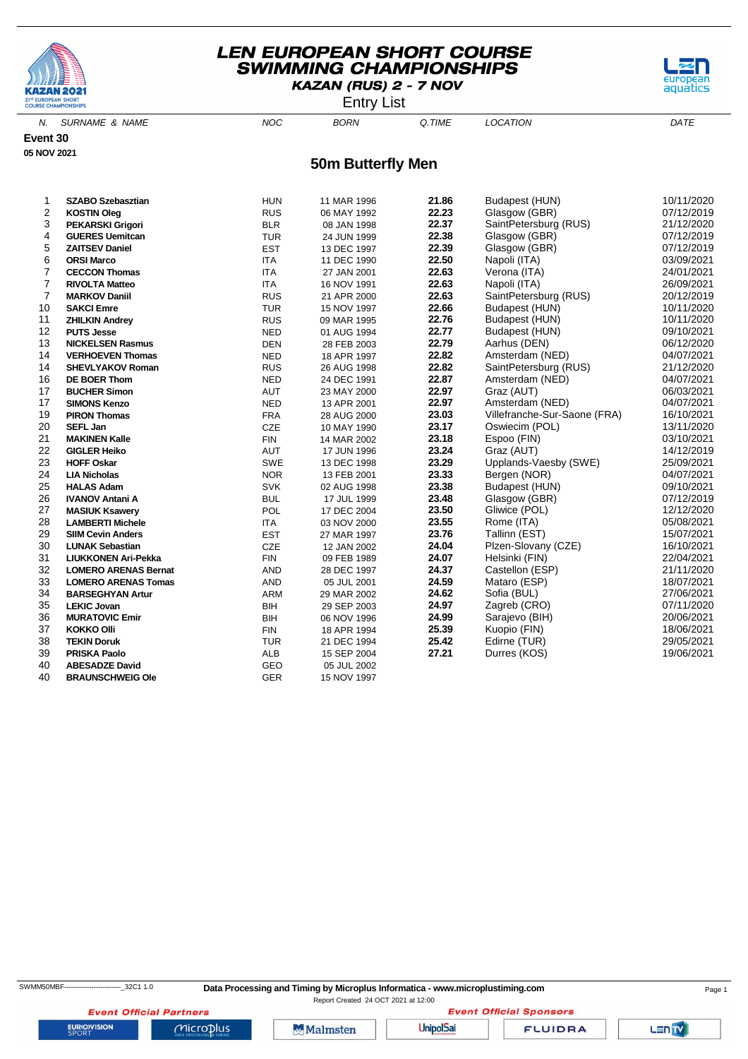

Entry List



N. SURNAME & NAME  $NOC$  BORN Q.TIME LOCATION DATE

**Event 30 05 NOV 2021**

#### **50m Butterfly Men**

| 1              | <b>SZABO Szebasztian</b>    | <b>HUN</b> | 11 MAR 1996 | 21.86 | Budapest (HUN)               | 10/11/2020 |
|----------------|-----------------------------|------------|-------------|-------|------------------------------|------------|
| $\overline{c}$ | <b>KOSTIN Oleg</b>          | <b>RUS</b> | 06 MAY 1992 | 22.23 | Glasgow (GBR)                | 07/12/2019 |
| 3              | <b>PEKARSKI Grigori</b>     | <b>BLR</b> | 08 JAN 1998 | 22.37 | SaintPetersburg (RUS)        | 21/12/2020 |
| 4              | <b>GUERES Uemitcan</b>      | <b>TUR</b> | 24 JUN 1999 | 22.38 | Glasgow (GBR)                | 07/12/2019 |
| 5              | <b>ZAITSEV Daniel</b>       | <b>EST</b> | 13 DEC 1997 | 22.39 | Glasgow (GBR)                | 07/12/2019 |
| 6              | <b>ORSI Marco</b>           | <b>ITA</b> | 11 DEC 1990 | 22.50 | Napoli (ITA)                 | 03/09/2021 |
| 7              | <b>CECCON Thomas</b>        | <b>ITA</b> | 27 JAN 2001 | 22.63 | Verona (ITA)                 | 24/01/2021 |
| $\overline{7}$ | <b>RIVOLTA Matteo</b>       | <b>ITA</b> | 16 NOV 1991 | 22.63 | Napoli (ITA)                 | 26/09/2021 |
| $\overline{7}$ | <b>MARKOV Daniil</b>        | <b>RUS</b> | 21 APR 2000 | 22.63 | SaintPetersburg (RUS)        | 20/12/2019 |
| 10             | <b>SAKCI Emre</b>           | <b>TUR</b> | 15 NOV 1997 | 22.66 | Budapest (HUN)               | 10/11/2020 |
| 11             | <b>ZHILKIN Andrey</b>       | <b>RUS</b> | 09 MAR 1995 | 22.76 | Budapest (HUN)               | 10/11/2020 |
| 12             | <b>PUTS Jesse</b>           | <b>NED</b> | 01 AUG 1994 | 22.77 | Budapest (HUN)               | 09/10/2021 |
| 13             | <b>NICKELSEN Rasmus</b>     | <b>DEN</b> | 28 FEB 2003 | 22.79 | Aarhus (DEN)                 | 06/12/2020 |
| 14             | <b>VERHOEVEN Thomas</b>     | <b>NED</b> | 18 APR 1997 | 22.82 | Amsterdam (NED)              | 04/07/2021 |
| 14             | <b>SHEVLYAKOV Roman</b>     | <b>RUS</b> | 26 AUG 1998 | 22.82 | SaintPetersburg (RUS)        | 21/12/2020 |
| 16             | <b>DE BOER Thom</b>         | <b>NED</b> | 24 DEC 1991 | 22.87 | Amsterdam (NED)              | 04/07/2021 |
| 17             | <b>BUCHER Simon</b>         | <b>AUT</b> | 23 MAY 2000 | 22.97 | Graz (AUT)                   | 06/03/2021 |
| 17             | <b>SIMONS Kenzo</b>         | <b>NED</b> | 13 APR 2001 | 22.97 | Amsterdam (NED)              | 04/07/2021 |
| 19             | <b>PIRON Thomas</b>         | <b>FRA</b> | 28 AUG 2000 | 23.03 | Villefranche-Sur-Saone (FRA) | 16/10/2021 |
| 20             | <b>SEFL Jan</b>             | CZE        | 10 MAY 1990 | 23.17 | Oswiecim (POL)               | 13/11/2020 |
| 21             | <b>MAKINEN Kalle</b>        | <b>FIN</b> | 14 MAR 2002 | 23.18 | Espoo (FIN)                  | 03/10/2021 |
| 22             | <b>GIGLER Heiko</b>         | <b>AUT</b> | 17 JUN 1996 | 23.24 | Graz (AUT)                   | 14/12/2019 |
| 23             | <b>HOFF Oskar</b>           | SWE        | 13 DEC 1998 | 23.29 | Upplands-Vaesby (SWE)        | 25/09/2021 |
| 24             | <b>LIA Nicholas</b>         | <b>NOR</b> | 13 FEB 2001 | 23.33 | Bergen (NOR)                 | 04/07/2021 |
| 25             | <b>HALAS Adam</b>           | <b>SVK</b> | 02 AUG 1998 | 23.38 | Budapest (HUN)               | 09/10/2021 |
| 26             | <b>IVANOV Antani A</b>      | <b>BUL</b> | 17 JUL 1999 | 23.48 | Glasgow (GBR)                | 07/12/2019 |
| 27             | <b>MASIUK Ksawery</b>       | POL        | 17 DEC 2004 | 23.50 | Gliwice (POL)                | 12/12/2020 |
| 28             | <b>LAMBERTI Michele</b>     | <b>ITA</b> | 03 NOV 2000 | 23.55 | Rome (ITA)                   | 05/08/2021 |
| 29             | <b>SIIM Cevin Anders</b>    | <b>EST</b> | 27 MAR 1997 | 23.76 | Tallinn (EST)                | 15/07/2021 |
| 30             | <b>LUNAK Sebastian</b>      | CZE        | 12 JAN 2002 | 24.04 | Plzen-Slovany (CZE)          | 16/10/2021 |
| 31             | <b>LIUKKONEN Ari-Pekka</b>  | <b>FIN</b> | 09 FEB 1989 | 24.07 | Helsinki (FIN)               | 22/04/2021 |
| 32             | <b>LOMERO ARENAS Bernat</b> | AND        | 28 DEC 1997 | 24.37 | Castellon (ESP)              | 21/11/2020 |
| 33             | <b>LOMERO ARENAS Tomas</b>  | AND        | 05 JUL 2001 | 24.59 | Mataro (ESP)                 | 18/07/2021 |
| 34             | <b>BARSEGHYAN Artur</b>     | ARM        | 29 MAR 2002 | 24.62 | Sofia (BUL)                  | 27/06/2021 |
| 35             | <b>LEKIC Jovan</b>          | <b>BIH</b> | 29 SEP 2003 | 24.97 | Zagreb (CRO)                 | 07/11/2020 |
| 36             | <b>MURATOVIC Emir</b>       | <b>BIH</b> | 06 NOV 1996 | 24.99 | Sarajevo (BIH)               | 20/06/2021 |
| 37             | <b>KOKKO Olli</b>           | <b>FIN</b> | 18 APR 1994 | 25.39 | Kuopio (FIN)                 | 18/06/2021 |
| 38             | <b>TEKIN Doruk</b>          | <b>TUR</b> | 21 DEC 1994 | 25.42 | Edirne (TUR)                 | 29/05/2021 |
| 39             | <b>PRISKA Paolo</b>         | <b>ALB</b> | 15 SEP 2004 | 27.21 | Durres (KOS)                 | 19/06/2021 |
| 40             | <b>ABESADZE David</b>       | GEO        | 05 JUL 2002 |       |                              |            |
| 40             | <b>BRAUNSCHWEIG Ole</b>     | GER        | 15 NOV 1997 |       |                              |            |

**Event Official Partners** 

**EURIOVISION** 

 $Microplus$ 

Report Created 24 OCT 2021 at 12:00

**Malmsten** 

**Event Official Sponsors UnipolSai** 

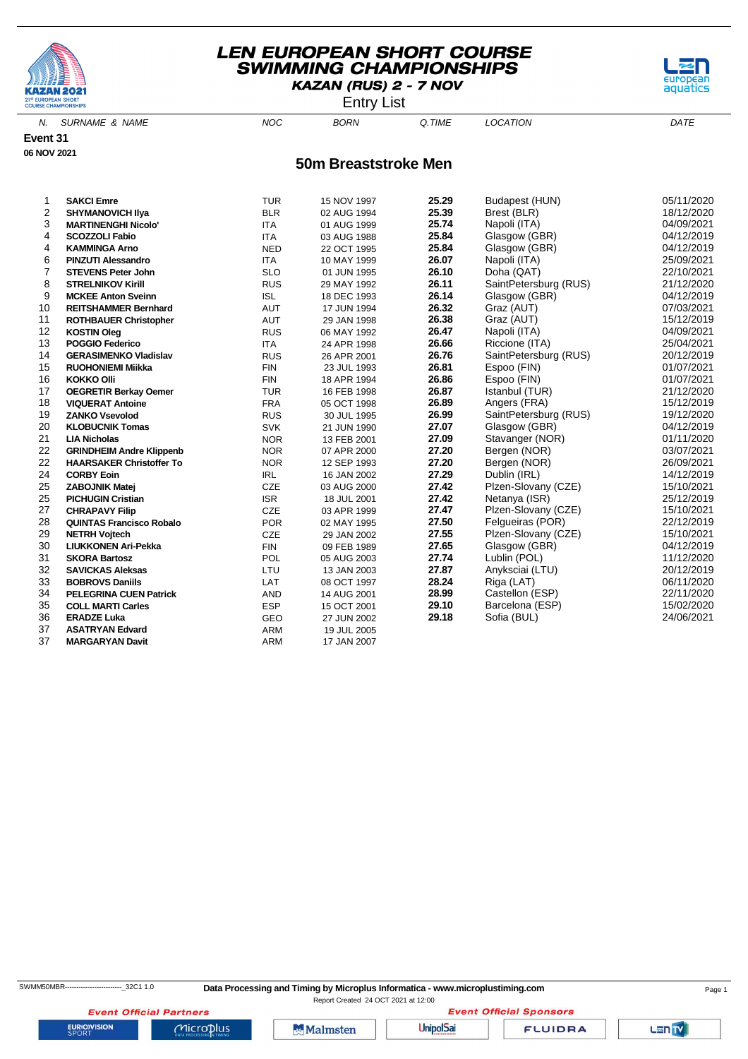

Entry List



N. SURNAME & NAME  $NOC$  BORN Q.TIME LOCATION DATE

**Event 31 06 NOV 2021**

**50m Breaststroke Men**

| 1  | <b>SAKCI Emre</b>               | <b>TUR</b> | 15 NOV 1997 | 25.29 | Budapest (HUN)        | 05/11/2020 |
|----|---------------------------------|------------|-------------|-------|-----------------------|------------|
| 2  | <b>SHYMANOVICH IIya</b>         | <b>BLR</b> | 02 AUG 1994 | 25.39 | Brest (BLR)           | 18/12/2020 |
| 3  | <b>MARTINENGHI Nicolo'</b>      | <b>ITA</b> | 01 AUG 1999 | 25.74 | Napoli (ITA)          | 04/09/2021 |
| 4  | <b>SCOZZOLI Fabio</b>           | <b>ITA</b> | 03 AUG 1988 | 25.84 | Glasgow (GBR)         | 04/12/2019 |
| 4  | <b>KAMMINGA Arno</b>            | <b>NED</b> | 22 OCT 1995 | 25.84 | Glasgow (GBR)         | 04/12/2019 |
| 6  | <b>PINZUTI Alessandro</b>       | <b>ITA</b> | 10 MAY 1999 | 26.07 | Napoli (ITA)          | 25/09/2021 |
| 7  | <b>STEVENS Peter John</b>       | <b>SLO</b> | 01 JUN 1995 | 26.10 | Doha (QAT)            | 22/10/2021 |
| 8  | <b>STRELNIKOV Kirill</b>        | <b>RUS</b> | 29 MAY 1992 | 26.11 | SaintPetersburg (RUS) | 21/12/2020 |
| 9  | <b>MCKEE Anton Sveinn</b>       | <b>ISL</b> | 18 DEC 1993 | 26.14 | Glasgow (GBR)         | 04/12/2019 |
| 10 | <b>REITSHAMMER Bernhard</b>     | <b>AUT</b> | 17 JUN 1994 | 26.32 | Graz (AUT)            | 07/03/2021 |
| 11 | <b>ROTHBAUER Christopher</b>    | <b>AUT</b> | 29 JAN 1998 | 26.38 | Graz (AUT)            | 15/12/2019 |
| 12 | <b>KOSTIN Oleg</b>              | <b>RUS</b> | 06 MAY 1992 | 26.47 | Napoli (ITA)          | 04/09/2021 |
| 13 | <b>POGGIO Federico</b>          | <b>ITA</b> | 24 APR 1998 | 26.66 | Riccione (ITA)        | 25/04/2021 |
| 14 | <b>GERASIMENKO Vladislav</b>    | <b>RUS</b> | 26 APR 2001 | 26.76 | SaintPetersburg (RUS) | 20/12/2019 |
| 15 | <b>RUOHONIEMI Miikka</b>        | <b>FIN</b> | 23 JUL 1993 | 26.81 | Espoo (FIN)           | 01/07/2021 |
| 16 | <b>KOKKO Olli</b>               | <b>FIN</b> | 18 APR 1994 | 26.86 | Espoo (FIN)           | 01/07/2021 |
| 17 | <b>OEGRETIR Berkay Oemer</b>    | <b>TUR</b> | 16 FEB 1998 | 26.87 | Istanbul (TUR)        | 21/12/2020 |
| 18 | <b>VIQUERAT Antoine</b>         | <b>FRA</b> | 05 OCT 1998 | 26.89 | Angers (FRA)          | 15/12/2019 |
| 19 | <b>ZANKO Vsevolod</b>           | <b>RUS</b> | 30 JUL 1995 | 26.99 | SaintPetersburg (RUS) | 19/12/2020 |
| 20 | <b>KLOBUCNIK Tomas</b>          | <b>SVK</b> | 21 JUN 1990 | 27.07 | Glasgow (GBR)         | 04/12/2019 |
| 21 | <b>LIA Nicholas</b>             | <b>NOR</b> | 13 FEB 2001 | 27.09 | Stavanger (NOR)       | 01/11/2020 |
| 22 | <b>GRINDHEIM Andre Klippenb</b> | <b>NOR</b> | 07 APR 2000 | 27.20 | Bergen (NOR)          | 03/07/2021 |
| 22 | <b>HAARSAKER Christoffer To</b> | <b>NOR</b> | 12 SEP 1993 | 27.20 | Bergen (NOR)          | 26/09/2021 |
| 24 | <b>CORBY Eoin</b>               | <b>IRL</b> | 16 JAN 2002 | 27.29 | Dublin (IRL)          | 14/12/2019 |
| 25 | <b>ZABOJNIK Matej</b>           | CZE        | 03 AUG 2000 | 27.42 | Plzen-Slovany (CZE)   | 15/10/2021 |
| 25 | <b>PICHUGIN Cristian</b>        | <b>ISR</b> | 18 JUL 2001 | 27.42 | Netanya (ISR)         | 25/12/2019 |
| 27 | <b>CHRAPAVY Filip</b>           | CZE        | 03 APR 1999 | 27.47 | Plzen-Slovany (CZE)   | 15/10/2021 |
| 28 | <b>QUINTAS Francisco Robalo</b> | <b>POR</b> | 02 MAY 1995 | 27.50 | Felgueiras (POR)      | 22/12/2019 |
| 29 | <b>NETRH Vojtech</b>            | <b>CZE</b> | 29 JAN 2002 | 27.55 | Plzen-Slovany (CZE)   | 15/10/2021 |
| 30 | <b>LIUKKONEN Ari-Pekka</b>      | <b>FIN</b> | 09 FEB 1989 | 27.65 | Glasgow (GBR)         | 04/12/2019 |
| 31 | <b>SKORA Bartosz</b>            | POL        | 05 AUG 2003 | 27.74 | Lublin (POL)          | 11/12/2020 |
| 32 | <b>SAVICKAS Aleksas</b>         | LTU        | 13 JAN 2003 | 27.87 | Anyksciai (LTU)       | 20/12/2019 |
| 33 | <b>BOBROVS Daniils</b>          | LAT        | 08 OCT 1997 | 28.24 | Riga (LAT)            | 06/11/2020 |
| 34 | <b>PELEGRINA CUEN Patrick</b>   | <b>AND</b> | 14 AUG 2001 | 28.99 | Castellon (ESP)       | 22/11/2020 |
| 35 | <b>COLL MARTI Carles</b>        | <b>ESP</b> | 15 OCT 2001 | 29.10 | Barcelona (ESP)       | 15/02/2020 |
| 36 | <b>ERADZE Luka</b>              | GEO        | 27 JUN 2002 | 29.18 | Sofia (BUL)           | 24/06/2021 |
| 37 | <b>ASATRYAN Edvard</b>          | <b>ARM</b> | 19 JUL 2005 |       |                       |            |
| 37 | <b>MARGARYAN Davit</b>          | <b>ARM</b> | 17 JAN 2007 |       |                       |            |

SWMM50MBR-------------------------\_32C1 1.0 **Data Processing and Timing by Microplus Informatica - www.microplustiming.com** Page 1

Report Created 24 OCT 2021 at 12:00**Event Official Sponsors** 

**Event Official Partners EURIOVISION** 

 $Microplus$ 

**Malmsten** 

**UnipolSai** 

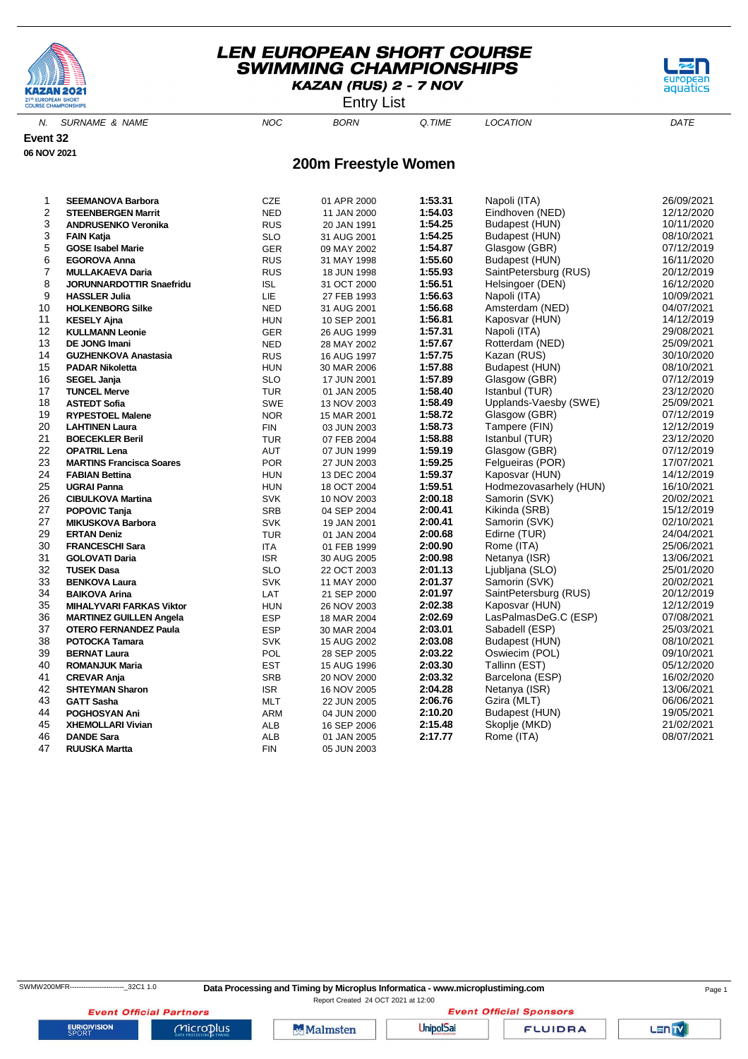

Entry List

aquati

N. SURNAME & NAME  $NOC$  BORN Q.TIME LOCATION DATE

**Event 32 06 NOV 2021**

#### **200m Freestyle Women**

| 1              | <b>SEEMANOVA Barbora</b>        | <b>CZE</b> | 01 APR 2000 | 1:53.31 | Napoli (ITA)           | 26/09/2021 |
|----------------|---------------------------------|------------|-------------|---------|------------------------|------------|
| $\overline{2}$ | <b>STEENBERGEN Marrit</b>       | <b>NED</b> | 11 JAN 2000 | 1:54.03 | Eindhoven (NED)        | 12/12/2020 |
| 3              | <b>ANDRUSENKO Veronika</b>      | <b>RUS</b> | 20 JAN 1991 | 1:54.25 | Budapest (HUN)         | 10/11/2020 |
| 3              | <b>FAIN Katja</b>               | <b>SLO</b> | 31 AUG 2001 | 1:54.25 | Budapest (HUN)         | 08/10/2021 |
| 5              | <b>GOSE Isabel Marie</b>        | <b>GER</b> | 09 MAY 2002 | 1:54.87 | Glasgow (GBR)          | 07/12/2019 |
| 6              | <b>EGOROVA Anna</b>             | <b>RUS</b> | 31 MAY 1998 | 1:55.60 | Budapest (HUN)         | 16/11/2020 |
| 7              | <b>MULLAKAEVA Daria</b>         | <b>RUS</b> | 18 JUN 1998 | 1:55.93 | SaintPetersburg (RUS)  | 20/12/2019 |
| 8              | <b>JORUNNARDOTTIR Snaefridu</b> | <b>ISL</b> | 31 OCT 2000 | 1:56.51 | Helsingoer (DEN)       | 16/12/2020 |
| 9              | <b>HASSLER Julia</b>            | LIE        | 27 FEB 1993 | 1:56.63 | Napoli (ITA)           | 10/09/2021 |
| 10             | <b>HOLKENBORG Silke</b>         | <b>NED</b> | 31 AUG 2001 | 1:56.68 | Amsterdam (NED)        | 04/07/2021 |
| 11             | <b>KESELY Ajna</b>              | <b>HUN</b> | 10 SEP 2001 | 1:56.81 | Kaposvar (HUN)         | 14/12/2019 |
| 12             | <b>KULLMANN Leonie</b>          | <b>GER</b> | 26 AUG 1999 | 1:57.31 | Napoli (ITA)           | 29/08/2021 |
| 13             | <b>DE JONG Imani</b>            | <b>NED</b> | 28 MAY 2002 | 1:57.67 | Rotterdam (NED)        | 25/09/2021 |
| 14             | <b>GUZHENKOVA Anastasia</b>     | <b>RUS</b> | 16 AUG 1997 | 1:57.75 | Kazan (RUS)            | 30/10/2020 |
| 15             | <b>PADAR Nikoletta</b>          | <b>HUN</b> | 30 MAR 2006 | 1:57.88 | Budapest (HUN)         | 08/10/2021 |
| 16             | <b>SEGEL Janja</b>              | <b>SLO</b> | 17 JUN 2001 | 1:57.89 | Glasgow (GBR)          | 07/12/2019 |
| 17             | <b>TUNCEL Merve</b>             | <b>TUR</b> | 01 JAN 2005 | 1:58.40 | Istanbul (TUR)         | 23/12/2020 |
| 18             | <b>ASTEDT Sofia</b>             | <b>SWE</b> | 13 NOV 2003 | 1:58.49 | Upplands-Vaesby (SWE)  | 25/09/2021 |
| 19             | <b>RYPESTOEL Malene</b>         | <b>NOR</b> | 15 MAR 2001 | 1:58.72 | Glasgow (GBR)          | 07/12/2019 |
| 20             | <b>LAHTINEN Laura</b>           | <b>FIN</b> | 03 JUN 2003 | 1:58.73 | Tampere (FIN)          | 12/12/2019 |
| 21             | <b>BOECEKLER Beril</b>          | <b>TUR</b> | 07 FEB 2004 | 1:58.88 | Istanbul (TUR)         | 23/12/2020 |
| 22             | <b>OPATRIL Lena</b>             | AUT        | 07 JUN 1999 | 1:59.19 | Glasgow (GBR)          | 07/12/2019 |
| 23             | <b>MARTINS Francisca Soares</b> | <b>POR</b> | 27 JUN 2003 | 1:59.25 | Felgueiras (POR)       | 17/07/2021 |
| 24             | <b>FABIAN Bettina</b>           | <b>HUN</b> | 13 DEC 2004 | 1:59.37 | Kaposvar (HUN)         | 14/12/2019 |
| 25             | <b>UGRAI Panna</b>              | <b>HUN</b> | 18 OCT 2004 | 1:59.51 | Hodmezovasarhely (HUN) | 16/10/2021 |
| 26             | <b>CIBULKOVA Martina</b>        | <b>SVK</b> | 10 NOV 2003 | 2:00.18 | Samorin (SVK)          | 20/02/2021 |
| 27             | POPOVIC Tanja                   | <b>SRB</b> | 04 SEP 2004 | 2:00.41 | Kikinda (SRB)          | 15/12/2019 |
| 27             | <b>MIKUSKOVA Barbora</b>        | <b>SVK</b> | 19 JAN 2001 | 2:00.41 | Samorin (SVK)          | 02/10/2021 |
| 29             | <b>ERTAN Deniz</b>              | <b>TUR</b> | 01 JAN 2004 | 2:00.68 | Edirne (TUR)           | 24/04/2021 |
| 30             | <b>FRANCESCHI Sara</b>          | <b>ITA</b> | 01 FEB 1999 | 2:00.90 | Rome (ITA)             | 25/06/2021 |
| 31             | <b>GOLOVATI Daria</b>           | <b>ISR</b> | 30 AUG 2005 | 2:00.98 | Netanya (ISR)          | 13/06/2021 |
| 32             | <b>TUSEK Dasa</b>               | <b>SLO</b> | 22 OCT 2003 | 2:01.13 | Ljubljana (SLO)        | 25/01/2020 |
| 33             | <b>BENKOVA Laura</b>            | <b>SVK</b> | 11 MAY 2000 | 2:01.37 | Samorin (SVK)          | 20/02/2021 |
| 34             | <b>BAIKOVA Arina</b>            | LAT        | 21 SEP 2000 | 2:01.97 | SaintPetersburg (RUS)  | 20/12/2019 |
| 35             | <b>MIHALYVARI FARKAS Viktor</b> | <b>HUN</b> | 26 NOV 2003 | 2:02.38 | Kaposvar (HUN)         | 12/12/2019 |
| 36             | <b>MARTINEZ GUILLEN Angela</b>  | <b>ESP</b> | 18 MAR 2004 | 2:02.69 | LasPalmasDeG.C (ESP)   | 07/08/2021 |
| 37             | <b>OTERO FERNANDEZ Paula</b>    | <b>ESP</b> | 30 MAR 2004 | 2:03.01 | Sabadell (ESP)         | 25/03/2021 |
| 38             | <b>POTOCKA Tamara</b>           | <b>SVK</b> | 15 AUG 2002 | 2:03.08 | Budapest (HUN)         | 08/10/2021 |
| 39             | <b>BERNAT Laura</b>             | <b>POL</b> | 28 SEP 2005 | 2:03.22 | Oswiecim (POL)         | 09/10/2021 |
| 40             | <b>ROMANJUK Maria</b>           | <b>EST</b> | 15 AUG 1996 | 2:03.30 | Tallinn (EST)          | 05/12/2020 |
| 41             | <b>CREVAR Anja</b>              | <b>SRB</b> | 20 NOV 2000 | 2:03.32 | Barcelona (ESP)        | 16/02/2020 |
| 42             | <b>SHTEYMAN Sharon</b>          | <b>ISR</b> |             | 2:04.28 | Netanya (ISR)          | 13/06/2021 |
| 43             |                                 |            | 16 NOV 2005 | 2:06.76 | Gzira (MLT)            | 06/06/2021 |
|                | <b>GATT Sasha</b>               | <b>MLT</b> | 22 JUN 2005 | 2:10.20 | Budapest (HUN)         | 19/05/2021 |
| 44             | POGHOSYAN Ani                   | ARM        | 04 JUN 2000 |         |                        |            |
| 45             | <b>XHEMOLLARI Vivian</b>        | <b>ALB</b> | 16 SEP 2006 | 2:15.48 | Skoplje (MKD)          | 21/02/2021 |
| 46             | <b>DANDE Sara</b>               | <b>ALB</b> | 01 JAN 2005 | 2:17.77 | Rome (ITA)             | 08/07/2021 |
| 47             | <b>RUUSKA Martta</b>            | <b>FIN</b> | 05 JUN 2003 |         |                        |            |

Report Created 24 OCT 2021 at 12:00

**Event Official Sponsors** 

**EURIOVISION** 

**Event Official Partners** 

 $Microplus$ 

**Malmsten** 

**UnipolSai** 

**FLUIDRA**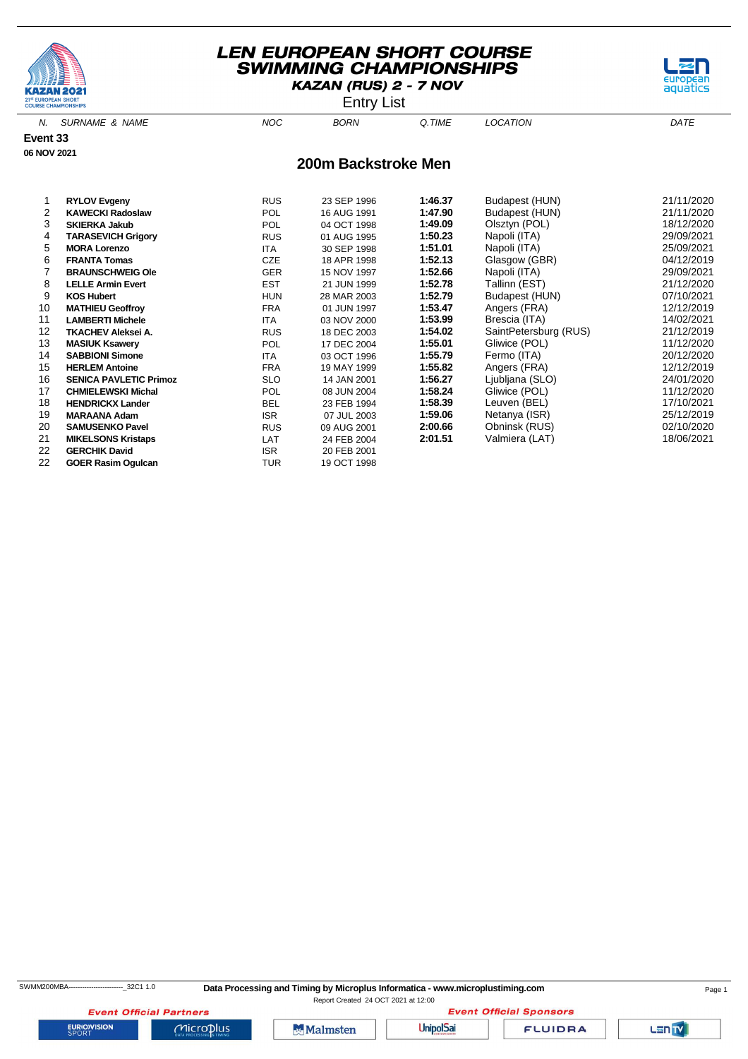

Entry List



| 5  | <b>MORA Lorenzo</b>           | <b>ITA</b> | 30 SEP 1998 | 1:51.01 | Napoli (ITA)          | 25/09/2021 |
|----|-------------------------------|------------|-------------|---------|-----------------------|------------|
| 6  | <b>FRANTA Tomas</b>           | <b>CZE</b> | 18 APR 1998 | 1:52.13 | Glasgow (GBR)         | 04/12/2019 |
|    | <b>BRAUNSCHWEIG Ole</b>       | <b>GER</b> | 15 NOV 1997 | 1:52.66 | Napoli (ITA)          | 29/09/2021 |
| 8  | <b>LELLE Armin Evert</b>      | <b>EST</b> | 21 JUN 1999 | 1:52.78 | Tallinn (EST)         | 21/12/2020 |
| 9  | <b>KOS Hubert</b>             | <b>HUN</b> | 28 MAR 2003 | 1:52.79 | Budapest (HUN)        | 07/10/2021 |
| 10 | <b>MATHIEU Geoffrov</b>       | <b>FRA</b> | 01 JUN 1997 | 1:53.47 | Angers (FRA)          | 12/12/2019 |
| 11 | <b>LAMBERTI Michele</b>       | <b>ITA</b> | 03 NOV 2000 | 1:53.99 | Brescia (ITA)         | 14/02/2021 |
| 12 | TKACHEV Aleksei A.            | <b>RUS</b> | 18 DEC 2003 | 1:54.02 | SaintPetersburg (RUS) | 21/12/2019 |
| 13 | <b>MASIUK Ksawery</b>         | <b>POL</b> | 17 DEC 2004 | 1:55.01 | Gliwice (POL)         | 11/12/2020 |
| 14 | <b>SABBIONI Simone</b>        | <b>ITA</b> | 03 OCT 1996 | 1:55.79 | Fermo (ITA)           | 20/12/2020 |
| 15 | <b>HERLEM Antoine</b>         | <b>FRA</b> | 19 MAY 1999 | 1:55.82 | Angers (FRA)          | 12/12/2019 |
| 16 | <b>SENICA PAVLETIC Primoz</b> | <b>SLO</b> | 14 JAN 2001 | 1:56.27 | Ljubljana (SLO)       | 24/01/2020 |
| 17 | <b>CHMIELEWSKI Michal</b>     | <b>POL</b> | 08 JUN 2004 | 1:58.24 | Gliwice (POL)         | 11/12/2020 |
| 18 | <b>HENDRICKX Lander</b>       | <b>BEL</b> | 23 FEB 1994 | 1:58.39 | Leuven (BEL)          | 17/10/2021 |
| 19 | <b>MARAANA Adam</b>           | <b>ISR</b> | 07 JUL 2003 | 1:59.06 | Netanya (ISR)         | 25/12/2019 |
| 20 | <b>SAMUSENKO Pavel</b>        | <b>RUS</b> | 09 AUG 2001 | 2:00.66 | Obninsk (RUS)         | 02/10/2020 |
| 21 | <b>MIKELSONS Kristaps</b>     | LAT        | 24 FEB 2004 | 2:01.51 | Valmiera (LAT)        | 18/06/2021 |
| 22 | <b>GERCHIK David</b>          | <b>ISR</b> | 20 FEB 2001 |         |                       |            |
| 22 | <b>GOER Rasim Ogulcan</b>     | TUR        | 19 OCT 1998 |         |                       |            |

**EURIOVISION** 

SWMM200MBA------------------------\_32C1 1.0 **Data Processing and Timing by Microplus Informatica - www.microplustiming.com** Page 1

Report Created 24 OCT 2021 at 12:00

**Event Official Partners** Microplus

Malmsten

**Event Official Sponsors UnipolSai** 

**FLUIDRA** 

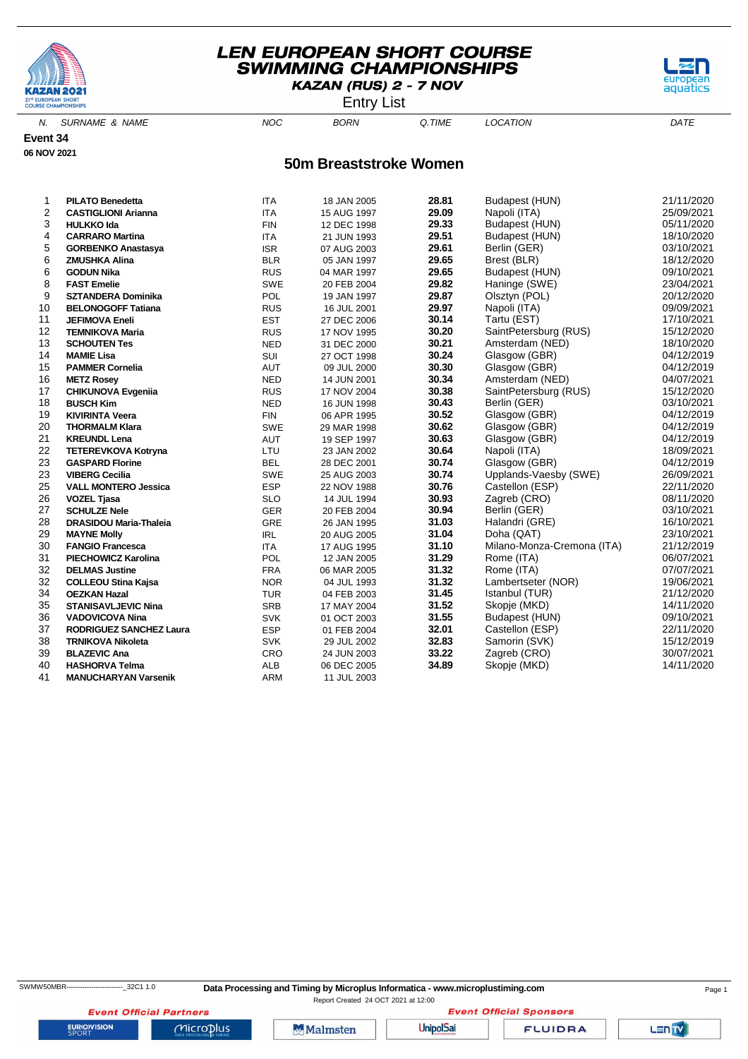

Entry List

aquati

N. SURNAME & NAME  $NOC$  BORN Q.TIME LOCATION DATE

**Event 34 06 NOV 2021**

#### **50m Breaststroke Women**

| 1  | <b>PILATO Benedetta</b>        | <b>ITA</b> | 18 JAN 2005 | 28.81 | Budapest (HUN)             | 21/11/2020 |
|----|--------------------------------|------------|-------------|-------|----------------------------|------------|
| 2  | <b>CASTIGLIONI Arianna</b>     | <b>ITA</b> | 15 AUG 1997 | 29.09 | Napoli (ITA)               | 25/09/2021 |
| 3  | <b>HULKKO Ida</b>              | <b>FIN</b> | 12 DEC 1998 | 29.33 | Budapest (HUN)             | 05/11/2020 |
| 4  | <b>CARRARO Martina</b>         | <b>ITA</b> | 21 JUN 1993 | 29.51 | Budapest (HUN)             | 18/10/2020 |
| 5  | <b>GORBENKO Anastasya</b>      | <b>ISR</b> | 07 AUG 2003 | 29.61 | Berlin (GER)               | 03/10/2021 |
| 6  | <b>ZMUSHKA Alina</b>           | <b>BLR</b> | 05 JAN 1997 | 29.65 | Brest (BLR)                | 18/12/2020 |
| 6  | <b>GODUN Nika</b>              | <b>RUS</b> | 04 MAR 1997 | 29.65 | Budapest (HUN)             | 09/10/2021 |
| 8  | <b>FAST Emelie</b>             | <b>SWE</b> | 20 FEB 2004 | 29.82 | Haninge (SWE)              | 23/04/2021 |
| 9  | <b>SZTANDERA Dominika</b>      | <b>POL</b> | 19 JAN 1997 | 29.87 | Olsztyn (POL)              | 20/12/2020 |
| 10 | <b>BELONOGOFF Tatiana</b>      | <b>RUS</b> | 16 JUL 2001 | 29.97 | Napoli (ITA)               | 09/09/2021 |
| 11 | <b>JEFIMOVA Eneli</b>          | <b>EST</b> | 27 DEC 2006 | 30.14 | Tartu (EST)                | 17/10/2021 |
| 12 | <b>TEMNIKOVA Maria</b>         | <b>RUS</b> | 17 NOV 1995 | 30.20 | SaintPetersburg (RUS)      | 15/12/2020 |
| 13 | <b>SCHOUTEN Tes</b>            | <b>NED</b> | 31 DEC 2000 | 30.21 | Amsterdam (NED)            | 18/10/2020 |
| 14 | <b>MAMIE Lisa</b>              | SUI        | 27 OCT 1998 | 30.24 | Glasgow (GBR)              | 04/12/2019 |
| 15 | <b>PAMMER Cornelia</b>         | AUT        | 09 JUL 2000 | 30.30 | Glasgow (GBR)              | 04/12/2019 |
| 16 | <b>METZ Rosey</b>              | <b>NED</b> | 14 JUN 2001 | 30.34 | Amsterdam (NED)            | 04/07/2021 |
| 17 | <b>CHIKUNOVA Evgenija</b>      | <b>RUS</b> | 17 NOV 2004 | 30.38 | SaintPetersburg (RUS)      | 15/12/2020 |
| 18 | <b>BUSCH Kim</b>               | <b>NED</b> | 16 JUN 1998 | 30.43 | Berlin (GER)               | 03/10/2021 |
| 19 | <b>KIVIRINTA Veera</b>         | <b>FIN</b> | 06 APR 1995 | 30.52 | Glasgow (GBR)              | 04/12/2019 |
| 20 | <b>THORMALM Klara</b>          | <b>SWE</b> | 29 MAR 1998 | 30.62 | Glasgow (GBR)              | 04/12/2019 |
| 21 | <b>KREUNDL Lena</b>            | AUT        | 19 SEP 1997 | 30.63 | Glasgow (GBR)              | 04/12/2019 |
| 22 | <b>TETEREVKOVA Kotryna</b>     | LTU        | 23 JAN 2002 | 30.64 | Napoli (ITA)               | 18/09/2021 |
| 23 | <b>GASPARD Florine</b>         | <b>BEL</b> | 28 DEC 2001 | 30.74 | Glasgow (GBR)              | 04/12/2019 |
| 23 | <b>VIBERG Cecilia</b>          | <b>SWE</b> | 25 AUG 2003 | 30.74 | Upplands-Vaesby (SWE)      | 26/09/2021 |
| 25 | <b>VALL MONTERO Jessica</b>    | <b>ESP</b> | 22 NOV 1988 | 30.76 | Castellon (ESP)            | 22/11/2020 |
| 26 | <b>VOZEL Tjasa</b>             | <b>SLO</b> | 14 JUL 1994 | 30.93 | Zagreb (CRO)               | 08/11/2020 |
| 27 | <b>SCHULZE Nele</b>            | <b>GER</b> | 20 FEB 2004 | 30.94 | Berlin (GER)               | 03/10/2021 |
| 28 | DRASIDOU Maria-Thaleia         | <b>GRE</b> | 26 JAN 1995 | 31.03 | Halandri (GRE)             | 16/10/2021 |
| 29 | <b>MAYNE Molly</b>             | <b>IRL</b> | 20 AUG 2005 | 31.04 | Doha (QAT)                 | 23/10/2021 |
| 30 | <b>FANGIO Francesca</b>        | <b>ITA</b> | 17 AUG 1995 | 31.10 | Milano-Monza-Cremona (ITA) | 21/12/2019 |
| 31 | <b>PIECHOWICZ Karolina</b>     | <b>POL</b> | 12 JAN 2005 | 31.29 | Rome (ITA)                 | 06/07/2021 |
| 32 | <b>DELMAS Justine</b>          | <b>FRA</b> | 06 MAR 2005 | 31.32 | Rome (ITA)                 | 07/07/2021 |
| 32 | <b>COLLEOU Stina Kajsa</b>     | <b>NOR</b> | 04 JUL 1993 | 31.32 | Lambertseter (NOR)         | 19/06/2021 |
| 34 | <b>OEZKAN Hazal</b>            | <b>TUR</b> | 04 FEB 2003 | 31.45 | Istanbul (TUR)             | 21/12/2020 |
| 35 | <b>STANISAVLJEVIC Nina</b>     | <b>SRB</b> | 17 MAY 2004 | 31.52 | Skopje (MKD)               | 14/11/2020 |
| 36 | <b>VADOVICOVA Nina</b>         | <b>SVK</b> | 01 OCT 2003 | 31.55 | Budapest (HUN)             | 09/10/2021 |
| 37 | <b>RODRIGUEZ SANCHEZ Laura</b> | <b>ESP</b> | 01 FEB 2004 | 32.01 | Castellon (ESP)            | 22/11/2020 |
| 38 | <b>TRNIKOVA Nikoleta</b>       | <b>SVK</b> | 29 JUL 2002 | 32.83 | Samorin (SVK)              | 15/12/2019 |
| 39 | <b>BLAZEVIC Ana</b>            | CRO        | 24 JUN 2003 | 33.22 | Zagreb (CRO)               | 30/07/2021 |
| 40 | <b>HASHORVA Telma</b>          | <b>ALB</b> | 06 DEC 2005 | 34.89 | Skopje (MKD)               | 14/11/2020 |
| 41 | <b>MANUCHARYAN Varsenik</b>    | <b>ARM</b> | 11 JUL 2003 |       |                            |            |

**EURIOVISION** 

 $Microplus$ 

SWMW50MBR-------------------------\_32C1 1.0 **Data Processing and Timing by Microplus Informatica - www.microplustiming.com** Page 1

Malmsten

Report Created 24 OCT 2021 at 12:00

**UnipolSai** 

**Event Official Sponsors** 

**FLUIDRA**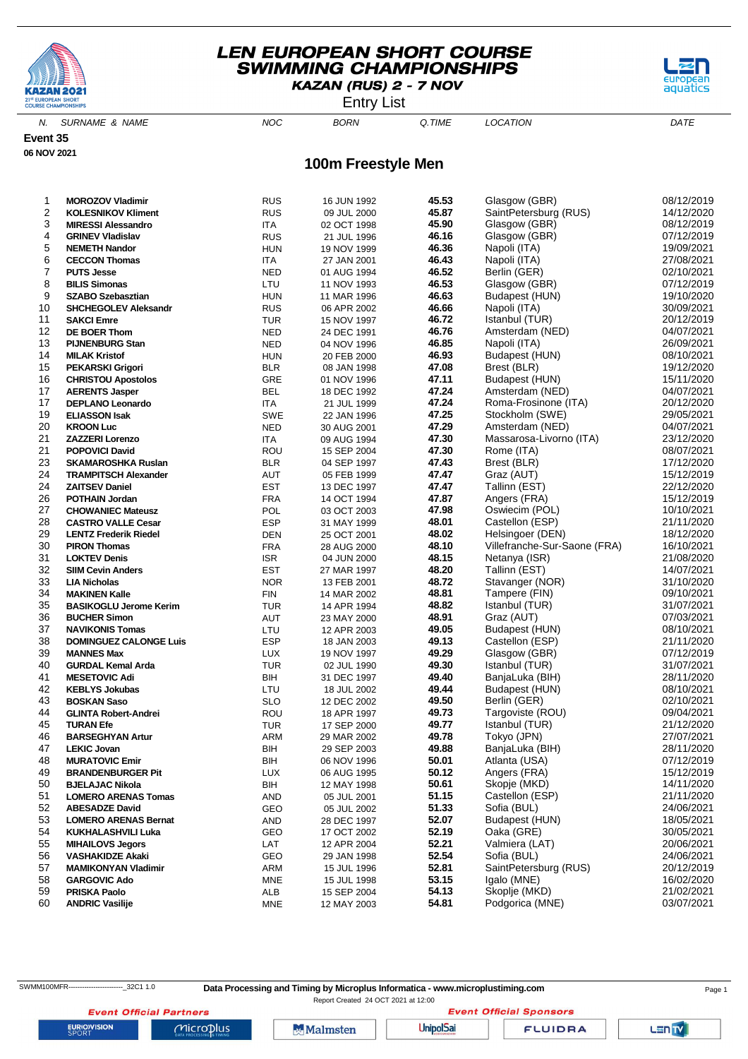

Entry List



N. SURNAME & NAME  $NOC$  BORN Q.TIME LOCATION DATE

**Event 35 06 NOV 2021**

#### **100m Freestyle Men**

| 1  | <b>MOROZOV Vladimir</b>       | <b>RUS</b> | 16 JUN 1992 | 45.53 | Glasgow (GBR)                | 08/12/2019 |
|----|-------------------------------|------------|-------------|-------|------------------------------|------------|
| 2  | <b>KOLESNIKOV Kliment</b>     | <b>RUS</b> | 09 JUL 2000 | 45.87 | SaintPetersburg (RUS)        | 14/12/2020 |
| 3  | <b>MIRESSI Alessandro</b>     | ITA        | 02 OCT 1998 | 45.90 | Glasgow (GBR)                | 08/12/2019 |
| 4  | <b>GRINEV Vladislav</b>       | <b>RUS</b> | 21 JUL 1996 | 46.16 | Glasgow (GBR)                | 07/12/2019 |
|    |                               |            |             |       |                              |            |
| 5  | <b>NEMETH Nandor</b>          | <b>HUN</b> | 19 NOV 1999 | 46.36 | Napoli (ITA)                 | 19/09/2021 |
| 6  | <b>CECCON Thomas</b>          | ITA        | 27 JAN 2001 | 46.43 | Napoli (ITA)                 | 27/08/2021 |
| 7  | <b>PUTS Jesse</b>             | <b>NED</b> | 01 AUG 1994 | 46.52 | Berlin (GER)                 | 02/10/2021 |
| 8  | <b>BILIS Simonas</b>          | LTU        | 11 NOV 1993 | 46.53 | Glasgow (GBR)                | 07/12/2019 |
| 9  | <b>SZABO Szebasztian</b>      | <b>HUN</b> | 11 MAR 1996 | 46.63 | Budapest (HUN)               | 19/10/2020 |
| 10 | <b>SHCHEGOLEV Aleksandr</b>   | <b>RUS</b> | 06 APR 2002 | 46.66 | Napoli (ITA)                 | 30/09/2021 |
| 11 | <b>SAKCI Emre</b>             | <b>TUR</b> | 15 NOV 1997 | 46.72 | Istanbul (TUR)               | 20/12/2019 |
| 12 | <b>DE BOER Thom</b>           | <b>NED</b> |             | 46.76 | Amsterdam (NED)              | 04/07/2021 |
|    |                               |            | 24 DEC 1991 | 46.85 |                              |            |
| 13 | <b>PIJNENBURG Stan</b>        | <b>NED</b> | 04 NOV 1996 |       | Napoli (ITA)                 | 26/09/2021 |
| 14 | <b>MILAK Kristof</b>          | <b>HUN</b> | 20 FEB 2000 | 46.93 | Budapest (HUN)               | 08/10/2021 |
| 15 | <b>PEKARSKI Grigori</b>       | <b>BLR</b> | 08 JAN 1998 | 47.08 | Brest (BLR)                  | 19/12/2020 |
| 16 | <b>CHRISTOU Apostolos</b>     | GRE        | 01 NOV 1996 | 47.11 | Budapest (HUN)               | 15/11/2020 |
| 17 | <b>AERENTS Jasper</b>         | <b>BEL</b> | 18 DEC 1992 | 47.24 | Amsterdam (NED)              | 04/07/2021 |
| 17 | <b>DEPLANO Leonardo</b>       | ITA        | 21 JUL 1999 | 47.24 | Roma-Frosinone (ITA)         | 20/12/2020 |
| 19 | <b>ELIASSON Isak</b>          | <b>SWE</b> | 22 JAN 1996 | 47.25 | Stockholm (SWE)              | 29/05/2021 |
| 20 | <b>KROON Luc</b>              | <b>NED</b> | 30 AUG 2001 | 47.29 | Amsterdam (NED)              | 04/07/2021 |
| 21 |                               |            |             | 47.30 | Massarosa-Livorno (ITA)      | 23/12/2020 |
|    | <b>ZAZZERI Lorenzo</b>        | ITA        | 09 AUG 1994 |       |                              |            |
| 21 | <b>POPOVICI David</b>         | ROU        | 15 SEP 2004 | 47.30 | Rome (ITA)                   | 08/07/2021 |
| 23 | <b>SKAMAROSHKA Ruslan</b>     | <b>BLR</b> | 04 SEP 1997 | 47.43 | Brest (BLR)                  | 17/12/2020 |
| 24 | <b>TRAMPITSCH Alexander</b>   | AUT        | 05 FEB 1999 | 47.47 | Graz (AUT)                   | 15/12/2019 |
| 24 | <b>ZAITSEV Daniel</b>         | <b>EST</b> | 13 DEC 1997 | 47.47 | Tallinn (EST)                | 22/12/2020 |
| 26 | <b>POTHAIN Jordan</b>         | <b>FRA</b> | 14 OCT 1994 | 47.87 | Angers (FRA)                 | 15/12/2019 |
| 27 | <b>CHOWANIEC Mateusz</b>      | POL        | 03 OCT 2003 | 47.98 | Oswiecim (POL)               | 10/10/2021 |
| 28 | <b>CASTRO VALLE Cesar</b>     | <b>ESP</b> | 31 MAY 1999 | 48.01 | Castellon (ESP)              | 21/11/2020 |
| 29 | <b>LENTZ Frederik Riedel</b>  | DEN        | 25 OCT 2001 | 48.02 | Helsingoer (DEN)             | 18/12/2020 |
| 30 |                               | <b>FRA</b> |             | 48.10 | Villefranche-Sur-Saone (FRA) | 16/10/2021 |
|    | <b>PIRON Thomas</b>           |            | 28 AUG 2000 |       |                              |            |
| 31 | <b>LOKTEV Denis</b>           | <b>ISR</b> | 04 JUN 2000 | 48.15 | Netanya (ISR)                | 21/08/2020 |
| 32 | <b>SIIM Cevin Anders</b>      | <b>EST</b> | 27 MAR 1997 | 48.20 | Tallinn (EST)                | 14/07/2021 |
| 33 | <b>LIA Nicholas</b>           | <b>NOR</b> | 13 FEB 2001 | 48.72 | Stavanger (NOR)              | 31/10/2020 |
| 34 | <b>MAKINEN Kalle</b>          | <b>FIN</b> | 14 MAR 2002 | 48.81 | Tampere (FIN)                | 09/10/2021 |
| 35 | <b>BASIKOGLU Jerome Kerim</b> | <b>TUR</b> | 14 APR 1994 | 48.82 | Istanbul (TUR)               | 31/07/2021 |
| 36 | <b>BUCHER Simon</b>           | AUT        | 23 MAY 2000 | 48.91 | Graz (AUT)                   | 07/03/2021 |
| 37 | <b>NAVIKONIS Tomas</b>        | LTU        | 12 APR 2003 | 49.05 | Budapest (HUN)               | 08/10/2021 |
| 38 | <b>DOMINGUEZ CALONGE Luis</b> | <b>ESP</b> | 18 JAN 2003 | 49.13 | Castellon (ESP)              | 21/11/2020 |
| 39 |                               |            |             | 49.29 |                              | 07/12/2019 |
|    | <b>MANNES Max</b>             | <b>LUX</b> | 19 NOV 1997 |       | Glasgow (GBR)                |            |
| 40 | <b>GURDAL Kemal Arda</b>      | <b>TUR</b> | 02 JUL 1990 | 49.30 | Istanbul (TUR)               | 31/07/2021 |
| 41 | <b>MESETOVIC Adi</b>          | BIH        | 31 DEC 1997 | 49.40 | BanjaLuka (BIH)              | 28/11/2020 |
| 42 | <b>KEBLYS Jokubas</b>         | LTU        | 18 JUL 2002 | 49.44 | Budapest (HUN)               | 08/10/2021 |
| 43 | <b>BOSKAN Saso</b>            | <b>SLO</b> | 12 DEC 2002 | 49.50 | Berlin (GER)                 | 02/10/2021 |
| 44 | <b>GLINTA Robert-Andrei</b>   | ROU        | 18 APR 1997 | 49.73 | Targoviste (ROU)             | 09/04/2021 |
| 45 | <b>TURAN Efe</b>              | <b>TUR</b> | 17 SEP 2000 | 49.77 | Istanbul (TUR)               | 21/12/2020 |
| 46 | <b>BARSEGHYAN Artur</b>       | <b>ARM</b> | 29 MAR 2002 | 49.78 | Tokyo (JPN)                  | 27/07/2021 |
| 47 | <b>LEKIC Jovan</b>            | BIH        | 29 SEP 2003 | 49.88 | BanjaLuka (BIH)              | 28/11/2020 |
|    |                               |            |             |       |                              |            |
| 48 | <b>MURATOVIC Emir</b>         | BIH        | 06 NOV 1996 | 50.01 | Atlanta (USA)                | 07/12/2019 |
| 49 | <b>BRANDENBURGER Pit</b>      | <b>LUX</b> | 06 AUG 1995 | 50.12 | Angers (FRA)                 | 15/12/2019 |
| 50 | <b>BJELAJAC Nikola</b>        | BIH        | 12 MAY 1998 | 50.61 | Skopje (MKD)                 | 14/11/2020 |
| 51 | <b>LOMERO ARENAS Tomas</b>    | AND        | 05 JUL 2001 | 51.15 | Castellon (ESP)              | 21/11/2020 |
| 52 | <b>ABESADZE David</b>         | GEO        | 05 JUL 2002 | 51.33 | Sofia (BUL)                  | 24/06/2021 |
| 53 | <b>LOMERO ARENAS Bernat</b>   | AND        | 28 DEC 1997 | 52.07 | Budapest (HUN)               | 18/05/2021 |
| 54 | <b>KUKHALASHVILI Luka</b>     | GEO        | 17 OCT 2002 | 52.19 | Oaka (GRE)                   | 30/05/2021 |
| 55 | <b>MIHAILOVS Jegors</b>       | LAT        | 12 APR 2004 | 52.21 | Valmiera (LAT)               | 20/06/2021 |
| 56 | <b>VASHAKIDZE Akaki</b>       | GEO        |             | 52.54 | Sofia (BUL)                  | 24/06/2021 |
|    |                               |            | 29 JAN 1998 |       |                              |            |
| 57 | <b>MAMIKONYAN Vladimir</b>    | ARM        | 15 JUL 1996 | 52.81 | SaintPetersburg (RUS)        | 20/12/2019 |
| 58 | <b>GARGOVIC Ado</b>           | <b>MNE</b> | 15 JUL 1998 | 53.15 | Igalo (MNE)                  | 16/02/2020 |
| 59 | <b>PRISKA Paolo</b>           | ALB        | 15 SEP 2004 | 54.13 | Skoplje (MKD)                | 21/02/2021 |
| 60 | <b>ANDRIC Vasilije</b>        | MNE        | 12 MAY 2003 | 54.81 | Podgorica (MNE)              | 03/07/2021 |
|    |                               |            |             |       |                              |            |

SWMM100MFR---------------------------32C1 1.0 **Data Processing and Timing by Microplus Informatica - www.microplustiming.com** Page 1

Report Created 24 OCT 2021 at 12:00**Event Official Sponsors** 

LENTY

**EURIOVISION** 

**Event Official Partners** 

 $Microplus$ 

**Malmsten** 

**UnipolSai**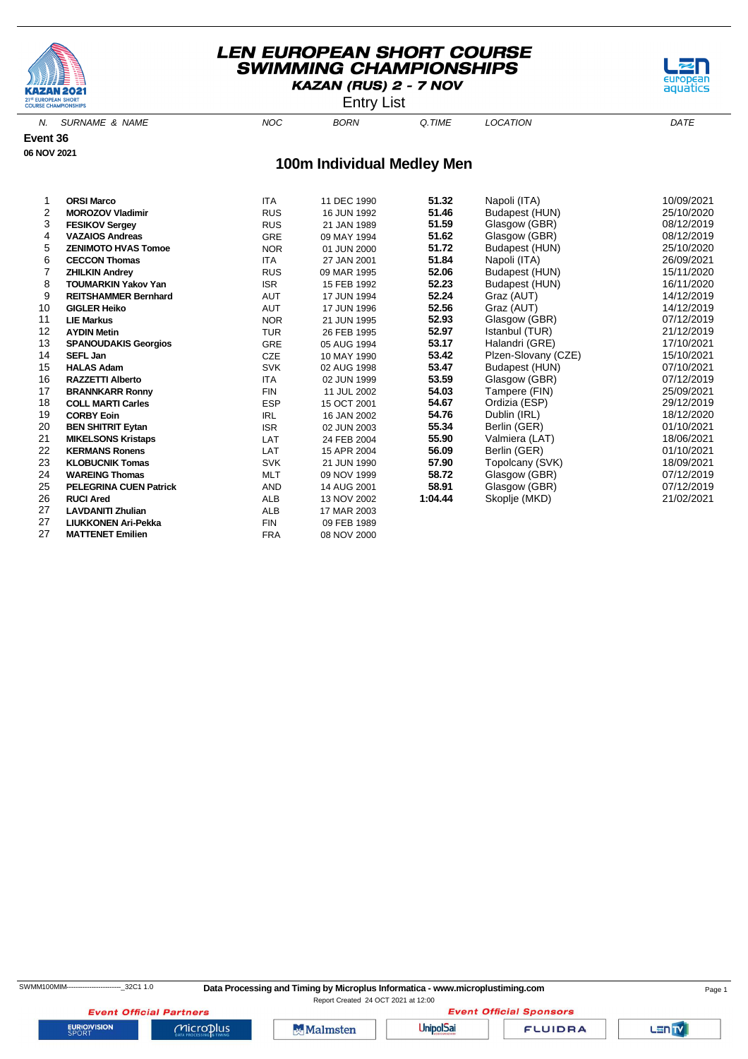

Entry List



N. SURNAME & NAME  $NOC$  BORN Q.TIME LOCATION DATE

**Event 36 06 NOV 2021**

#### **100m Individual Medley Men**

| 1  | <b>ORSI Marco</b>             | <b>ITA</b> | 11 DEC 1990 | 51.32   | Napoli (ITA)        | 10/09/2021 |
|----|-------------------------------|------------|-------------|---------|---------------------|------------|
| 2  | <b>MOROZOV Vladimir</b>       | <b>RUS</b> | 16 JUN 1992 | 51.46   | Budapest (HUN)      | 25/10/2020 |
| 3  | <b>FESIKOV Sergey</b>         | <b>RUS</b> | 21 JAN 1989 | 51.59   | Glasgow (GBR)       | 08/12/2019 |
| 4  | <b>VAZAIOS Andreas</b>        | <b>GRE</b> | 09 MAY 1994 | 51.62   | Glasgow (GBR)       | 08/12/2019 |
| 5  | <b>ZENIMOTO HVAS Tomoe</b>    | <b>NOR</b> | 01 JUN 2000 | 51.72   | Budapest (HUN)      | 25/10/2020 |
| 6  | <b>CECCON Thomas</b>          | <b>ITA</b> | 27 JAN 2001 | 51.84   | Napoli (ITA)        | 26/09/2021 |
|    | <b>ZHILKIN Andrey</b>         | <b>RUS</b> | 09 MAR 1995 | 52.06   | Budapest (HUN)      | 15/11/2020 |
| 8  | <b>TOUMARKIN Yakov Yan</b>    | <b>ISR</b> | 15 FEB 1992 | 52.23   | Budapest (HUN)      | 16/11/2020 |
| 9  | <b>REITSHAMMER Bernhard</b>   | <b>AUT</b> | 17 JUN 1994 | 52.24   | Graz (AUT)          | 14/12/2019 |
| 10 | <b>GIGLER Heiko</b>           | <b>AUT</b> | 17 JUN 1996 | 52.56   | Graz (AUT)          | 14/12/2019 |
| 11 | <b>LIE Markus</b>             | <b>NOR</b> | 21 JUN 1995 | 52.93   | Glasgow (GBR)       | 07/12/2019 |
| 12 | <b>AYDIN Metin</b>            | <b>TUR</b> | 26 FEB 1995 | 52.97   | Istanbul (TUR)      | 21/12/2019 |
| 13 | <b>SPANOUDAKIS Georgios</b>   | <b>GRE</b> | 05 AUG 1994 | 53.17   | Halandri (GRE)      | 17/10/2021 |
| 14 | <b>SEFL Jan</b>               | <b>CZE</b> | 10 MAY 1990 | 53.42   | Plzen-Slovany (CZE) | 15/10/2021 |
| 15 | <b>HALAS Adam</b>             | <b>SVK</b> | 02 AUG 1998 | 53.47   | Budapest (HUN)      | 07/10/2021 |
| 16 | <b>RAZZETTI Alberto</b>       | <b>ITA</b> | 02 JUN 1999 | 53.59   | Glasgow (GBR)       | 07/12/2019 |
| 17 | <b>BRANNKARR Ronny</b>        | <b>FIN</b> | 11 JUL 2002 | 54.03   | Tampere (FIN)       | 25/09/2021 |
| 18 | <b>COLL MARTI Carles</b>      | <b>ESP</b> | 15 OCT 2001 | 54.67   | Ordizia (ESP)       | 29/12/2019 |
| 19 | <b>CORBY Eoin</b>             | <b>IRL</b> | 16 JAN 2002 | 54.76   | Dublin (IRL)        | 18/12/2020 |
| 20 | <b>BEN SHITRIT Eytan</b>      | <b>ISR</b> | 02 JUN 2003 | 55.34   | Berlin (GER)        | 01/10/2021 |
| 21 | <b>MIKELSONS Kristaps</b>     | LAT        | 24 FEB 2004 | 55.90   | Valmiera (LAT)      | 18/06/2021 |
| 22 | <b>KERMANS Ronens</b>         | LAT        | 15 APR 2004 | 56.09   | Berlin (GER)        | 01/10/2021 |
| 23 | <b>KLOBUCNIK Tomas</b>        | <b>SVK</b> | 21 JUN 1990 | 57.90   | Topolcany (SVK)     | 18/09/2021 |
| 24 | <b>WAREING Thomas</b>         | <b>MLT</b> | 09 NOV 1999 | 58.72   | Glasgow (GBR)       | 07/12/2019 |
| 25 | <b>PELEGRINA CUEN Patrick</b> | <b>AND</b> | 14 AUG 2001 | 58.91   | Glasgow (GBR)       | 07/12/2019 |
| 26 | <b>RUCI Ared</b>              | <b>ALB</b> | 13 NOV 2002 | 1:04.44 | Skoplje (MKD)       | 21/02/2021 |
| 27 | <b>LAVDANITI Zhulian</b>      | <b>ALB</b> | 17 MAR 2003 |         |                     |            |
| 27 | <b>LIUKKONEN Ari-Pekka</b>    | <b>FIN</b> | 09 FEB 1989 |         |                     |            |
| 27 | <b>MATTENET Emilien</b>       | <b>FRA</b> | 08 NOV 2000 |         |                     |            |

**EURIOVISION** 

**Event Official Sponsors** 



**Event Official Partners** 

Malmsten

**UnipolSai** 

**FLUIDRA**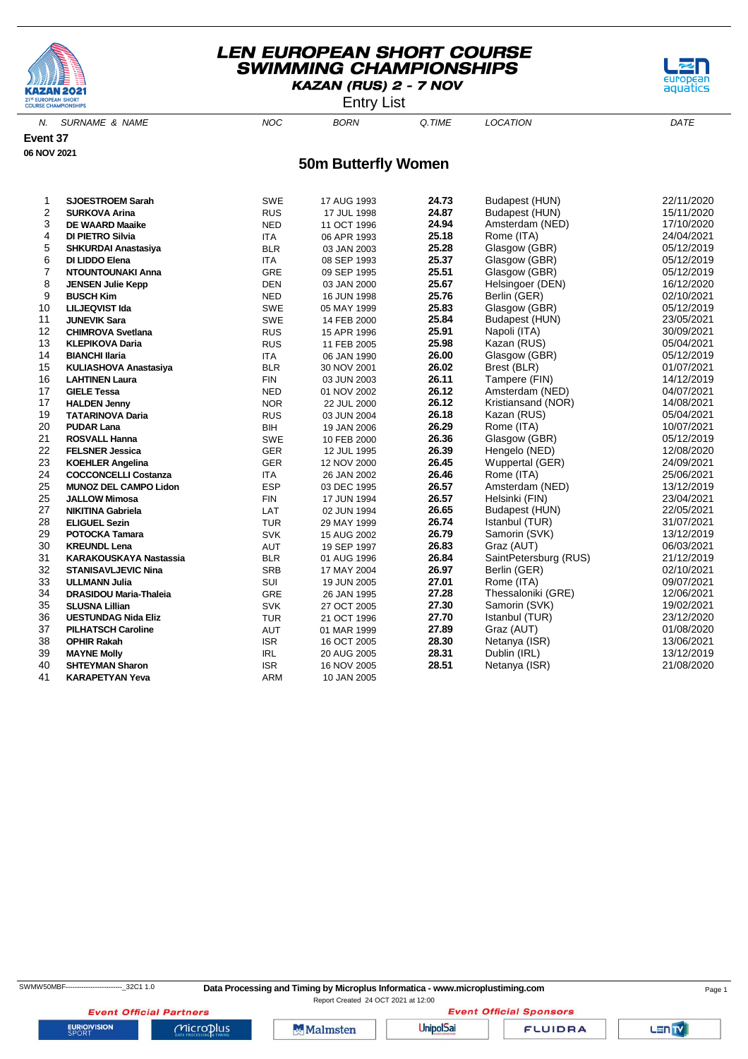

Entry List



N. SURNAME & NAME  $NOC$  BORN Q.TIME LOCATION DATE

**Event 37**

**06 NOV 2021**

#### **50m Butterfly Women**

| 1  | <b>SJOESTROEM Sarah</b>       | SWE        | 17 AUG 1993 | 24.73 | Budapest (HUN)        | 22/11/2020 |
|----|-------------------------------|------------|-------------|-------|-----------------------|------------|
| 2  | <b>SURKOVA Arina</b>          | <b>RUS</b> | 17 JUL 1998 | 24.87 | Budapest (HUN)        | 15/11/2020 |
| 3  | <b>DE WAARD Maaike</b>        | <b>NED</b> | 11 OCT 1996 | 24.94 | Amsterdam (NED)       | 17/10/2020 |
| 4  | DI PIETRO Silvia              | <b>ITA</b> | 06 APR 1993 | 25.18 | Rome (ITA)            | 24/04/2021 |
| 5  | <b>SHKURDAI Anastasiya</b>    | <b>BLR</b> | 03 JAN 2003 | 25.28 | Glasgow (GBR)         | 05/12/2019 |
| 6  | DI LIDDO Elena                | <b>ITA</b> | 08 SEP 1993 | 25.37 | Glasgow (GBR)         | 05/12/2019 |
| 7  | NTOUNTOUNAKI Anna             | GRE        | 09 SEP 1995 | 25.51 | Glasgow (GBR)         | 05/12/2019 |
| 8  | <b>JENSEN Julie Kepp</b>      | <b>DEN</b> | 03 JAN 2000 | 25.67 | Helsingoer (DEN)      | 16/12/2020 |
| 9  | <b>BUSCH Kim</b>              | <b>NED</b> | 16 JUN 1998 | 25.76 | Berlin (GER)          | 02/10/2021 |
| 10 | <b>LILJEQVIST Ida</b>         | SWE        | 05 MAY 1999 | 25.83 | Glasgow (GBR)         | 05/12/2019 |
| 11 | <b>JUNEVIK Sara</b>           | SWE        | 14 FEB 2000 | 25.84 | Budapest (HUN)        | 23/05/2021 |
| 12 | <b>CHIMROVA Svetlana</b>      | <b>RUS</b> | 15 APR 1996 | 25.91 | Napoli (ITA)          | 30/09/2021 |
| 13 | <b>KLEPIKOVA Daria</b>        | <b>RUS</b> | 11 FEB 2005 | 25.98 | Kazan (RUS)           | 05/04/2021 |
| 14 | <b>BIANCHI Ilaria</b>         | <b>ITA</b> | 06 JAN 1990 | 26.00 | Glasgow (GBR)         | 05/12/2019 |
| 15 | <b>KULIASHOVA Anastasiya</b>  | <b>BLR</b> | 30 NOV 2001 | 26.02 | Brest (BLR)           | 01/07/2021 |
| 16 | <b>LAHTINEN Laura</b>         | <b>FIN</b> | 03 JUN 2003 | 26.11 | Tampere (FIN)         | 14/12/2019 |
| 17 | <b>GIELE Tessa</b>            | <b>NED</b> | 01 NOV 2002 | 26.12 | Amsterdam (NED)       | 04/07/2021 |
| 17 | <b>HALDEN Jenny</b>           | <b>NOR</b> | 22 JUL 2000 | 26.12 | Kristiansand (NOR)    | 14/08/2021 |
| 19 | <b>TATARINOVA Daria</b>       | <b>RUS</b> | 03 JUN 2004 | 26.18 | Kazan (RUS)           | 05/04/2021 |
| 20 | <b>PUDAR Lana</b>             | <b>BIH</b> | 19 JAN 2006 | 26.29 | Rome (ITA)            | 10/07/2021 |
| 21 | <b>ROSVALL Hanna</b>          | SWE        | 10 FEB 2000 | 26.36 | Glasgow (GBR)         | 05/12/2019 |
| 22 | <b>FELSNER Jessica</b>        | GER        | 12 JUL 1995 | 26.39 | Hengelo (NED)         | 12/08/2020 |
| 23 | <b>KOEHLER Angelina</b>       | <b>GER</b> | 12 NOV 2000 | 26.45 | Wuppertal (GER)       | 24/09/2021 |
| 24 | <b>COCCONCELLI Costanza</b>   | <b>ITA</b> | 26 JAN 2002 | 26.46 | Rome (ITA)            | 25/06/2021 |
| 25 | <b>MUNOZ DEL CAMPO Lidon</b>  | <b>ESP</b> | 03 DEC 1995 | 26.57 | Amsterdam (NED)       | 13/12/2019 |
| 25 | <b>JALLOW Mimosa</b>          | <b>FIN</b> | 17 JUN 1994 | 26.57 | Helsinki (FIN)        | 23/04/2021 |
| 27 | <b>NIKITINA Gabriela</b>      | LAT        | 02 JUN 1994 | 26.65 | Budapest (HUN)        | 22/05/2021 |
| 28 | <b>ELIGUEL Sezin</b>          | <b>TUR</b> | 29 MAY 1999 | 26.74 | Istanbul (TUR)        | 31/07/2021 |
| 29 | <b>POTOCKA Tamara</b>         | <b>SVK</b> | 15 AUG 2002 | 26.79 | Samorin (SVK)         | 13/12/2019 |
| 30 | <b>KREUNDL Lena</b>           | <b>AUT</b> | 19 SEP 1997 | 26.83 | Graz (AUT)            | 06/03/2021 |
| 31 | KARAKOUSKAYA Nastassia        | <b>BLR</b> | 01 AUG 1996 | 26.84 | SaintPetersburg (RUS) | 21/12/2019 |
| 32 | <b>STANISAVLJEVIC Nina</b>    | <b>SRB</b> | 17 MAY 2004 | 26.97 | Berlin (GER)          | 02/10/2021 |
| 33 | <b>ULLMANN Julia</b>          | SUI        | 19 JUN 2005 | 27.01 | Rome (ITA)            | 09/07/2021 |
| 34 | <b>DRASIDOU Maria-Thaleia</b> | GRE        | 26 JAN 1995 | 27.28 | Thessaloniki (GRE)    | 12/06/2021 |
| 35 | <b>SLUSNA Lillian</b>         | <b>SVK</b> | 27 OCT 2005 | 27.30 | Samorin (SVK)         | 19/02/2021 |
| 36 | <b>UESTUNDAG Nida Eliz</b>    | <b>TUR</b> | 21 OCT 1996 | 27.70 | Istanbul (TUR)        | 23/12/2020 |
| 37 | <b>PILHATSCH Caroline</b>     | AUT        | 01 MAR 1999 | 27.89 | Graz (AUT)            | 01/08/2020 |
| 38 | <b>OPHIR Rakah</b>            | <b>ISR</b> | 16 OCT 2005 | 28.30 | Netanya (ISR)         | 13/06/2021 |
| 39 | <b>MAYNE Molly</b>            | <b>IRL</b> | 20 AUG 2005 | 28.31 | Dublin (IRL)          | 13/12/2019 |
| 40 | <b>SHTEYMAN Sharon</b>        | <b>ISR</b> | 16 NOV 2005 | 28.51 | Netanya (ISR)         | 21/08/2020 |
| 41 | <b>KARAPETYAN Yeva</b>        | <b>ARM</b> | 10 JAN 2005 |       |                       |            |

**Event Official Sponsors** 

**Event Official Partners** 

 $Microplus$ 

**Malmsten** 

**UnipolSai** 

**FLUIDRA**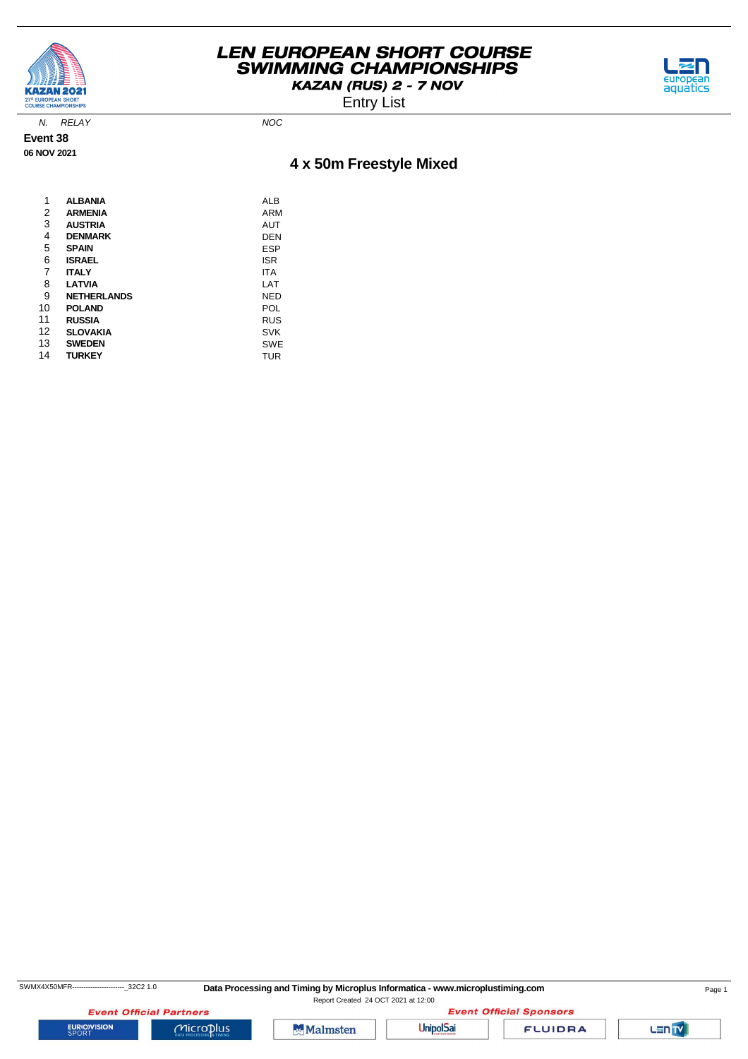

Entry List



N. RELAY NOC

**Event 38 06 NOV 2021**

# **4 x 50m Freestyle Mixed**

| 1  | <b>ALBANIA</b>     | ALB        |
|----|--------------------|------------|
| 2  | <b>ARMENIA</b>     | ARM        |
| 3  | <b>AUSTRIA</b>     | <b>AUT</b> |
| 4  | <b>DENMARK</b>     | DEN        |
| 5  | <b>SPAIN</b>       | ESP        |
| 6  | <b>ISRAEL</b>      | <b>ISR</b> |
| 7  | <b>ITALY</b>       | <b>ITA</b> |
| 8  | <b>LATVIA</b>      | LAT        |
| 9  | <b>NETHERLANDS</b> | <b>NED</b> |
| 10 | <b>POLAND</b>      | POL        |
| 11 | <b>RUSSIA</b>      | <b>RUS</b> |
| 12 | <b>SLOVAKIA</b>    | <b>SVK</b> |
| 13 | <b>SWEDEN</b>      | SWE        |
| 14 | <b>TURKEY</b>      | TUR        |

**EURIOVISION** 

**Event Official Partners** 

 $Microplus$ 

**Malmsten** 



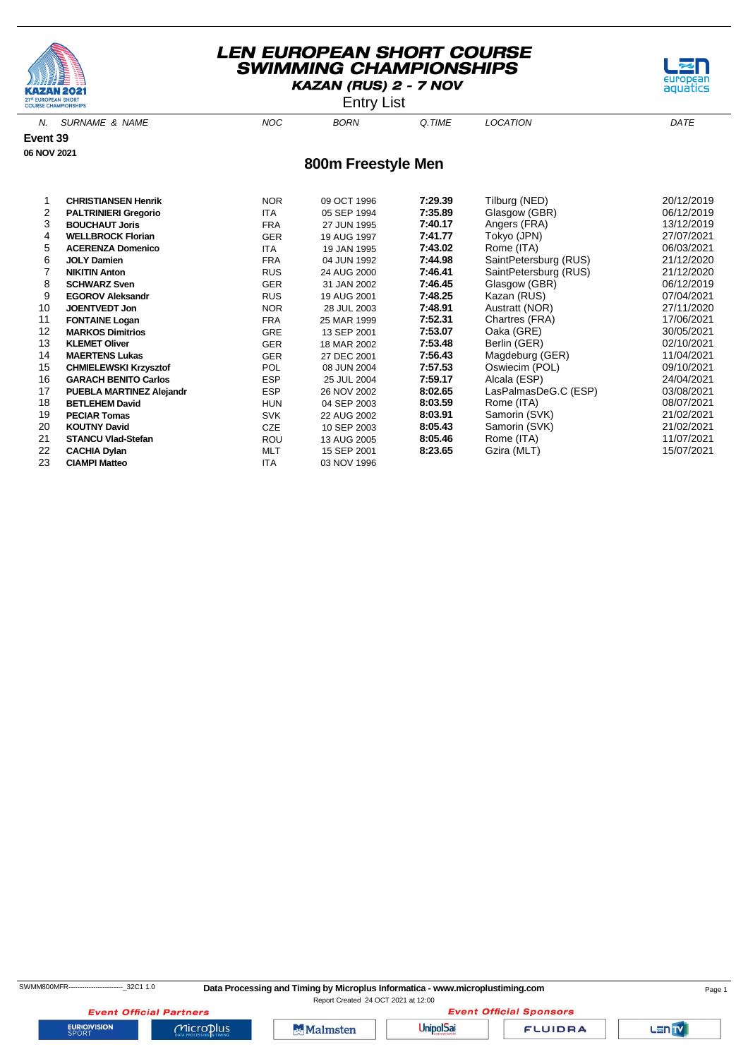



N. SURNAME & NAME  $NOC$  BORN Q.TIME LOCATION DATE **800m Freestyle Men Event 39 06 NOV 2021** 1 **CHRISTIANSEN Henrik** NOR 09 OCT 1996 **7:29.39** Tilburg (NED) 20/12/2019 **PALTRINIERI Gregorio** 

|    | . ALTIMINERI VI CAVITO          | .          |             | .       | $-$ 1009011 ( $-$     |            |
|----|---------------------------------|------------|-------------|---------|-----------------------|------------|
| 3  | <b>BOUCHAUT Joris</b>           | <b>FRA</b> | 27 JUN 1995 | 7:40.17 | Angers (FRA)          | 13/12/2019 |
| 4  | <b>WELLBROCK Florian</b>        | <b>GER</b> | 19 AUG 1997 | 7:41.77 | Tokyo (JPN)           | 27/07/2021 |
| 5  | <b>ACERENZA Domenico</b>        | <b>ITA</b> | 19 JAN 1995 | 7:43.02 | Rome (ITA)            | 06/03/2021 |
| 6  | <b>JOLY Damien</b>              | <b>FRA</b> | 04 JUN 1992 | 7:44.98 | SaintPetersburg (RUS) | 21/12/2020 |
|    | <b>NIKITIN Anton</b>            | <b>RUS</b> | 24 AUG 2000 | 7:46.41 | SaintPetersburg (RUS) | 21/12/2020 |
| 8  | <b>SCHWARZ Sven</b>             | <b>GER</b> | 31 JAN 2002 | 7:46.45 | Glasgow (GBR)         | 06/12/2019 |
| 9  | <b>EGOROV Aleksandr</b>         | <b>RUS</b> | 19 AUG 2001 | 7:48.25 | Kazan (RUS)           | 07/04/2021 |
| 10 | <b>JOENTVEDT Jon</b>            | <b>NOR</b> | 28 JUL 2003 | 7:48.91 | Austratt (NOR)        | 27/11/2020 |
| 11 | <b>FONTAINE Logan</b>           | <b>FRA</b> | 25 MAR 1999 | 7:52.31 | Chartres (FRA)        | 17/06/2021 |
| 12 | <b>MARKOS Dimitrios</b>         | <b>GRE</b> | 13 SEP 2001 | 7:53.07 | Oaka (GRE)            | 30/05/2021 |
| 13 | <b>KLEMET Oliver</b>            | <b>GER</b> | 18 MAR 2002 | 7:53.48 | Berlin (GER)          | 02/10/2021 |
| 14 | <b>MAERTENS Lukas</b>           | <b>GER</b> | 27 DEC 2001 | 7:56.43 | Magdeburg (GER)       | 11/04/2021 |
| 15 | <b>CHMIELEWSKI Krzysztof</b>    | <b>POL</b> | 08 JUN 2004 | 7:57.53 | Oswiecim (POL)        | 09/10/2021 |
| 16 | <b>GARACH BENITO Carlos</b>     | <b>ESP</b> | 25 JUL 2004 | 7:59.17 | Alcala (ESP)          | 24/04/2021 |
| 17 | <b>PUEBLA MARTINEZ Alejandr</b> | <b>ESP</b> | 26 NOV 2002 | 8:02.65 | LasPalmasDeG.C (ESP)  | 03/08/2021 |
| 18 | <b>BETLEHEM David</b>           | <b>HUN</b> | 04 SEP 2003 | 8:03.59 | Rome (ITA)            | 08/07/2021 |
| 19 | <b>PECIAR Tomas</b>             | <b>SVK</b> | 22 AUG 2002 | 8:03.91 | Samorin (SVK)         | 21/02/2021 |
| 20 | <b>KOUTNY David</b>             | <b>CZE</b> | 10 SEP 2003 | 8:05.43 | Samorin (SVK)         | 21/02/2021 |
| 21 | <b>STANCU Vlad-Stefan</b>       | ROU        | 13 AUG 2005 | 8:05.46 | Rome (ITA)            | 11/07/2021 |
| 22 | <b>CACHIA Dylan</b>             | <b>MLT</b> | 15 SEP 2001 | 8:23.65 | Gzira (MLT)           | 15/07/2021 |
| 23 | <b>CIAMPI Matteo</b>            | <b>ITA</b> | 03 NOV 1996 |         |                       |            |

**EURIOVISION** 

**Event Official Sponsors** 

**Event Official Partners** 

 $MicroD<sub>lus</sub>$ 

Malmsten

**UnipolSai** 

**FLUIDRA** 



aquatics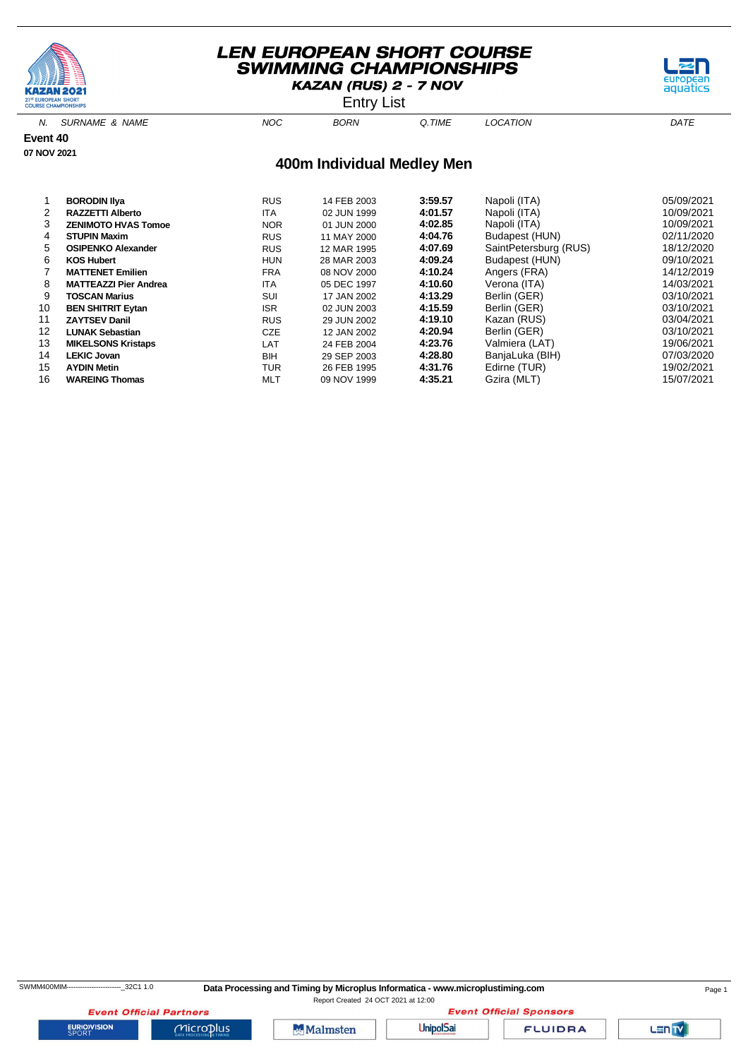





N. SURNAME & NAME  $NOC$  BORN Q.TIME LOCATION DATE

**Event 40**

**07 NOV 2021**

#### **400m Individual Medley Men**

|    | <b>BORODIN IIya</b>          | <b>RUS</b> | 14 FEB 2003 | 3:59.57 | Napoli (ITA)          | 05/09/2021 |
|----|------------------------------|------------|-------------|---------|-----------------------|------------|
| 2  | <b>RAZZETTI Alberto</b>      | <b>ITA</b> | 02 JUN 1999 | 4:01.57 | Napoli (ITA)          | 10/09/2021 |
| 3  | <b>ZENIMOTO HVAS Tomoe</b>   | <b>NOR</b> | 01 JUN 2000 | 4:02.85 | Napoli (ITA)          | 10/09/2021 |
| 4  | <b>STUPIN Maxim</b>          | <b>RUS</b> | 11 MAY 2000 | 4:04.76 | Budapest (HUN)        | 02/11/2020 |
| 5  | <b>OSIPENKO Alexander</b>    | <b>RUS</b> | 12 MAR 1995 | 4:07.69 | SaintPetersburg (RUS) | 18/12/2020 |
| 6  | <b>KOS Hubert</b>            | <b>HUN</b> | 28 MAR 2003 | 4:09.24 | Budapest (HUN)        | 09/10/2021 |
|    | <b>MATTENET Emilien</b>      | <b>FRA</b> | 08 NOV 2000 | 4:10.24 | Angers (FRA)          | 14/12/2019 |
| 8  | <b>MATTEAZZI Pier Andrea</b> | ITA        | 05 DEC 1997 | 4:10.60 | Verona (ITA)          | 14/03/2021 |
| 9  | <b>TOSCAN Marius</b>         | SUI        | 17 JAN 2002 | 4:13.29 | Berlin (GER)          | 03/10/2021 |
| 10 | <b>BEN SHITRIT Eytan</b>     | <b>ISR</b> | 02 JUN 2003 | 4:15.59 | Berlin (GER)          | 03/10/2021 |
| 11 | <b>ZAYTSEV Danil</b>         | <b>RUS</b> | 29 JUN 2002 | 4:19.10 | Kazan (RUS)           | 03/04/2021 |
| 12 | <b>LUNAK Sebastian</b>       | <b>CZE</b> | 12 JAN 2002 | 4:20.94 | Berlin (GER)          | 03/10/2021 |
| 13 | <b>MIKELSONS Kristaps</b>    | LAT        | 24 FEB 2004 | 4:23.76 | Valmiera (LAT)        | 19/06/2021 |
| 14 | <b>LEKIC Jovan</b>           | <b>BIH</b> | 29 SEP 2003 | 4:28.80 | BanjaLuka (BIH)       | 07/03/2020 |
| 15 | <b>AYDIN Metin</b>           | TUR        | 26 FEB 1995 | 4:31.76 | Edirne (TUR)          | 19/02/2021 |
| 16 | <b>WAREING Thomas</b>        | <b>MLT</b> | 09 NOV 1999 | 4:35.21 | Gzira (MLT)           | 15/07/2021 |



**EURIOVISION** 

**Event Official Partners** 

 $Microplus$ 





**FLUIDRA**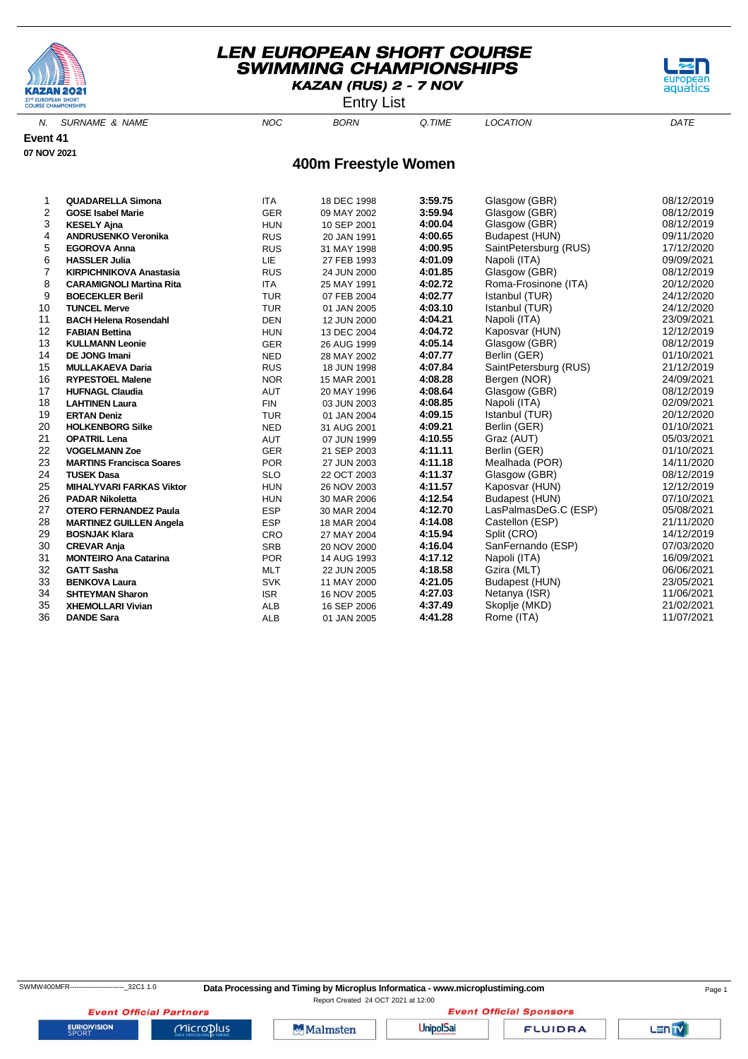

Entry List



N. SURNAME & NAME  $NOC$  BORN Q.TIME LOCATION DATE

**Event 41 07 NOV 2021**

#### **400m Freestyle Women**

| 1  | <b>QUADARELLA Simona</b>        | <b>ITA</b> | 18 DEC 1998 | 3:59.75 | Glasgow (GBR)         | 08/12/2019 |
|----|---------------------------------|------------|-------------|---------|-----------------------|------------|
| 2  | <b>GOSE Isabel Marie</b>        | <b>GER</b> | 09 MAY 2002 | 3:59.94 | Glasgow (GBR)         | 08/12/2019 |
| 3  | <b>KESELY Ajna</b>              | <b>HUN</b> | 10 SEP 2001 | 4:00.04 | Glasgow (GBR)         | 08/12/2019 |
| 4  | <b>ANDRUSENKO Veronika</b>      | <b>RUS</b> | 20 JAN 1991 | 4:00.65 | Budapest (HUN)        | 09/11/2020 |
| 5  | <b>EGOROVA Anna</b>             | <b>RUS</b> | 31 MAY 1998 | 4:00.95 | SaintPetersburg (RUS) | 17/12/2020 |
| 6  | <b>HASSLER Julia</b>            | LIE        | 27 FEB 1993 | 4:01.09 | Napoli (ITA)          | 09/09/2021 |
| 7  | <b>KIRPICHNIKOVA Anastasia</b>  | <b>RUS</b> | 24 JUN 2000 | 4:01.85 | Glasgow (GBR)         | 08/12/2019 |
| 8  | <b>CARAMIGNOLI Martina Rita</b> | <b>ITA</b> | 25 MAY 1991 | 4:02.72 | Roma-Frosinone (ITA)  | 20/12/2020 |
| 9  | <b>BOECEKLER Beril</b>          | <b>TUR</b> | 07 FEB 2004 | 4:02.77 | Istanbul (TUR)        | 24/12/2020 |
| 10 | <b>TUNCEL Merve</b>             | <b>TUR</b> | 01 JAN 2005 | 4:03.10 | Istanbul (TUR)        | 24/12/2020 |
| 11 | <b>BACH Helena Rosendahl</b>    | <b>DEN</b> | 12 JUN 2000 | 4:04.21 | Napoli (ITA)          | 23/09/2021 |
| 12 | <b>FABIAN Bettina</b>           | <b>HUN</b> | 13 DEC 2004 | 4:04.72 | Kaposvar (HUN)        | 12/12/2019 |
| 13 | <b>KULLMANN Leonie</b>          | <b>GER</b> | 26 AUG 1999 | 4:05.14 | Glasgow (GBR)         | 08/12/2019 |
| 14 | <b>DE JONG Imani</b>            | <b>NED</b> | 28 MAY 2002 | 4:07.77 | Berlin (GER)          | 01/10/2021 |
| 15 | <b>MULLAKAEVA Daria</b>         | <b>RUS</b> | 18 JUN 1998 | 4:07.84 | SaintPetersburg (RUS) | 21/12/2019 |
| 16 | <b>RYPESTOEL Malene</b>         | <b>NOR</b> | 15 MAR 2001 | 4:08.28 | Bergen (NOR)          | 24/09/2021 |
| 17 | <b>HUFNAGL Claudia</b>          | <b>AUT</b> | 20 MAY 1996 | 4:08.64 | Glasgow (GBR)         | 08/12/2019 |
| 18 | <b>LAHTINEN Laura</b>           | <b>FIN</b> | 03 JUN 2003 | 4:08.85 | Napoli (ITA)          | 02/09/2021 |
| 19 | <b>ERTAN Deniz</b>              | <b>TUR</b> | 01 JAN 2004 | 4:09.15 | Istanbul (TUR)        | 20/12/2020 |
| 20 | <b>HOLKENBORG Silke</b>         | <b>NED</b> | 31 AUG 2001 | 4:09.21 | Berlin (GER)          | 01/10/2021 |
| 21 | <b>OPATRIL Lena</b>             | AUT        | 07 JUN 1999 | 4:10.55 | Graz (AUT)            | 05/03/2021 |
| 22 | <b>VOGELMANN Zoe</b>            | <b>GER</b> | 21 SEP 2003 | 4:11.11 | Berlin (GER)          | 01/10/2021 |
| 23 | <b>MARTINS Francisca Soares</b> | <b>POR</b> | 27 JUN 2003 | 4:11.18 | Mealhada (POR)        | 14/11/2020 |
| 24 | <b>TUSEK Dasa</b>               | <b>SLO</b> | 22 OCT 2003 | 4:11.37 | Glasgow (GBR)         | 08/12/2019 |
| 25 | <b>MIHALYVARI FARKAS Viktor</b> | <b>HUN</b> | 26 NOV 2003 | 4:11.57 | Kaposvar (HUN)        | 12/12/2019 |
| 26 | <b>PADAR Nikoletta</b>          | <b>HUN</b> | 30 MAR 2006 | 4:12.54 | Budapest (HUN)        | 07/10/2021 |
| 27 | <b>OTERO FERNANDEZ Paula</b>    | <b>ESP</b> | 30 MAR 2004 | 4:12.70 | LasPalmasDeG.C (ESP)  | 05/08/2021 |
| 28 | <b>MARTINEZ GUILLEN Angela</b>  | <b>ESP</b> | 18 MAR 2004 | 4:14.08 | Castellon (ESP)       | 21/11/2020 |
| 29 | <b>BOSNJAK Klara</b>            | CRO        | 27 MAY 2004 | 4:15.94 | Split (CRO)           | 14/12/2019 |
| 30 | <b>CREVAR Anja</b>              | <b>SRB</b> | 20 NOV 2000 | 4:16.04 | SanFernando (ESP)     | 07/03/2020 |
| 31 | <b>MONTEIRO Ana Catarina</b>    | <b>POR</b> | 14 AUG 1993 | 4:17.12 | Napoli (ITA)          | 16/09/2021 |
| 32 | <b>GATT Sasha</b>               | <b>MLT</b> | 22 JUN 2005 | 4:18.58 | Gzira (MLT)           | 06/06/2021 |
| 33 | <b>BENKOVA Laura</b>            | <b>SVK</b> | 11 MAY 2000 | 4:21.05 | Budapest (HUN)        | 23/05/2021 |
| 34 | <b>SHTEYMAN Sharon</b>          | <b>ISR</b> | 16 NOV 2005 | 4:27.03 | Netanya (ISR)         | 11/06/2021 |
| 35 | <b>XHEMOLLARI Vivian</b>        | <b>ALB</b> | 16 SEP 2006 | 4:37.49 | Skoplje (MKD)         | 21/02/2021 |
| 36 | <b>DANDE Sara</b>               | <b>ALB</b> | 01 JAN 2005 | 4:41.28 | Rome (ITA)            | 11/07/2021 |

**EURIOVISION** 

**Event Official Partners** 

SWMW400MFR------------------------\_32C1 1.0 **Data Processing and Timing by Microplus Informatica - www.microplustiming.com** Page 1

Report Created 24 OCT 2021 at 12:00**Event Official Sponsors** 

Malmsten

**UnipolSai** 

**FLUIDRA**